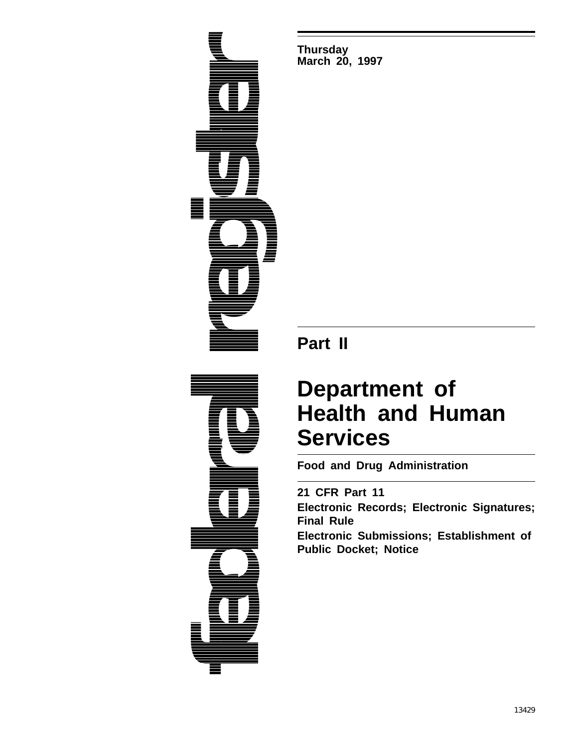

**Thursday March 20, 1997**

**Part II**

# **Department of Health and Human Services**

**Food and Drug Administration**

**21 CFR Part 11 Electronic Records; Electronic Signatures; Final Rule Electronic Submissions; Establishment of Public Docket; Notice**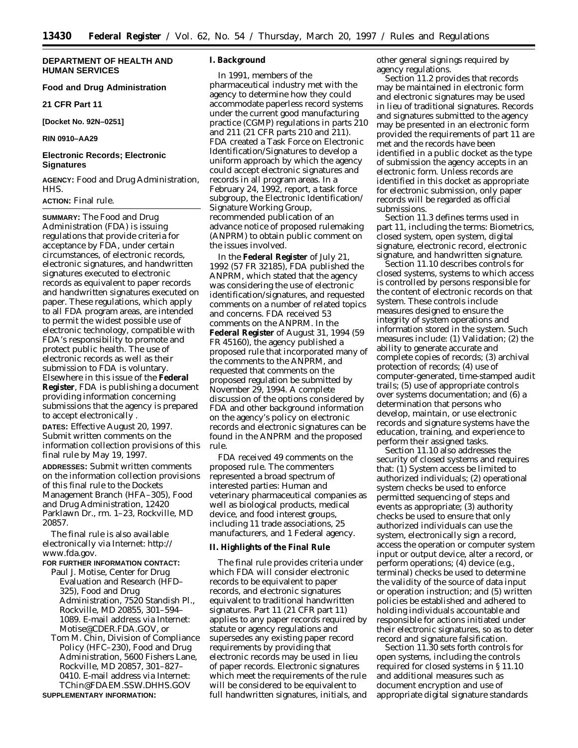# **DEPARTMENT OF HEALTH AND HUMAN SERVICES**

# **Food and Drug Administration**

**21 CFR Part 11**

**[Docket No. 92N–0251]**

# **RIN 0910–AA29**

# **Electronic Records; Electronic Signatures**

**AGENCY:** Food and Drug Administration, HHS.

# **ACTION:** Final rule.

**SUMMARY:** The Food and Drug Administration (FDA) is issuing regulations that provide criteria for acceptance by FDA, under certain circumstances, of electronic records, electronic signatures, and handwritten signatures executed to electronic records as equivalent to paper records and handwritten signatures executed on paper. These regulations, which apply to all FDA program areas, are intended to permit the widest possible use of electronic technology, compatible with FDA's responsibility to promote and protect public health. The use of electronic records as well as their submission to FDA is voluntary. Elsewhere in this issue of the **Federal Register**, FDA is publishing a document providing information concerning submissions that the agency is prepared to accept electronically .

**DATES:** Effective August 20, 1997. Submit written comments on the information collection provisions of this final rule by May 19, 1997.

**ADDRESSES:** Submit written comments on the information collection provisions of this final rule to the Dockets Management Branch (HFA–305), Food and Drug Administration, 12420 Parklawn Dr., rm. 1–23, Rockville, MD 20857.

The final rule is also available electronically via Internet: http:// www.fda.gov.

# **FOR FURTHER INFORMATION CONTACT:**

Paul J. Motise, Center for Drug Evaluation and Research (HFD– 325), Food and Drug Administration, 7520 Standish Pl., Rockville, MD 20855, 301–594– 1089. E-mail address via Internet: Motise@CDER.FDA.GOV, or

Tom M. Chin, Division of Compliance Policy (HFC–230), Food and Drug Administration, 5600 Fishers Lane, Rockville, MD 20857, 301–827– 0410. E-mail address via Internet: TChin@FDAEM.SSW.DHHS.GOV

**SUPPLEMENTARY INFORMATION:**

# **I. Background**

In 1991, members of the pharmaceutical industry met with the agency to determine how they could accommodate paperless record systems under the current good manufacturing practice (CGMP) regulations in parts  $\overline{2}10$ and 211 (21 CFR parts 210 and 211). FDA created a Task Force on Electronic Identification/Signatures to develop a uniform approach by which the agency could accept electronic signatures and records in all program areas. In a February 24, 1992, report, a task force subgroup, the Electronic Identification/ Signature Working Group, recommended publication of an advance notice of proposed rulemaking (ANPRM) to obtain public comment on the issues involved.

In the **Federal Register** of July 21, 1992 (57 FR 32185), FDA published the ANPRM, which stated that the agency was considering the use of electronic identification/signatures, and requested comments on a number of related topics and concerns. FDA received 53 comments on the ANPRM. In the **Federal Register** of August 31, 1994 (59 FR 45160), the agency published a proposed rule that incorporated many of the comments to the ANPRM, and requested that comments on the proposed regulation be submitted by November 29, 1994. A complete discussion of the options considered by FDA and other background information on the agency's policy on electronic records and electronic signatures can be found in the ANPRM and the proposed rule.

FDA received 49 comments on the proposed rule. The commenters represented a broad spectrum of interested parties: Human and veterinary pharmaceutical companies as well as biological products, medical device, and food interest groups, including 11 trade associations, 25 manufacturers, and 1 Federal agency.

## **II. Highlights of the Final Rule**

The final rule provides criteria under which FDA will consider electronic records to be equivalent to paper records, and electronic signatures equivalent to traditional handwritten signatures. Part 11 (21 CFR part 11) applies to any paper records required by statute or agency regulations and supersedes any existing paper record requirements by providing that electronic records may be used in lieu of paper records. Electronic signatures which meet the requirements of the rule will be considered to be equivalent to full handwritten signatures, initials, and other general signings required by agency regulations.

Section 11.2 provides that records may be maintained in electronic form and electronic signatures may be used in lieu of traditional signatures. Records and signatures submitted to the agency may be presented in an electronic form provided the requirements of part 11 are met and the records have been identified in a public docket as the type of submission the agency accepts in an electronic form. Unless records are identified in this docket as appropriate for electronic submission, only paper records will be regarded as official submissions.

Section 11.3 defines terms used in part 11, including the terms: Biometrics, closed system, open system, digital signature, electronic record, electronic signature, and handwritten signature.

Section 11.10 describes controls for closed systems, systems to which access is controlled by persons responsible for the content of electronic records on that system. These controls include measures designed to ensure the integrity of system operations and information stored in the system. Such measures include: (1) Validation; (2) the ability to generate accurate and complete copies of records; (3) archival protection of records; (4) use of computer-generated, time-stamped audit trails; (5) use of appropriate controls over systems documentation; and (6) a determination that persons who develop, maintain, or use electronic records and signature systems have the education, training, and experience to perform their assigned tasks.

Section 11.10 also addresses the security of closed systems and requires that: (1) System access be limited to authorized individuals; (2) operational system checks be used to enforce permitted sequencing of steps and events as appropriate; (3) authority checks be used to ensure that only authorized individuals can use the system, electronically sign a record, access the operation or computer system input or output device, alter a record, or perform operations; (4) device (e.g., terminal) checks be used to determine the validity of the source of data input or operation instruction; and (5) written policies be established and adhered to holding individuals accountable and responsible for actions initiated under their electronic signatures, so as to deter record and signature falsification.

Section 11.30 sets forth controls for open systems, including the controls required for closed systems in § 11.10 and additional measures such as document encryption and use of appropriate digital signature standards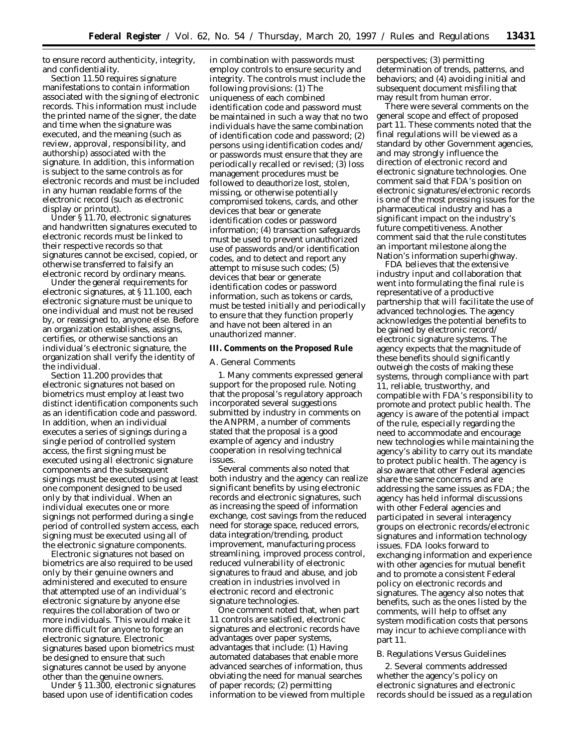to ensure record authenticity, integrity, and confidentiality.

Section 11.50 requires signature manifestations to contain information associated with the signing of electronic records. This information must include the printed name of the signer, the date and time when the signature was executed, and the meaning (such as review, approval, responsibility, and authorship) associated with the signature. In addition, this information is subject to the same controls as for electronic records and must be included in any human readable forms of the electronic record (such as electronic display or printout).

Under § 11.70, electronic signatures and handwritten signatures executed to electronic records must be linked to their respective records so that signatures cannot be excised, copied, or otherwise transferred to falsify an electronic record by ordinary means.

Under the general requirements for electronic signatures, at § 11.100, each electronic signature must be unique to one individual and must not be reused by, or reassigned to, anyone else. Before an organization establishes, assigns, certifies, or otherwise sanctions an individual's electronic signature, the organization shall verify the identity of the individual.

Section 11.200 provides that electronic signatures not based on biometrics must employ at least two distinct identification components such as an identification code and password. In addition, when an individual executes a series of signings during a single period of controlled system access, the first signing must be executed using all electronic signature components and the subsequent signings must be executed using at least one component designed to be used only by that individual. When an individual executes one or more signings not performed during a single period of controlled system access, each signing must be executed using all of the electronic signature components.

Electronic signatures not based on biometrics are also required to be used only by their genuine owners and administered and executed to ensure that attempted use of an individual's electronic signature by anyone else requires the collaboration of two or more individuals. This would make it more difficult for anyone to forge an electronic signature. Electronic signatures based upon biometrics must be designed to ensure that such signatures cannot be used by anyone other than the genuine owners.

Under § 11.300, electronic signatures based upon use of identification codes

in combination with passwords must employ controls to ensure security and integrity. The controls must include the following provisions: (1) The uniqueness of each combined identification code and password must be maintained in such a way that no two individuals have the same combination of identification code and password; (2) persons using identification codes and/ or passwords must ensure that they are periodically recalled or revised; (3) loss management procedures must be followed to deauthorize lost, stolen, missing, or otherwise potentially compromised tokens, cards, and other devices that bear or generate identification codes or password information; (4) transaction safeguards must be used to prevent unauthorized use of passwords and/or identification codes, and to detect and report any attempt to misuse such codes; (5) devices that bear or generate identification codes or password information, such as tokens or cards, must be tested initially and periodically to ensure that they function properly and have not been altered in an unauthorized manner.

## **III. Comments on the Proposed Rule**

# *A. General Comments*

1. Many comments expressed general support for the proposed rule. Noting that the proposal's regulatory approach incorporated several suggestions submitted by industry in comments on the ANPRM, a number of comments stated that the proposal is a good example of agency and industry cooperation in resolving technical issues.

Several comments also noted that both industry and the agency can realize significant benefits by using electronic records and electronic signatures, such as increasing the speed of information exchange, cost savings from the reduced need for storage space, reduced errors, data integration/trending, product improvement, manufacturing process streamlining, improved process control, reduced vulnerability of electronic signatures to fraud and abuse, and job creation in industries involved in electronic record and electronic signature technologies.

One comment noted that, when part 11 controls are satisfied, electronic signatures and electronic records have advantages over paper systems, advantages that include: (1) Having automated databases that enable more advanced searches of information, thus obviating the need for manual searches of paper records; (2) permitting information to be viewed from multiple

perspectives; (3) permitting determination of trends, patterns, and behaviors; and (4) avoiding initial and subsequent document misfiling that may result from human error.

There were several comments on the general scope and effect of proposed part 11. These comments noted that the final regulations will be viewed as a standard by other Government agencies, and may strongly influence the direction of electronic record and electronic signature technologies. One comment said that FDA's position on electronic signatures/electronic records is one of the most pressing issues for the pharmaceutical industry and has a significant impact on the industry's future competitiveness. Another comment said that the rule constitutes an important milestone along the Nation's information superhighway.

FDA believes that the extensive industry input and collaboration that went into formulating the final rule is representative of a productive partnership that will facilitate the use of advanced technologies. The agency acknowledges the potential benefits to be gained by electronic record/ electronic signature systems. The agency expects that the magnitude of these benefits should significantly outweigh the costs of making these systems, through compliance with part 11, reliable, trustworthy, and compatible with FDA's responsibility to promote and protect public health. The agency is aware of the potential impact of the rule, especially regarding the need to accommodate and encourage new technologies while maintaining the agency's ability to carry out its mandate to protect public health. The agency is also aware that other Federal agencies share the same concerns and are addressing the same issues as FDA; the agency has held informal discussions with other Federal agencies and participated in several interagency groups on electronic records/electronic signatures and information technology issues. FDA looks forward to exchanging information and experience with other agencies for mutual benefit and to promote a consistent Federal policy on electronic records and signatures. The agency also notes that benefits, such as the ones listed by the comments, will help to offset any system modification costs that persons may incur to achieve compliance with part 11.

## *B. Regulations Versus Guidelines*

2. Several comments addressed whether the agency's policy on electronic signatures and electronic records should be issued as a regulation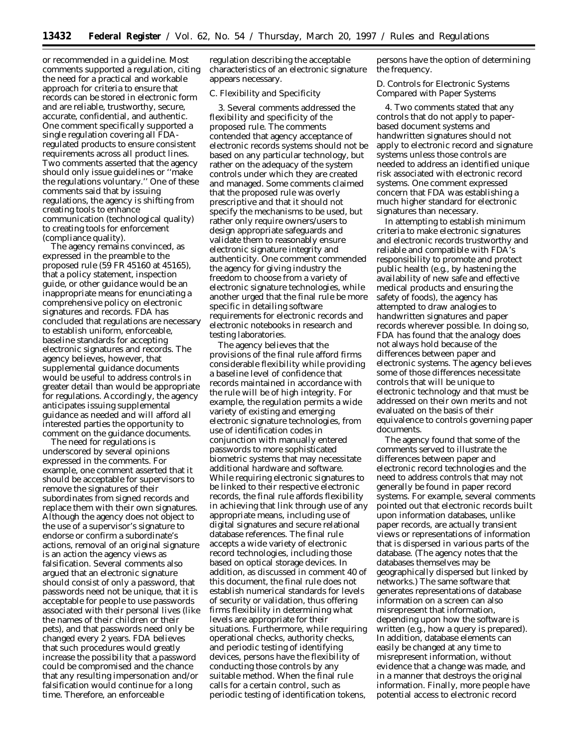or recommended in a guideline. Most comments supported a regulation, citing the need for a practical and workable approach for criteria to ensure that records can be stored in electronic form and are reliable, trustworthy, secure, accurate, confidential, and authentic. One comment specifically supported a single regulation covering all FDAregulated products to ensure consistent requirements across all product lines. Two comments asserted that the agency should only issue guidelines or ''make the regulations voluntary.'' One of these comments said that by issuing regulations, the agency is shifting from creating tools to enhance communication (technological quality) to creating tools for enforcement (compliance quality).

The agency remains convinced, as expressed in the preamble to the proposed rule (59 FR 45160 at 45165), that a policy statement, inspection guide, or other guidance would be an inappropriate means for enunciating a comprehensive policy on electronic signatures and records. FDA has concluded that regulations are necessary to establish uniform, enforceable, baseline standards for accepting electronic signatures and records. The agency believes, however, that supplemental guidance documents would be useful to address controls in greater detail than would be appropriate for regulations. Accordingly, the agency anticipates issuing supplemental guidance as needed and will afford all interested parties the opportunity to comment on the guidance documents.

The need for regulations is underscored by several opinions expressed in the comments. For example, one comment asserted that it should be acceptable for supervisors to remove the signatures of their subordinates from signed records and replace them with their own signatures. Although the agency does not object to the use of a supervisor's signature to endorse or confirm a subordinate's actions, removal of an original signature is an action the agency views as falsification. Several comments also argued that an electronic signature should consist of only a password, that passwords need not be unique, that it is acceptable for people to use passwords associated with their personal lives (like the names of their children or their pets), and that passwords need only be changed every 2 years. FDA believes that such procedures would greatly increase the possibility that a password could be compromised and the chance that any resulting impersonation and/or falsification would continue for a long time. Therefore, an enforceable

regulation describing the acceptable characteristics of an electronic signature appears necessary.

# *C. Flexibility and Specificity*

3. Several comments addressed the flexibility and specificity of the proposed rule. The comments contended that agency acceptance of electronic records systems should not be based on any particular technology, but rather on the adequacy of the system controls under which they are created and managed. Some comments claimed that the proposed rule was overly prescriptive and that it should not specify the mechanisms to be used, but rather only require owners/users to design appropriate safeguards and validate them to reasonably ensure electronic signature integrity and authenticity. One comment commended the agency for giving industry the freedom to choose from a variety of electronic signature technologies, while another urged that the final rule be more specific in detailing software requirements for electronic records and electronic notebooks in research and testing laboratories.

The agency believes that the provisions of the final rule afford firms considerable flexibility while providing a baseline level of confidence that records maintained in accordance with the rule will be of high integrity. For example, the regulation permits a wide variety of existing and emerging electronic signature technologies, from use of identification codes in conjunction with manually entered passwords to more sophisticated biometric systems that may necessitate additional hardware and software. While requiring electronic signatures to be linked to their respective electronic records, the final rule affords flexibility in achieving that link through use of any appropriate means, including use of digital signatures and secure relational database references. The final rule accepts a wide variety of electronic record technologies, including those based on optical storage devices. In addition, as discussed in comment 40 of this document, the final rule does not establish numerical standards for levels of security or validation, thus offering firms flexibility in determining what levels are appropriate for their situations. Furthermore, while requiring operational checks, authority checks, and periodic testing of identifying devices, persons have the flexibility of conducting those controls by any suitable method. When the final rule calls for a certain control, such as periodic testing of identification tokens,

persons have the option of determining the frequency.

# *D. Controls for Electronic Systems Compared with Paper Systems*

4. Two comments stated that any controls that do not apply to paperbased document systems and handwritten signatures should not apply to electronic record and signature systems unless those controls are needed to address an identified unique risk associated with electronic record systems. One comment expressed concern that FDA was establishing a much higher standard for electronic signatures than necessary.

In attempting to establish minimum criteria to make electronic signatures and electronic records trustworthy and reliable and compatible with FDA's responsibility to promote and protect public health (e.g., by hastening the availability of new safe and effective medical products and ensuring the safety of foods), the agency has attempted to draw analogies to handwritten signatures and paper records wherever possible. In doing so, FDA has found that the analogy does not always hold because of the differences between paper and electronic systems. The agency believes some of those differences necessitate controls that will be unique to electronic technology and that must be addressed on their own merits and not evaluated on the basis of their equivalence to controls governing paper documents.

The agency found that some of the comments served to illustrate the differences between paper and electronic record technologies and the need to address controls that may not generally be found in paper record systems. For example, several comments pointed out that electronic records built upon information databases, unlike paper records, are actually transient views or representations of information that is dispersed in various parts of the database. (The agency notes that the databases themselves may be geographically dispersed but linked by networks.) The same software that generates representations of database information on a screen can also misrepresent that information, depending upon how the software is written (e.g., how a query is prepared). In addition, database elements can easily be changed at any time to misrepresent information, without evidence that a change was made, and in a manner that destroys the original information. Finally, more people have potential access to electronic record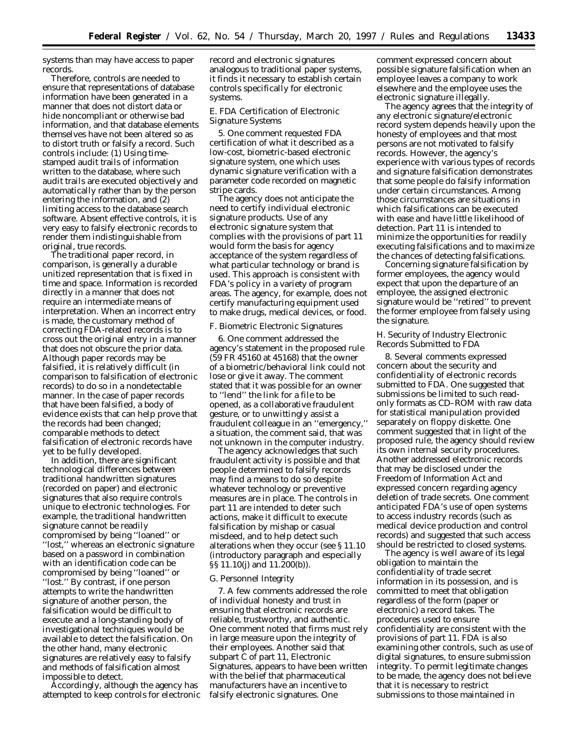systems than may have access to paper records.

Therefore, controls are needed to ensure that representations of database information have been generated in a manner that does not distort data or hide noncompliant or otherwise bad information, and that database elements themselves have not been altered so as to distort truth or falsify a record. Such controls include: (1) Using timestamped audit trails of information written to the database, where such audit trails are executed objectively and automatically rather than by the person entering the information, and (2) limiting access to the database search software. Absent effective controls, it is very easy to falsify electronic records to render them indistinguishable from original, true records.

The traditional paper record, in comparison, is generally a durable unitized representation that is fixed in time and space. Information is recorded directly in a manner that does not require an intermediate means of interpretation. When an incorrect entry is made, the customary method of correcting FDA-related records is to cross out the original entry in a manner that does not obscure the prior data. Although paper records may be falsified, it is relatively difficult (in comparison to falsification of electronic records) to do so in a nondetectable manner. In the case of paper records that have been falsified, a body of evidence exists that can help prove that the records had been changed; comparable methods to detect falsification of electronic records have yet to be fully developed.

In addition, there are significant technological differences between traditional handwritten signatures (recorded on paper) and electronic signatures that also require controls unique to electronic technologies. For example, the traditional handwritten signature cannot be readily compromised by being ''loaned'' or ''lost,'' whereas an electronic signature based on a password in combination with an identification code can be compromised by being ''loaned'' or ''lost.'' By contrast, if one person attempts to write the handwritten signature of another person, the falsification would be difficult to execute and a long-standing body of investigational techniques would be available to detect the falsification. On the other hand, many electronic signatures are relatively easy to falsify and methods of falsification almost impossible to detect.

Accordingly, although the agency has attempted to keep controls for electronic

record and electronic signatures analogous to traditional paper systems, it finds it necessary to establish certain controls specifically for electronic systems.

# *E. FDA Certification of Electronic Signature Systems*

5. One comment requested FDA certification of what it described as a low-cost, biometric-based electronic signature system, one which uses dynamic signature verification with a parameter code recorded on magnetic stripe cards.

The agency does not anticipate the need to certify individual electronic signature products. Use of any electronic signature system that complies with the provisions of part 11 would form the basis for agency acceptance of the system regardless of what particular technology or brand is used. This approach is consistent with FDA's policy in a variety of program areas. The agency, for example, does not certify manufacturing equipment used to make drugs, medical devices, or food.

# *F. Biometric Electronic Signatures*

6. One comment addressed the agency's statement in the proposed rule (59 FR 45160 at 45168) that the owner of a biometric/behavioral link could not lose or give it away. The comment stated that it was possible for an owner to ''lend'' the link for a file to be opened, as a collaborative fraudulent gesture, or to unwittingly assist a fraudulent colleague in an ''emergency,'' a situation, the comment said, that was not unknown in the computer industry.

The agency acknowledges that such fraudulent activity is possible and that people determined to falsify records may find a means to do so despite whatever technology or preventive measures are in place. The controls in part 11 are intended to deter such actions, make it difficult to execute falsification by mishap or casual misdeed, and to help detect such alterations when they occur (see § 11.10 (introductory paragraph and especially §§ 11.10(j) and 11.200(b)).

#### *G. Personnel Integrity*

7. A few comments addressed the role of individual honesty and trust in ensuring that electronic records are reliable, trustworthy, and authentic. One comment noted that firms must rely in large measure upon the integrity of their employees. Another said that subpart C of part 11, Electronic Signatures, appears to have been written with the belief that pharmaceutical manufacturers have an incentive to falsify electronic signatures. One

comment expressed concern about possible signature falsification when an employee leaves a company to work elsewhere and the employee uses the electronic signature illegally.

The agency agrees that the integrity of any electronic signature/electronic record system depends heavily upon the honesty of employees and that most persons are not motivated to falsify records. However, the agency's experience with various types of records and signature falsification demonstrates that some people do falsify information under certain circumstances. Among those circumstances are situations in which falsifications can be executed with ease and have little likelihood of detection. Part 11 is intended to minimize the opportunities for readily executing falsifications and to maximize the chances of detecting falsifications.

Concerning signature falsification by former employees, the agency would expect that upon the departure of an employee, the assigned electronic signature would be ''retired'' to prevent the former employee from falsely using the signature.

# *H. Security of Industry Electronic Records Submitted to FDA*

8. Several comments expressed concern about the security and confidentiality of electronic records submitted to FDA. One suggested that submissions be limited to such readonly formats as CD–ROM with raw data for statistical manipulation provided separately on floppy diskette. One comment suggested that in light of the proposed rule, the agency should review its own internal security procedures. Another addressed electronic records that may be disclosed under the Freedom of Information Act and expressed concern regarding agency deletion of trade secrets. One comment anticipated FDA's use of open systems to access industry records (such as medical device production and control records) and suggested that such access should be restricted to closed systems.

The agency is well aware of its legal obligation to maintain the confidentiality of trade secret information in its possession, and is committed to meet that obligation regardless of the form (paper or electronic) a record takes. The procedures used to ensure confidentiality are consistent with the provisions of part 11. FDA is also examining other controls, such as use of digital signatures, to ensure submission integrity. To permit legitimate changes to be made, the agency does not believe that it is necessary to restrict submissions to those maintained in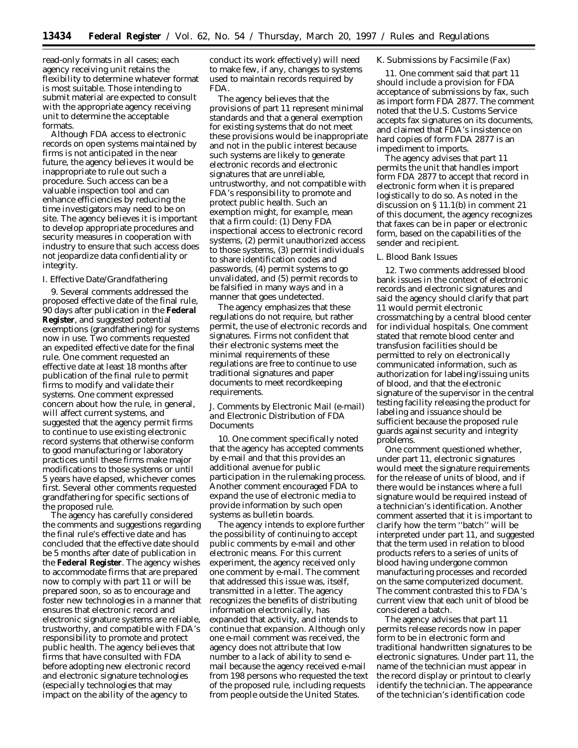read-only formats in all cases; each agency receiving unit retains the flexibility to determine whatever format is most suitable. Those intending to submit material are expected to consult with the appropriate agency receiving unit to determine the acceptable formats.

Although FDA access to electronic records on open systems maintained by firms is not anticipated in the near future, the agency believes it would be inappropriate to rule out such a procedure. Such access can be a valuable inspection tool and can enhance efficiencies by reducing the time investigators may need to be on site. The agency believes it is important to develop appropriate procedures and security measures in cooperation with industry to ensure that such access does not jeopardize data confidentiality or integrity.

## *I. Effective Date/Grandfathering*

9. Several comments addressed the proposed effective date of the final rule, 90 days after publication in the **Federal Register**, and suggested potential exemptions (grandfathering) for systems now in use. Two comments requested an expedited effective date for the final rule. One comment requested an effective date at least 18 months after publication of the final rule to permit firms to modify and validate their systems. One comment expressed concern about how the rule, in general, will affect current systems, and suggested that the agency permit firms to continue to use existing electronic record systems that otherwise conform to good manufacturing or laboratory practices until these firms make major modifications to those systems or until 5 years have elapsed, whichever comes first. Several other comments requested grandfathering for specific sections of the proposed rule.

The agency has carefully considered the comments and suggestions regarding the final rule's effective date and has concluded that the effective date should be 5 months after date of publication in the **Federal Register**. The agency wishes to accommodate firms that are prepared now to comply with part 11 or will be prepared soon, so as to encourage and foster new technologies in a manner that ensures that electronic record and electronic signature systems are reliable, trustworthy, and compatible with FDA's responsibility to promote and protect public health. The agency believes that firms that have consulted with FDA before adopting new electronic record and electronic signature technologies (especially technologies that may impact on the ability of the agency to

conduct its work effectively) will need to make few, if any, changes to systems used to maintain records required by FDA.

The agency believes that the provisions of part 11 represent minimal standards and that a general exemption for existing systems that do not meet these provisions would be inappropriate and not in the public interest because such systems are likely to generate electronic records and electronic signatures that are unreliable, untrustworthy, and not compatible with FDA's responsibility to promote and protect public health. Such an exemption might, for example, mean that a firm could: (1) Deny FDA inspectional access to electronic record systems, (2) permit unauthorized access to those systems, (3) permit individuals to share identification codes and passwords, (4) permit systems to go unvalidated, and (5) permit records to be falsified in many ways and in a manner that goes undetected.

The agency emphasizes that these regulations do not require, but rather permit, the use of electronic records and signatures. Firms not confident that their electronic systems meet the minimal requirements of these regulations are free to continue to use traditional signatures and paper documents to meet recordkeeping requirements.

# *J. Comments by Electronic Mail (e-mail) and Electronic Distribution of FDA Documents*

10. One comment specifically noted that the agency has accepted comments by e-mail and that this provides an additional avenue for public participation in the rulemaking process. Another comment encouraged FDA to expand the use of electronic media to provide information by such open systems as bulletin boards.

The agency intends to explore further the possibility of continuing to accept public comments by e-mail and other electronic means. For this current experiment, the agency received only one comment by e-mail. The comment that addressed this issue was, itself, transmitted in a letter. The agency recognizes the benefits of distributing information electronically, has expanded that activity, and intends to continue that expansion. Although only one e-mail comment was received, the agency does not attribute that low number to a lack of ability to send email because the agency received e-mail from 198 persons who requested the text of the proposed rule, including requests from people outside the United States.

# *K. Submissions by Facsimile (Fax)*

11. One comment said that part 11 should include a provision for FDA acceptance of submissions by fax, such as import form FDA 2877. The comment noted that the U.S. Customs Service accepts fax signatures on its documents, and claimed that FDA's insistence on hard copies of form FDA 2877 is an impediment to imports.

The agency advises that part 11 permits the unit that handles import form FDA 2877 to accept that record in electronic form when it is prepared logistically to do so. As noted in the discussion on § 11.1(b) in comment 21 of this document, the agency recognizes that faxes can be in paper or electronic form, based on the capabilities of the sender and recipient.

## *L. Blood Bank Issues*

12. Two comments addressed blood bank issues in the context of electronic records and electronic signatures and said the agency should clarify that part 11 would permit electronic crossmatching by a central blood center for individual hospitals. One comment stated that remote blood center and transfusion facilities should be permitted to rely on electronically communicated information, such as authorization for labeling/issuing units of blood, and that the electronic signature of the supervisor in the central testing facility releasing the product for labeling and issuance should be sufficient because the proposed rule guards against security and integrity problems.

One comment questioned whether, under part 11, electronic signatures would meet the signature requirements for the release of units of blood, and if there would be instances where a full signature would be required instead of a technician's identification. Another comment asserted that it is important to clarify how the term ''batch'' will be interpreted under part 11, and suggested that the term used in relation to blood products refers to a series of units of blood having undergone common manufacturing processes and recorded on the same computerized document. The comment contrasted this to FDA's current view that each unit of blood be considered a batch.

The agency advises that part 11 permits release records now in paper form to be in electronic form and traditional handwritten signatures to be electronic signatures. Under part 11, the name of the technician must appear in the record display or printout to clearly identify the technician. The appearance of the technician's identification code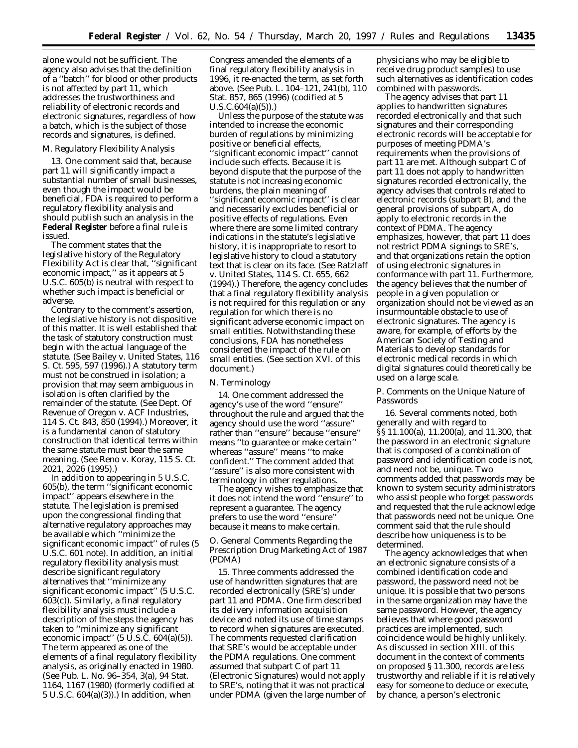alone would not be sufficient. The agency also advises that the definition of a ''batch'' for blood or other products is not affected by part 11, which addresses the trustworthiness and reliability of electronic records and electronic signatures, regardless of how a batch, which is the subject of those records and signatures, is defined.

# *M. Regulatory Flexibility Analysis*

13. One comment said that, because part 11 will significantly impact a substantial number of small businesses, even though the impact would be beneficial, FDA is required to perform a regulatory flexibility analysis and should publish such an analysis in the **Federal Register** before a final rule is issued.

The comment states that the legislative history of the Regulatory Flexibility Act is clear that, ''significant economic impact,'' as it appears at 5 U.S.C. 605(b) is neutral with respect to whether such impact is beneficial or adverse.

Contrary to the comment's assertion, the legislative history is not dispositive of this matter. It is well established that the task of statutory construction must begin with the actual language of the statute. (See *Bailey* v. *United States*, 116 S. Ct. 595, 597 (1996).) A statutory term must not be construed in isolation; a provision that may seem ambiguous in isolation is often clarified by the remainder of the statute. (See *Dept. Of Revenue of Oregon* v. *ACF Industries*, 114 S. Ct. 843, 850 (1994).) Moreover, it is a fundamental canon of statutory construction that identical terms within the same statute must bear the same meaning. (See *Reno* v. *Koray*, 115 S. Ct. 2021, 2026 (1995).)

In addition to appearing in 5 U.S.C. 605(b), the term ''significant economic impact'' appears elsewhere in the statute. The legislation is premised upon the congressional finding that alternative regulatory approaches may be available which ''minimize the significant economic impact'' of rules (5 U.S.C. 601 note). In addition, an initial regulatory flexibility analysis must describe significant regulatory alternatives that ''minimize any significant economic impact'' (5 U.S.C. 603(c)). Similarly, a final regulatory flexibility analysis must include a description of the steps the agency has taken to ''minimize any significant economic impact'' (5 U.S.C. 604(a)(5)). The term appeared as one of the elements of a final regulatory flexibility analysis, as originally enacted in 1980. (See Pub. L. No. 96–354, 3(a), 94 Stat. 1164, 1167 (1980) (formerly codified at 5 U.S.C. 604(a)(3)).) In addition, when

Congress amended the elements of a final regulatory flexibility analysis in 1996, it re-enacted the term, as set forth above. (See Pub. L. 104–121, 241(b), 110 Stat. 857, 865 (1996) (codified at 5  $U.S.C.604(a)(5))$ .

Unless the purpose of the statute was intended to increase the economic burden of regulations by minimizing positive or beneficial effects,

'significant economic impact'' cannot include such effects. Because it is beyond dispute that the purpose of the statute is not increasing economic burdens, the plain meaning of ''significant economic impact'' is clear and necessarily excludes beneficial or positive effects of regulations. Even where there are some limited contrary indications in the statute's legislative history, it is inappropriate to resort to legislative history to cloud a statutory text that is clear on its face. (See *Ratzlaff* v. *United States*, 114 S. Ct. 655, 662 (1994).) Therefore, the agency concludes that a final regulatory flexibility analysis is not required for this regulation or any regulation for which there is no significant adverse economic impact on small entities. Notwithstanding these conclusions, FDA has nonetheless considered the impact of the rule on small entities. (See section XVI. of this document.)

# *N. Terminology*

14. One comment addressed the agency's use of the word ''ensure'' throughout the rule and argued that the agency should use the word ''assure'' rather than ''ensure'' because ''ensure'' means ''to guarantee or make certain'' whereas ''assure'' means ''to make confident.'' The comment added that ''assure'' is also more consistent with terminology in other regulations.

The agency wishes to emphasize that it does not intend the word ''ensure'' to represent a guarantee. The agency prefers to use the word ''ensure'' because it means to make certain.

# *O. General Comments Regarding the Prescription Drug Marketing Act of 1987 (PDMA)*

15. Three comments addressed the use of handwritten signatures that are recorded electronically (SRE's) under part 11 and PDMA. One firm described its delivery information acquisition device and noted its use of time stamps to record when signatures are executed. The comments requested clarification that SRE's would be acceptable under the PDMA regulations. One comment assumed that subpart C of part 11 (Electronic Signatures) would not apply to SRE's, noting that it was not practical under PDMA (given the large number of

physicians who may be eligible to receive drug product samples) to use such alternatives as identification codes combined with passwords.

The agency advises that part 11 applies to handwritten signatures recorded electronically and that such signatures and their corresponding electronic records will be acceptable for purposes of meeting PDMA's requirements when the provisions of part 11 are met. Although subpart C of part 11 does not apply to handwritten signatures recorded electronically, the agency advises that controls related to electronic records (subpart B), and the general provisions of subpart A, do apply to electronic records in the context of PDMA. The agency emphasizes, however, that part 11 does not restrict PDMA signings to SRE's, and that organizations retain the option of using electronic signatures in conformance with part 11. Furthermore, the agency believes that the number of people in a given population or organization should not be viewed as an insurmountable obstacle to use of electronic signatures. The agency is aware, for example, of efforts by the American Society of Testing and Materials to develop standards for electronic medical records in which digital signatures could theoretically be used on a large scale.

# *P. Comments on the Unique Nature of Passwords*

16. Several comments noted, both generally and with regard to §§ 11.100(a), 11.200(a), and 11.300, that the password in an electronic signature that is composed of a combination of password and identification code is not, and need not be, unique. Two comments added that passwords may be known to system security administrators who assist people who forget passwords and requested that the rule acknowledge that passwords need not be unique. One comment said that the rule should describe how uniqueness is to be determined.

The agency acknowledges that when an electronic signature consists of a combined identification code and password, the password need not be unique. It is possible that two persons in the same organization may have the same password. However, the agency believes that where good password practices are implemented, such coincidence would be highly unlikely. As discussed in section XIII. of this document in the context of comments on proposed § 11.300, records are less trustworthy and reliable if it is relatively easy for someone to deduce or execute, by chance, a person's electronic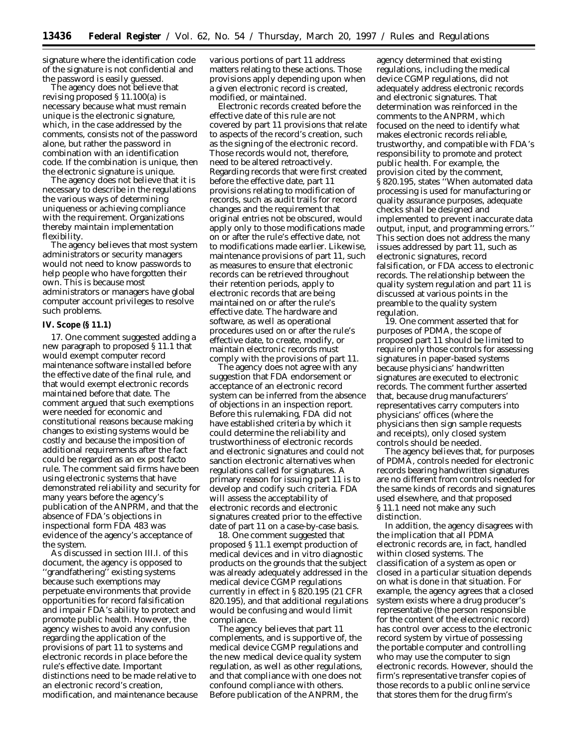signature where the identification code of the signature is not confidential and the password is easily guessed.

The agency does not believe that revising proposed § 11.100(a) is necessary because what must remain unique is the electronic signature, which, in the case addressed by the comments, consists not of the password alone, but rather the password in combination with an identification code. If the combination is unique, then the electronic signature is unique.

The agency does not believe that it is necessary to describe in the regulations the various ways of determining uniqueness or achieving compliance with the requirement. Organizations thereby maintain implementation flexibility.

The agency believes that most system administrators or security managers would not need to know passwords to help people who have forgotten their own. This is because most administrators or managers have global computer account privileges to resolve such problems.

## **IV. Scope (§ 11.1)**

17. One comment suggested adding a new paragraph to proposed § 11.1 that would exempt computer record maintenance software installed before the effective date of the final rule, and that would exempt electronic records maintained before that date. The comment argued that such exemptions were needed for economic and constitutional reasons because making changes to existing systems would be costly and because the imposition of additional requirements after the fact could be regarded as an ex post facto rule. The comment said firms have been using electronic systems that have demonstrated reliability and security for many years before the agency's publication of the ANPRM, and that the absence of FDA's objections in inspectional form FDA 483 was evidence of the agency's acceptance of the system.

As discussed in section III.I. of this document, the agency is opposed to ''grandfathering'' existing systems because such exemptions may perpetuate environments that provide opportunities for record falsification and impair FDA's ability to protect and promote public health. However, the agency wishes to avoid any confusion regarding the application of the provisions of part 11 to systems and electronic records in place before the rule's effective date. Important distinctions need to be made relative to an electronic record's creation, modification, and maintenance because various portions of part 11 address matters relating to these actions. Those provisions apply depending upon when a given electronic record is created, modified, or maintained.

Electronic records created before the effective date of this rule are not covered by part 11 provisions that relate to aspects of the record's creation, such as the signing of the electronic record. Those records would not, therefore, need to be altered retroactively. Regarding records that were first created before the effective date, part 11 provisions relating to modification of records, such as audit trails for record changes and the requirement that original entries not be obscured, would apply only to those modifications made on or after the rule's effective date, not to modifications made earlier. Likewise, maintenance provisions of part 11, such as measures to ensure that electronic records can be retrieved throughout their retention periods, apply to electronic records that are being maintained on or after the rule's effective date. The hardware and software, as well as operational procedures used on or after the rule's effective date, to create, modify, or maintain electronic records must comply with the provisions of part 11.

The agency does not agree with any suggestion that FDA endorsement or acceptance of an electronic record system can be inferred from the absence of objections in an inspection report. Before this rulemaking, FDA did not have established criteria by which it could determine the reliability and trustworthiness of electronic records and electronic signatures and could not sanction electronic alternatives when regulations called for signatures. A primary reason for issuing part 11 is to develop and codify such criteria. FDA will assess the acceptability of electronic records and electronic signatures created prior to the effective date of part 11 on a case-by-case basis.

18. One comment suggested that proposed § 11.1 exempt production of medical devices and in vitro diagnostic products on the grounds that the subject was already adequately addressed in the medical device CGMP regulations currently in effect in § 820.195 (21 CFR 820.195), and that additional regulations would be confusing and would limit compliance.

The agency believes that part 11 complements, and is supportive of, the medical device CGMP regulations and the new medical device quality system regulation, as well as other regulations, and that compliance with one does not confound compliance with others. Before publication of the ANPRM, the

agency determined that existing regulations, including the medical device CGMP regulations, did not adequately address electronic records and electronic signatures. That determination was reinforced in the comments to the ANPRM, which focused on the need to identify what makes electronic records reliable, trustworthy, and compatible with FDA's responsibility to promote and protect public health. For example, the provision cited by the comment, § 820.195, states "When automated data processing is used for manufacturing or quality assurance purposes, adequate checks shall be designed and implemented to prevent inaccurate data output, input, and programming errors.'' This section does not address the many issues addressed by part 11, such as electronic signatures, record falsification, or FDA access to electronic records. The relationship between the quality system regulation and part 11 is discussed at various points in the preamble to the quality system regulation.

19. One comment asserted that for purposes of PDMA, the scope of proposed part 11 should be limited to require only those controls for assessing signatures in paper-based systems because physicians' handwritten signatures are executed to electronic records. The comment further asserted that, because drug manufacturers' representatives carry computers into physicians' offices (where the physicians then sign sample requests and receipts), only closed system controls should be needed.

The agency believes that, for purposes of PDMA, controls needed for electronic records bearing handwritten signatures are no different from controls needed for the same kinds of records and signatures used elsewhere, and that proposed § 11.1 need not make any such distinction.

In addition, the agency disagrees with the implication that all PDMA electronic records are, in fact, handled within closed systems. The classification of a system as open or closed in a particular situation depends on what is done in that situation. For example, the agency agrees that a closed system exists where a drug producer's representative (the person responsible for the content of the electronic record) has control over access to the electronic record system by virtue of possessing the portable computer and controlling who may use the computer to sign electronic records. However, should the firm's representative transfer copies of those records to a public online service that stores them for the drug firm's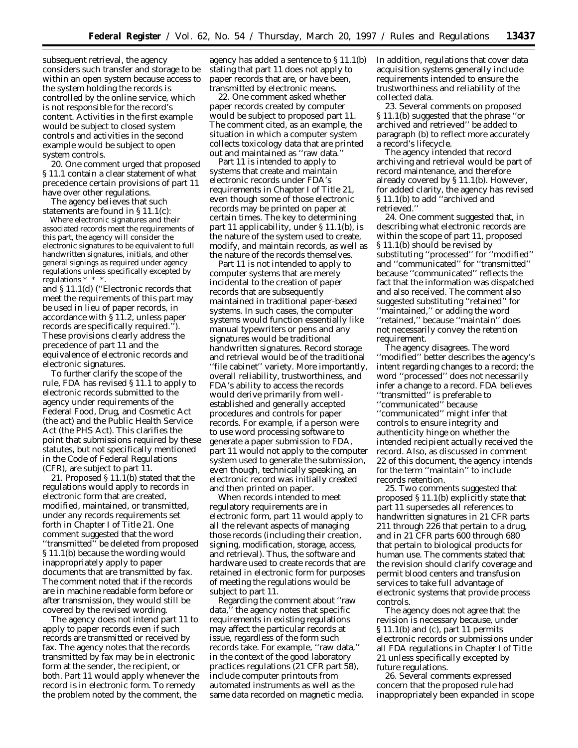subsequent retrieval, the agency considers such transfer and storage to be within an open system because access to the system holding the records is controlled by the online service, which is not responsible for the record's content. Activities in the first example would be subject to closed system controls and activities in the second example would be subject to open system controls.

20. One comment urged that proposed § 11.1 contain a clear statement of what precedence certain provisions of part 11 have over other regulations.

The agency believes that such statements are found in § 11.1(c):

Where electronic signatures and their associated records meet the requirements of this part, the agency will consider the electronic signatures to be equivalent to full handwritten signatures, initials, and other general signings as required under agency regulations unless specifically excepted by regulations \* \* \*.

and § 11.1(d) (''Electronic records that meet the requirements of this part may be used in lieu of paper records, in accordance with § 11.2, unless paper records are specifically required.''). These provisions clearly address the precedence of part 11 and the equivalence of electronic records and electronic signatures.

To further clarify the scope of the rule, FDA has revised § 11.1 to apply to electronic records submitted to the agency under requirements of the Federal Food, Drug, and Cosmetic Act (the act) and the Public Health Service Act (the PHS Act). This clarifies the point that submissions required by these statutes, but not specifically mentioned in the Code of Federal Regulations (CFR), are subject to part 11.

21. Proposed § 11.1(b) stated that the regulations would apply to records in electronic form that are created, modified, maintained, or transmitted, under any records requirements set forth in Chapter I of Title 21. One comment suggested that the word "transmitted" be deleted from proposed § 11.1(b) because the wording would inappropriately apply to paper documents that are transmitted by fax. The comment noted that if the records are in machine readable form before or after transmission, they would still be covered by the revised wording.

The agency does not intend part 11 to apply to paper records even if such records are transmitted or received by fax. The agency notes that the records transmitted by fax may be in electronic form at the sender, the recipient, or both. Part 11 would apply whenever the record is in electronic form. To remedy the problem noted by the comment, the

agency has added a sentence to § 11.1(b) stating that part 11 does not apply to paper records that are, or have been, transmitted by electronic means.

22. One comment asked whether paper records created by computer would be subject to proposed part 11. The comment cited, as an example, the situation in which a computer system collects toxicology data that are printed out and maintained as ''raw data.''

Part 11 is intended to apply to systems that create and maintain electronic records under FDA's requirements in Chapter I of Title 21, even though some of those electronic records may be printed on paper at certain times. The key to determining part 11 applicability, under § 11.1(b), is the nature of the system used to create, modify, and maintain records, as well as the nature of the records themselves.

Part 11 is not intended to apply to computer systems that are merely incidental to the creation of paper records that are subsequently maintained in traditional paper-based systems. In such cases, the computer systems would function essentially like manual typewriters or pens and any signatures would be traditional handwritten signatures. Record storage and retrieval would be of the traditional ''file cabinet'' variety. More importantly, overall reliability, trustworthiness, and FDA's ability to access the records would derive primarily from wellestablished and generally accepted procedures and controls for paper records. For example, if a person were to use word processing software to generate a paper submission to FDA, part 11 would not apply to the computer system used to generate the submission, even though, technically speaking, an electronic record was initially created and then printed on paper.

When records intended to meet regulatory requirements are in electronic form, part 11 would apply to all the relevant aspects of managing those records (including their creation, signing, modification, storage, access, and retrieval). Thus, the software and hardware used to create records that are retained in electronic form for purposes of meeting the regulations would be subject to part 11.

Regarding the comment about ''raw data,'' the agency notes that specific requirements in existing regulations may affect the particular records at issue, regardless of the form such records take. For example, ''raw data,'' in the context of the good laboratory practices regulations (21 CFR part 58), include computer printouts from automated instruments as well as the same data recorded on magnetic media. In addition, regulations that cover data acquisition systems generally include requirements intended to ensure the trustworthiness and reliability of the collected data.

23. Several comments on proposed § 11.1(b) suggested that the phrase ''or archived and retrieved'' be added to paragraph (b) to reflect more accurately a record's lifecycle.

The agency intended that record archiving and retrieval would be part of record maintenance, and therefore already covered by § 11.1(b). However, for added clarity, the agency has revised § 11.1(b) to add ''archived and retrieved.''

24. One comment suggested that, in describing what electronic records are within the scope of part 11, proposed § 11.1(b) should be revised by substituting ''processed'' for ''modified'' and ''communicated'' for ''transmitted'' because ''communicated'' reflects the fact that the information was dispatched and also received. The comment also suggested substituting ''retained'' for ''maintained,'' or adding the word ''retained,'' because ''maintain'' does not necessarily convey the retention requirement.

The agency disagrees. The word ''modified'' better describes the agency's intent regarding changes to a record; the word ''processed'' does not necessarily infer a change to a record. FDA believes ''transmitted'' is preferable to ''communicated'' because ''communicated'' might infer that controls to ensure integrity and authenticity hinge on whether the intended recipient actually received the record. Also, as discussed in comment 22 of this document, the agency intends for the term ''maintain'' to include records retention.

25. Two comments suggested that proposed § 11.1(b) explicitly state that part 11 supersedes all references to handwritten signatures in 21 CFR parts 211 through 226 that pertain to a drug, and in 21 CFR parts 600 through 680 that pertain to biological products for human use. The comments stated that the revision should clarify coverage and permit blood centers and transfusion services to take full advantage of electronic systems that provide process controls.

The agency does not agree that the revision is necessary because, under § 11.1(b) and (c), part 11 permits electronic records or submissions under all FDA regulations in Chapter I of Title 21 unless specifically excepted by future regulations.

26. Several comments expressed concern that the proposed rule had inappropriately been expanded in scope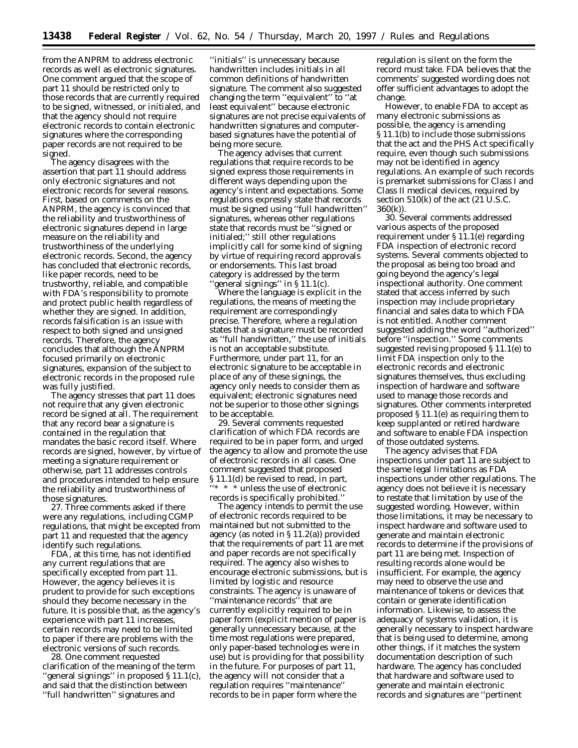from the ANPRM to address electronic records as well as electronic signatures. One comment argued that the scope of part 11 should be restricted only to those records that are currently required to be signed, witnessed, or initialed, and that the agency should not require electronic records to contain electronic signatures where the corresponding paper records are not required to be signed.

The agency disagrees with the assertion that part 11 should address only electronic signatures and not electronic records for several reasons. First, based on comments on the ANPRM, the agency is convinced that the reliability and trustworthiness of electronic signatures depend in large measure on the reliability and trustworthiness of the underlying electronic records. Second, the agency has concluded that electronic records, like paper records, need to be trustworthy, reliable, and compatible with FDA's responsibility to promote and protect public health regardless of whether they are signed. In addition, records falsification is an issue with respect to both signed and unsigned records. Therefore, the agency concludes that although the ANPRM focused primarily on electronic signatures, expansion of the subject to electronic records in the proposed rule was fully justified.

The agency stresses that part 11 does not require that any given electronic record be signed at all. The requirement that any record bear a signature is contained in the regulation that mandates the basic record itself. Where records are signed, however, by virtue of meeting a signature requirement or otherwise, part 11 addresses controls and procedures intended to help ensure the reliability and trustworthiness of those signatures.

27. Three comments asked if there were any regulations, including CGMP regulations, that might be excepted from part 11 and requested that the agency identify such regulations.

FDA, at this time, has not identified any current regulations that are specifically excepted from part 11. However, the agency believes it is prudent to provide for such exceptions should they become necessary in the future. It is possible that, as the agency's experience with part 11 increases, certain records may need to be limited to paper if there are problems with the electronic versions of such records.

28. One comment requested clarification of the meaning of the term ''general signings'' in proposed § 11.1(c), and said that the distinction between ''full handwritten'' signatures and

''initials'' is unnecessary because handwritten includes initials in all common definitions of handwritten signature. The comment also suggested changing the term "equivalent" to "at least equivalent'' because electronic signatures are not precise equivalents of handwritten signatures and computerbased signatures have the potential of being more secure.

The agency advises that current regulations that require records to be signed express those requirements in different ways depending upon the agency's intent and expectations. Some regulations expressly state that records must be signed using ''full handwritten'' signatures, whereas other regulations state that records must be ''signed or initialed;'' still other regulations implicitly call for some kind of signing by virtue of requiring record approvals or endorsements. This last broad category is addressed by the term 'general signings'' in  $\S$ 11.1(c).

Where the language is explicit in the regulations, the means of meeting the requirement are correspondingly precise. Therefore, where a regulation states that a signature must be recorded as ''full handwritten,'' the use of initials is not an acceptable substitute. Furthermore, under part 11, for an electronic signature to be acceptable in place of any of these signings, the agency only needs to consider them as equivalent; electronic signatures need not be superior to those other signings to be acceptable.

29. Several comments requested clarification of which FDA records are required to be in paper form, and urged the agency to allow and promote the use of electronic records in all cases. One comment suggested that proposed § 11.1(d) be revised to read, in part, ''\* \* \* unless the use of electronic records is specifically prohibited.''

The agency intends to permit the use of electronic records required to be maintained but not submitted to the agency (as noted in § 11.2(a)) provided that the requirements of part 11 are met and paper records are not specifically required. The agency also wishes to encourage electronic submissions, but is limited by logistic and resource constraints. The agency is unaware of ''maintenance records'' that are currently explicitly required to be in paper form (explicit mention of paper is generally unnecessary because, at the time most regulations were prepared, only paper-based technologies were in use) but is providing for that possibility in the future. For purposes of part 11, the agency will not consider that a regulation requires ''maintenance'' records to be in paper form where the

regulation is silent on the form the record must take. FDA believes that the comments' suggested wording does not offer sufficient advantages to adopt the change.

However, to enable FDA to accept as many electronic submissions as possible, the agency is amending § 11.1(b) to include those submissions that the act and the PHS Act specifically require, even though such submissions may not be identified in agency regulations. An example of such records is premarket submissions for Class I and Class II medical devices, required by section 510(k) of the act (21 U.S.C. 360(k)).

30. Several comments addressed various aspects of the proposed requirement under § 11.1(e) regarding FDA inspection of electronic record systems. Several comments objected to the proposal as being too broad and going beyond the agency's legal inspectional authority. One comment stated that access inferred by such inspection may include proprietary financial and sales data to which FDA is not entitled. Another comment suggested adding the word ''authorized'' before ''inspection.'' Some comments suggested revising proposed § 11.1(e) to limit FDA inspection only to the electronic records and electronic signatures themselves, thus excluding inspection of hardware and software used to manage those records and signatures. Other comments interpreted proposed § 11.1(e) as requiring them to keep supplanted or retired hardware and software to enable FDA inspection of those outdated systems.

The agency advises that FDA inspections under part 11 are subject to the same legal limitations as FDA inspections under other regulations. The agency does not believe it is necessary to restate that limitation by use of the suggested wording. However, within those limitations, it may be necessary to inspect hardware and software used to generate and maintain electronic records to determine if the provisions of part 11 are being met. Inspection of resulting records alone would be insufficient. For example, the agency may need to observe the use and maintenance of tokens or devices that contain or generate identification information. Likewise, to assess the adequacy of systems validation, it is generally necessary to inspect hardware that is being used to determine, among other things, if it matches the system documentation description of such hardware. The agency has concluded that hardware and software used to generate and maintain electronic records and signatures are ''pertinent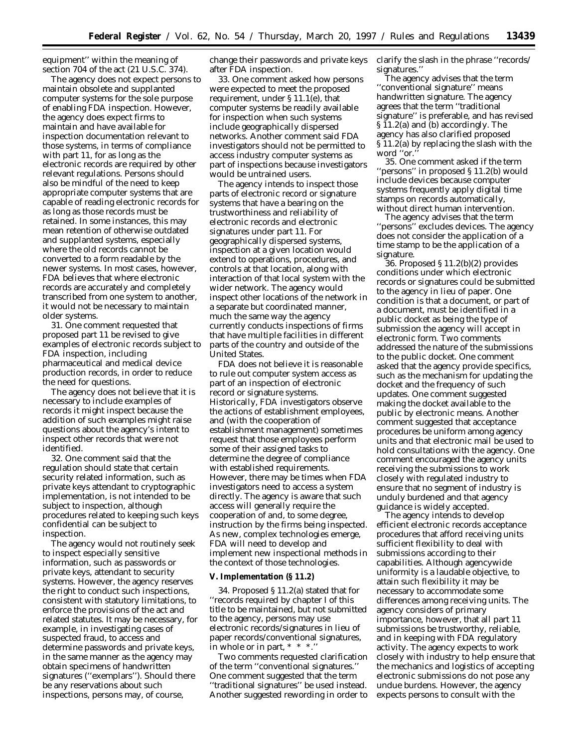equipment'' within the meaning of section 704 of the act (21 U.S.C. 374).

The agency does not expect persons to maintain obsolete and supplanted computer systems for the sole purpose of enabling FDA inspection. However, the agency does expect firms to maintain and have available for inspection documentation relevant to those systems, in terms of compliance with part 11, for as long as the electronic records are required by other relevant regulations. Persons should also be mindful of the need to keep appropriate computer systems that are capable of reading electronic records for as long as those records must be retained. In some instances, this may mean retention of otherwise outdated and supplanted systems, especially where the old records cannot be converted to a form readable by the newer systems. In most cases, however, FDA believes that where electronic records are accurately and completely transcribed from one system to another, it would not be necessary to maintain older systems.

31. One comment requested that proposed part 11 be revised to give examples of electronic records subject to FDA inspection, including pharmaceutical and medical device production records, in order to reduce the need for questions.

The agency does not believe that it is necessary to include examples of records it might inspect because the addition of such examples might raise questions about the agency's intent to inspect other records that were not identified.

32. One comment said that the regulation should state that certain security related information, such as private keys attendant to cryptographic implementation, is not intended to be subject to inspection, although procedures related to keeping such keys confidential can be subject to inspection.

The agency would not routinely seek to inspect especially sensitive information, such as passwords or private keys, attendant to security systems. However, the agency reserves the right to conduct such inspections, consistent with statutory limitations, to enforce the provisions of the act and related statutes. It may be necessary, for example, in investigating cases of suspected fraud, to access and determine passwords and private keys, in the same manner as the agency may obtain specimens of handwritten signatures (''exemplars''). Should there be any reservations about such inspections, persons may, of course,

change their passwords and private keys after FDA inspection.

33. One comment asked how persons were expected to meet the proposed requirement, under § 11.1(e), that computer systems be readily available for inspection when such systems include geographically dispersed networks. Another comment said FDA investigators should not be permitted to access industry computer systems as part of inspections because investigators would be untrained users.

The agency intends to inspect those parts of electronic record or signature systems that have a bearing on the trustworthiness and reliability of electronic records and electronic signatures under part 11. For geographically dispersed systems, inspection at a given location would extend to operations, procedures, and controls at that location, along with interaction of that local system with the wider network. The agency would inspect other locations of the network in a separate but coordinated manner, much the same way the agency currently conducts inspections of firms that have multiple facilities in different parts of the country and outside of the United States.

FDA does not believe it is reasonable to rule out computer system access as part of an inspection of electronic record or signature systems. Historically, FDA investigators observe the actions of establishment employees, and (with the cooperation of establishment management) sometimes request that those employees perform some of their assigned tasks to determine the degree of compliance with established requirements. However, there may be times when FDA investigators need to access a system directly. The agency is aware that such access will generally require the cooperation of and, to some degree, instruction by the firms being inspected. As new, complex technologies emerge, FDA will need to develop and implement new inspectional methods in the context of those technologies.

#### **V. Implementation (§ 11.2)**

34. Proposed § 11.2(a) stated that for ''records required by chapter I of this title to be maintained, but not submitted to the agency, persons may use electronic records/signatures in lieu of paper records/conventional signatures, in whole or in part, \* \* \*.''

Two comments requested clarification of the term ''conventional signatures.'' One comment suggested that the term ''traditional signatures'' be used instead. Another suggested rewording in order to clarify the slash in the phrase ''records/ signatures.''

The agency advises that the term ''conventional signature'' means handwritten signature. The agency agrees that the term ''traditional signature'' is preferable, and has revised § 11.2(a) and (b) accordingly. The agency has also clarified proposed § 11.2(a) by replacing the slash with the word ''or.''

35. One comment asked if the term ''persons'' in proposed § 11.2(b) would include devices because computer systems frequently apply digital time stamps on records automatically, without direct human intervention.

The agency advises that the term ''persons'' excludes devices. The agency does not consider the application of a time stamp to be the application of a signature.

36. Proposed § 11.2(b)(2) provides conditions under which electronic records or signatures could be submitted to the agency in lieu of paper. One condition is that a document, or part of a document, must be identified in a public docket as being the type of submission the agency will accept in electronic form. Two comments addressed the nature of the submissions to the public docket. One comment asked that the agency provide specifics, such as the mechanism for updating the docket and the frequency of such updates. One comment suggested making the docket available to the public by electronic means. Another comment suggested that acceptance procedures be uniform among agency units and that electronic mail be used to hold consultations with the agency. One comment encouraged the agency units receiving the submissions to work closely with regulated industry to ensure that no segment of industry is unduly burdened and that agency guidance is widely accepted.

The agency intends to develop efficient electronic records acceptance procedures that afford receiving units sufficient flexibility to deal with submissions according to their capabilities. Although agencywide uniformity is a laudable objective, to attain such flexibility it may be necessary to accommodate some differences among receiving units. The agency considers of primary importance, however, that all part 11 submissions be trustworthy, reliable, and in keeping with FDA regulatory activity. The agency expects to work closely with industry to help ensure that the mechanics and logistics of accepting electronic submissions do not pose any undue burdens. However, the agency expects persons to consult with the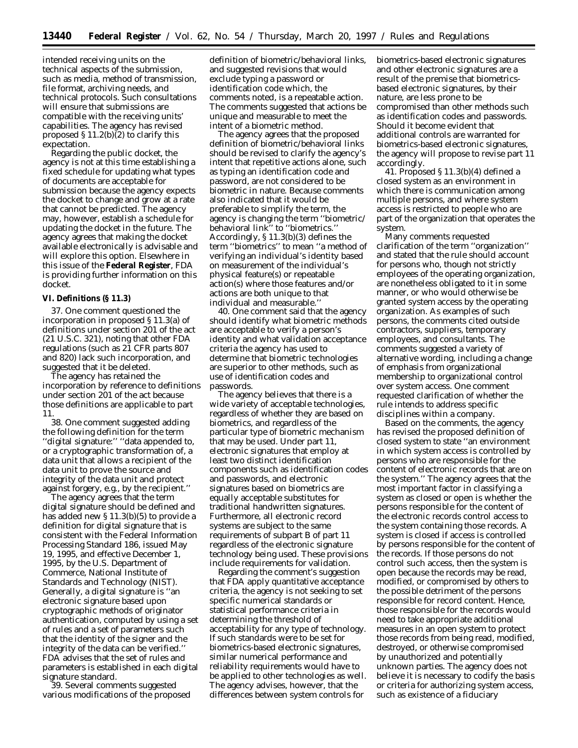intended receiving units on the technical aspects of the submission, such as media, method of transmission, file format, archiving needs, and technical protocols. Such consultations will ensure that submissions are compatible with the receiving units' capabilities. The agency has revised proposed § 11.2(b)(2) to clarify this expectation.

Regarding the public docket, the agency is not at this time establishing a fixed schedule for updating what types of documents are acceptable for submission because the agency expects the docket to change and grow at a rate that cannot be predicted. The agency may, however, establish a schedule for updating the docket in the future. The agency agrees that making the docket available electronically is advisable and will explore this option. Elsewhere in this issue of the **Federal Register**, FDA is providing further information on this docket.

#### **VI. Definitions (§ 11.3)**

37. One comment questioned the incorporation in proposed § 11.3(a) of definitions under section 201 of the act (21 U.S.C. 321), noting that other FDA regulations (such as 21 CFR parts 807 and 820) lack such incorporation, and suggested that it be deleted.

The agency has retained the incorporation by reference to definitions under section 201 of the act because those definitions are applicable to part 11.

38. One comment suggested adding the following definition for the term ''digital signature:'' ''data appended to, or a cryptographic transformation of, a data unit that allows a recipient of the data unit to prove the source and integrity of the data unit and protect against forgery, e.g., by the recipient.''

The agency agrees that the term digital signature should be defined and has added new § 11.3(b)(5) to provide a definition for digital signature that is consistent with the Federal Information Processing Standard 186, issued May 19, 1995, and effective December 1, 1995, by the U.S. Department of Commerce, National Institute of Standards and Technology (NIST). Generally, a digital signature is ''an electronic signature based upon cryptographic methods of originator authentication, computed by using a set of rules and a set of parameters such that the identity of the signer and the integrity of the data can be verified.'' FDA advises that the set of rules and parameters is established in each digital signature standard.

39. Several comments suggested various modifications of the proposed

definition of biometric/behavioral links, and suggested revisions that would exclude typing a password or identification code which, the comments noted, is a repeatable action. The comments suggested that actions be unique and measurable to meet the intent of a biometric method.

The agency agrees that the proposed definition of biometric/behavioral links should be revised to clarify the agency's intent that repetitive actions alone, such as typing an identification code and password, are not considered to be biometric in nature. Because comments also indicated that it would be preferable to simplify the term, the agency is changing the term ''biometric/ behavioral link'' to ''biometrics.'' Accordingly, § 11.3(b)(3) defines the term ''biometrics'' to mean ''a method of verifying an individual's identity based on measurement of the individual's physical feature(s) or repeatable action(s) where those features and/or actions are both unique to that individual and measurable.''

40. One comment said that the agency should identify what biometric methods are acceptable to verify a person's identity and what validation acceptance criteria the agency has used to determine that biometric technologies are superior to other methods, such as use of identification codes and passwords.

The agency believes that there is a wide variety of acceptable technologies, regardless of whether they are based on biometrics, and regardless of the particular type of biometric mechanism that may be used. Under part 11, electronic signatures that employ at least two distinct identification components such as identification codes and passwords, and electronic signatures based on biometrics are equally acceptable substitutes for traditional handwritten signatures. Furthermore, all electronic record systems are subject to the same requirements of subpart B of part 11 regardless of the electronic signature technology being used. These provisions include requirements for validation.

Regarding the comment's suggestion that FDA apply quantitative acceptance criteria, the agency is not seeking to set specific numerical standards or statistical performance criteria in determining the threshold of acceptability for any type of technology. If such standards were to be set for biometrics-based electronic signatures, similar numerical performance and reliability requirements would have to be applied to other technologies as well. The agency advises, however, that the differences between system controls for

biometrics-based electronic signatures and other electronic signatures are a result of the premise that biometricsbased electronic signatures, by their nature, are less prone to be compromised than other methods such as identification codes and passwords. Should it become evident that additional controls are warranted for biometrics-based electronic signatures, the agency will propose to revise part 11 accordingly.

41. Proposed § 11.3(b)(4) defined a closed system as an environment in which there is communication among multiple persons, and where system access is restricted to people who are part of the organization that operates the system.

Many comments requested clarification of the term ''organization'' and stated that the rule should account for persons who, though not strictly employees of the operating organization, are nonetheless obligated to it in some manner, or who would otherwise be granted system access by the operating organization. As examples of such persons, the comments cited outside contractors, suppliers, temporary employees, and consultants. The comments suggested a variety of alternative wording, including a change of emphasis from organizational membership to organizational control over system access. One comment requested clarification of whether the rule intends to address specific disciplines within a company.

Based on the comments, the agency has revised the proposed definition of closed system to state ''an environment in which system access is controlled by persons who are responsible for the content of electronic records that are on the system.'' The agency agrees that the most important factor in classifying a system as closed or open is whether the persons responsible for the content of the electronic records control access to the system containing those records. A system is closed if access is controlled by persons responsible for the content of the records. If those persons do not control such access, then the system is open because the records may be read, modified, or compromised by others to the possible detriment of the persons responsible for record content. Hence, those responsible for the records would need to take appropriate additional measures in an open system to protect those records from being read, modified, destroyed, or otherwise compromised by unauthorized and potentially unknown parties. The agency does not believe it is necessary to codify the basis or criteria for authorizing system access, such as existence of a fiduciary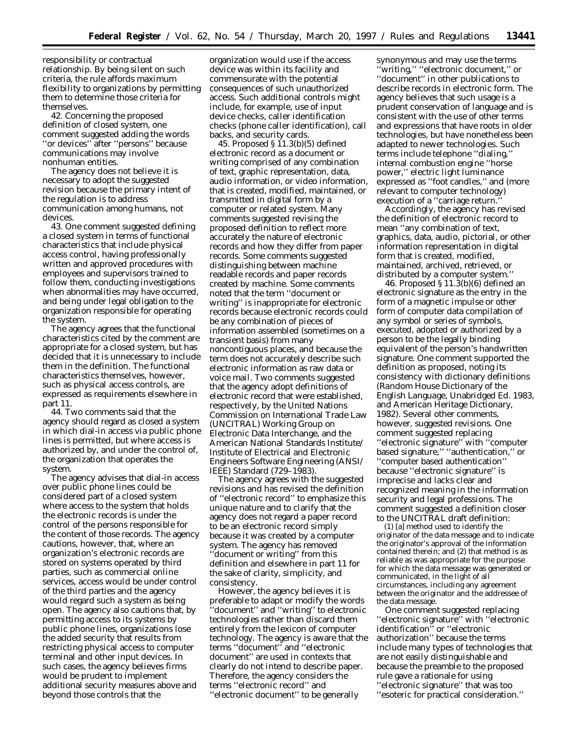responsibility or contractual relationship. By being silent on such criteria, the rule affords maximum flexibility to organizations by permitting them to determine those criteria for themselves.

42. Concerning the proposed definition of closed system, one comment suggested adding the words ''or devices'' after ''persons'' because communications may involve nonhuman entities.

The agency does not believe it is necessary to adopt the suggested revision because the primary intent of the regulation is to address communication among humans, not devices.

43. One comment suggested defining a closed system in terms of functional characteristics that include physical access control, having professionally written and approved procedures with employees and supervisors trained to follow them, conducting investigations when abnormalities may have occurred, and being under legal obligation to the organization responsible for operating the system.

The agency agrees that the functional characteristics cited by the comment are appropriate for a closed system, but has decided that it is unnecessary to include them in the definition. The functional characteristics themselves, however, such as physical access controls, are expressed as requirements elsewhere in part 11.

44. Two comments said that the agency should regard as closed a system in which dial-in access via public phone lines is permitted, but where access is authorized by, and under the control of, the organization that operates the system.

The agency advises that dial-in access over public phone lines could be considered part of a closed system where access to the system that holds the electronic records is under the control of the persons responsible for the content of those records. The agency cautions, however, that, where an organization's electronic records are stored on systems operated by third parties, such as commercial online services, access would be under control of the third parties and the agency would regard such a system as being open. The agency also cautions that, by permitting access to its systems by public phone lines, organizations lose the added security that results from restricting physical access to computer terminal and other input devices. In such cases, the agency believes firms would be prudent to implement additional security measures above and beyond those controls that the

organization would use if the access device was within its facility and commensurate with the potential consequences of such unauthorized access. Such additional controls might include, for example, use of input device checks, caller identification checks (phone caller identification), call backs, and security cards.

45. Proposed § 11.3(b)(5) defined electronic record as a document or writing comprised of any combination of text, graphic representation, data, audio information, or video information, that is created, modified, maintained, or transmitted in digital form by a computer or related system. Many comments suggested revising the proposed definition to reflect more accurately the nature of electronic records and how they differ from paper records. Some comments suggested distinguishing between machine readable records and paper records created by machine. Some comments noted that the term ''document or writing'' is inappropriate for electronic records because electronic records could be any combination of pieces of information assembled (sometimes on a transient basis) from many noncontiguous places, and because the term does not accurately describe such electronic information as raw data or voice mail. Two comments suggested that the agency adopt definitions of electronic record that were established, respectively, by the United Nations Commission on International Trade Law (UNCITRAL) Working Group on Electronic Data Interchange, and the American National Standards Institute/ Institute of Electrical and Electronic Engineers Software Engineering (ANSI/ IEEE) Standard (729–1983).

The agency agrees with the suggested revisions and has revised the definition of ''electronic record'' to emphasize this unique nature and to clarify that the agency does not regard a paper record to be an electronic record simply because it was created by a computer system. The agency has removed ''document or writing'' from this definition and elsewhere in part 11 for the sake of clarity, simplicity, and consistency.

However, the agency believes it is preferable to adapt or modify the words 'document'' and ''writing'' to electronic technologies rather than discard them entirely from the lexicon of computer technology. The agency is aware that the terms ''document'' and ''electronic document'' are used in contexts that clearly do not intend to describe paper. Therefore, the agency considers the terms ''electronic record'' and ''electronic document'' to be generally

synonymous and may use the terms ''writing,'' ''electronic document,'' or "document" in other publications to describe records in electronic form. The agency believes that such usage is a prudent conservation of language and is consistent with the use of other terms and expressions that have roots in older technologies, but have nonetheless been adapted to newer technologies. Such terms include telephone ''dialing,'' internal combustion engine ''horse power,'' electric light luminance expressed as ''foot candles,'' and (more relevant to computer technology) execution of a "carriage return.'

Accordingly, the agency has revised the definition of electronic record to mean ''any combination of text, graphics, data, audio, pictorial, or other information representation in digital form that is created, modified, maintained, archived, retrieved, or distributed by a computer system.''

46. Proposed § 11.3(b)(6) defined an electronic signature as the entry in the form of a magnetic impulse or other form of computer data compilation of any symbol or series of symbols, executed, adopted or authorized by a person to be the legally binding equivalent of the person's handwritten signature. One comment supported the definition as proposed, noting its consistency with dictionary definitions (*Random House Dictionary of the English Language*, Unabridged Ed. 1983, and *American Heritage Dictionary*, 1982). Several other comments, however, suggested revisions. One comment suggested replacing ''electronic signature'' with ''computer based signature,'' ''authentication,'' or ''computer based authentication'' because ''electronic signature'' is imprecise and lacks clear and recognized meaning in the information security and legal professions. The comment suggested a definition closer to the UNCITRAL draft definition:

(1) [a] method used to identify the originator of the data message and to indicate the originator's approval of the information contained therein; and (2) that method is as reliable as was appropriate for the purpose for which the data message was generated or communicated, in the light of all circumstances, including any agreement between the originator and the addressee of the data message.

One comment suggested replacing ''electronic signature'' with ''electronic identification'' or ''electronic authorization'' because the terms include many types of technologies that are not easily distinguishable and because the preamble to the proposed rule gave a rationale for using ''electronic signature'' that was too ''esoteric for practical consideration.''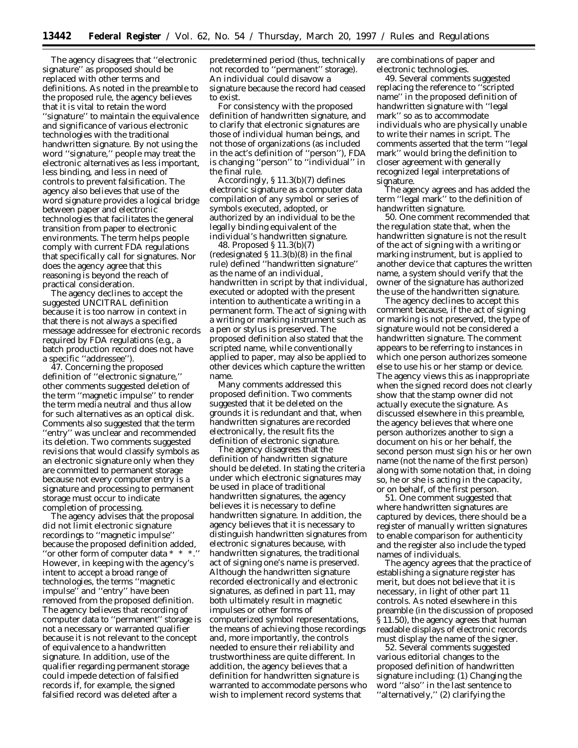The agency disagrees that ''electronic signature'' as proposed should be replaced with other terms and definitions. As noted in the preamble to the proposed rule, the agency believes that it is vital to retain the word ''signature'' to maintain the equivalence and significance of various electronic technologies with the traditional handwritten signature. By not using the word ''signature,'' people may treat the electronic alternatives as less important, less binding, and less in need of controls to prevent falsification. The agency also believes that use of the word signature provides a logical bridge between paper and electronic technologies that facilitates the general transition from paper to electronic environments. The term helps people comply with current FDA regulations that specifically call for signatures. Nor does the agency agree that this reasoning is beyond the reach of practical consideration.

The agency declines to accept the suggested UNCITRAL definition because it is too narrow in context in that there is not always a specified message addressee for electronic records required by FDA regulations (e.g., a batch production record does not have a specific ''addressee'').

47. Concerning the proposed definition of ''electronic signature,'' other comments suggested deletion of the term ''magnetic impulse'' to render the term media neutral and thus allow for such alternatives as an optical disk. Comments also suggested that the term ''entry'' was unclear and recommended its deletion. Two comments suggested revisions that would classify symbols as an electronic signature only when they are committed to permanent storage because not every computer entry is a signature and processing to permanent storage must occur to indicate completion of processing.

The agency advises that the proposal did not limit electronic signature recordings to ''magnetic impulse'' because the proposed definition added, " or other form of computer data  $*$   $*$ However, in keeping with the agency's intent to accept a broad range of technologies, the terms ''magnetic impulse'' and ''entry'' have been removed from the proposed definition. The agency believes that recording of computer data to ''permanent'' storage is not a necessary or warranted qualifier because it is not relevant to the concept of equivalence to a handwritten signature. In addition, use of the qualifier regarding permanent storage could impede detection of falsified records if, for example, the signed falsified record was deleted after a

predetermined period (thus, technically not recorded to ''permanent'' storage). An individual could disavow a signature because the record had ceased to exist.

For consistency with the proposed definition of handwritten signature, and to clarify that electronic signatures are those of individual human beings, and not those of organizations (as included in the act's definition of ''person''), FDA is changing ''person'' to ''individual'' in the final rule.

Accordingly, § 11.3(b)(7) defines electronic signature as a computer data compilation of any symbol or series of symbols executed, adopted, or authorized by an individual to be the legally binding equivalent of the individual's handwritten signature.

48. Proposed § 11.3(b)(7) (redesignated  $\S 11.3(b)(8)$  in the final rule) defined ''handwritten signature'' as the name of an individual, handwritten in script by that individual, executed or adopted with the present intention to authenticate a writing in a permanent form. The act of signing with a writing or marking instrument such as a pen or stylus is preserved. The proposed definition also stated that the scripted name, while conventionally applied to paper, may also be applied to other devices which capture the written name.

Many comments addressed this proposed definition. Two comments suggested that it be deleted on the grounds it is redundant and that, when handwritten signatures are recorded electronically, the result fits the definition of electronic signature.

The agency disagrees that the definition of handwritten signature should be deleted. In stating the criteria under which electronic signatures may be used in place of traditional handwritten signatures, the agency believes it is necessary to define handwritten signature. In addition, the agency believes that it is necessary to distinguish handwritten signatures from electronic signatures because, with handwritten signatures, the traditional act of signing one's name is preserved. Although the handwritten signature recorded electronically and electronic signatures, as defined in part 11, may both ultimately result in magnetic impulses or other forms of computerized symbol representations, the means of achieving those recordings and, more importantly, the controls needed to ensure their reliability and trustworthiness are quite different. In addition, the agency believes that a definition for handwritten signature is warranted to accommodate persons who wish to implement record systems that

are combinations of paper and electronic technologies.

49. Several comments suggested replacing the reference to ''scripted name'' in the proposed definition of handwritten signature with ''legal mark'' so as to accommodate individuals who are physically unable to write their names in script. The comments asserted that the term ''legal mark'' would bring the definition to closer agreement with generally recognized legal interpretations of signature.

The agency agrees and has added the term ''legal mark'' to the definition of handwritten signature.

50. One comment recommended that the regulation state that, when the handwritten signature is not the result of the act of signing with a writing or marking instrument, but is applied to another device that captures the written name, a system should verify that the owner of the signature has authorized the use of the handwritten signature.

The agency declines to accept this comment because, if the act of signing or marking is not preserved, the type of signature would not be considered a handwritten signature. The comment appears to be referring to instances in which one person authorizes someone else to use his or her stamp or device. The agency views this as inappropriate when the signed record does not clearly show that the stamp owner did not actually execute the signature. As discussed elsewhere in this preamble, the agency believes that where one person authorizes another to sign a document on his or her behalf, the second person must sign his or her own name (not the name of the first person) along with some notation that, in doing so, he or she is acting in the capacity, or on behalf, of the first person.

51. One comment suggested that where handwritten signatures are captured by devices, there should be a register of manually written signatures to enable comparison for authenticity and the register also include the typed names of individuals.

The agency agrees that the practice of establishing a signature register has merit, but does not believe that it is necessary, in light of other part 11 controls. As noted elsewhere in this preamble (in the discussion of proposed § 11.50), the agency agrees that human readable displays of electronic records must display the name of the signer.

52. Several comments suggested various editorial changes to the proposed definition of handwritten signature including: (1) Changing the word ''also'' in the last sentence to ''alternatively,'' (2) clarifying the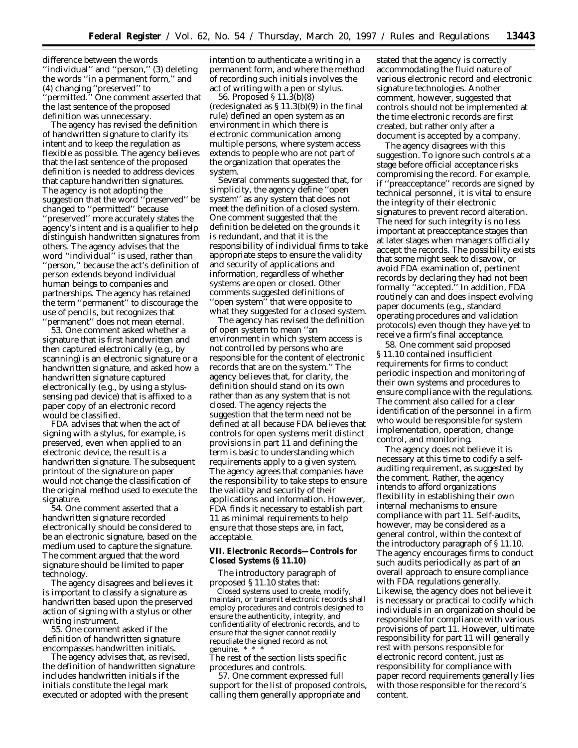difference between the words ''individual'' and ''person,'' (3) deleting the words ''in a permanent form,'' and (4) changing ''preserved'' to ''permitted.'' One comment asserted that the last sentence of the proposed definition was unnecessary.

The agency has revised the definition of handwritten signature to clarify its intent and to keep the regulation as flexible as possible. The agency believes that the last sentence of the proposed definition is needed to address devices that capture handwritten signatures. The agency is not adopting the suggestion that the word ''preserved'' be changed to ''permitted'' because ''preserved'' more accurately states the agency's intent and is a qualifier to help distinguish handwritten signatures from others. The agency advises that the word ''individual'' is used, rather than ''person,'' because the act's definition of person extends beyond individual human beings to companies and partnerships. The agency has retained the term ''permanent'' to discourage the use of pencils, but recognizes that 'permanent'' does not mean eternal.

53. One comment asked whether a signature that is first handwritten and then captured electronically (e.g., by scanning) is an electronic signature or a handwritten signature, and asked how a handwritten signature captured electronically (e.g., by using a stylussensing pad device) that is affixed to a paper copy of an electronic record would be classified.

FDA advises that when the act of signing with a stylus, for example, is preserved, even when applied to an electronic device, the result is a handwritten signature. The subsequent printout of the signature on paper would not change the classification of the original method used to execute the signature.

54. One comment asserted that a handwritten signature recorded electronically should be considered to be an electronic signature, based on the medium used to capture the signature. The comment argued that the word signature should be limited to paper technology.

The agency disagrees and believes it is important to classify a signature as handwritten based upon the preserved action of signing with a stylus or other writing instrument.

55. One comment asked if the definition of handwritten signature encompasses handwritten initials.

The agency advises that, as revised, the definition of handwritten signature includes handwritten initials if the initials constitute the legal mark executed or adopted with the present

intention to authenticate a writing in a permanent form, and where the method of recording such initials involves the act of writing with a pen or stylus.

56. Proposed § 11.3(b)(8) (redesignated as  $\S 11.3(b)(9)$  in the final rule) defined an open system as an environment in which there is electronic communication among multiple persons, where system access extends to people who are not part of the organization that operates the system.

Several comments suggested that, for simplicity, the agency define ''open system'' as any system that does not meet the definition of a closed system. One comment suggested that the definition be deleted on the grounds it is redundant, and that it is the responsibility of individual firms to take appropriate steps to ensure the validity and security of applications and information, regardless of whether systems are open or closed. Other comments suggested definitions of ''open system'' that were opposite to what they suggested for a closed system.

The agency has revised the definition of open system to mean ''an environment in which system access is not controlled by persons who are responsible for the content of electronic records that are on the system.'' The agency believes that, for clarity, the definition should stand on its own rather than as any system that is not closed. The agency rejects the suggestion that the term need not be defined at all because FDA believes that controls for open systems merit distinct provisions in part 11 and defining the term is basic to understanding which requirements apply to a given system. The agency agrees that companies have the responsibility to take steps to ensure the validity and security of their applications and information. However, FDA finds it necessary to establish part 11 as minimal requirements to help ensure that those steps are, in fact, acceptable.

**VII. Electronic Records—Controls for Closed Systems (§ 11.10)**

The introductory paragraph of proposed § 11.10 states that:

Closed systems used to create, modify, maintain, or transmit electronic records shall employ procedures and controls designed to ensure the authenticity, integrity, and confidentiality of electronic records, and to ensure that the signer cannot readily repudiate the signed record as not genuine. \* \* \*

The rest of the section lists specific procedures and controls.

57. One comment expressed full support for the list of proposed controls, calling them generally appropriate and

stated that the agency is correctly accommodating the fluid nature of various electronic record and electronic signature technologies. Another comment, however, suggested that controls should not be implemented at the time electronic records are first created, but rather only after a document is accepted by a company.

The agency disagrees with this suggestion. To ignore such controls at a stage before official acceptance risks compromising the record. For example, if ''preacceptance'' records are signed by technical personnel, it is vital to ensure the integrity of their electronic signatures to prevent record alteration. The need for such integrity is no less important at preacceptance stages than at later stages when managers officially accept the records. The possibility exists that some might seek to disavow, or avoid FDA examination of, pertinent records by declaring they had not been formally ''accepted.'' In addition, FDA routinely can and does inspect evolving paper documents (e.g., standard operating procedures and validation protocols) even though they have yet to receive a firm's final acceptance.

58. One comment said proposed §11.10 contained insufficient requirements for firms to conduct periodic inspection and monitoring of their own systems and procedures to ensure compliance with the regulations. The comment also called for a clear identification of the personnel in a firm who would be responsible for system implementation, operation, change control, and monitoring.

The agency does not believe it is necessary at this time to codify a selfauditing requirement, as suggested by the comment. Rather, the agency intends to afford organizations flexibility in establishing their own internal mechanisms to ensure compliance with part 11. Self-audits, however, may be considered as a general control, within the context of the introductory paragraph of § 11.10. The agency encourages firms to conduct such audits periodically as part of an overall approach to ensure compliance with FDA regulations generally. Likewise, the agency does not believe it is necessary or practical to codify which individuals in an organization should be responsible for compliance with various provisions of part 11. However, ultimate responsibility for part 11 will generally rest with persons responsible for electronic record content, just as responsibility for compliance with paper record requirements generally lies with those responsible for the record's content.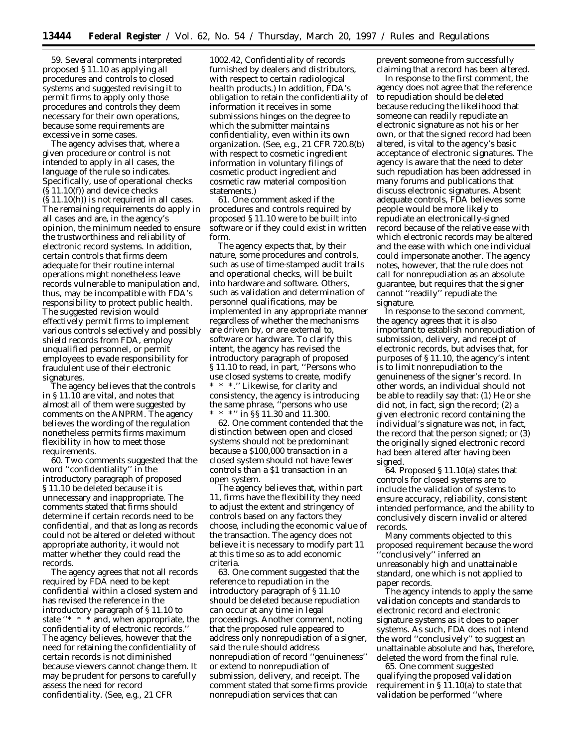59. Several comments interpreted proposed § 11.10 as applying all procedures and controls to closed systems and suggested revising it to permit firms to apply only those procedures and controls they deem necessary for their own operations, because some requirements are excessive in some cases.

The agency advises that, where a given procedure or control is not intended to apply in all cases, the language of the rule so indicates. Specifically, use of operational checks (§ 11.10(f)) and device checks  $(S 11.10(h))$  is not required in all cases. The remaining requirements do apply in all cases and are, in the agency's opinion, the minimum needed to ensure the trustworthiness and reliability of electronic record systems. In addition, certain controls that firms deem adequate for their routine internal operations might nonetheless leave records vulnerable to manipulation and, thus, may be incompatible with FDA's responsibility to protect public health. The suggested revision would effectively permit firms to implement various controls selectively and possibly shield records from FDA, employ unqualified personnel, or permit employees to evade responsibility for fraudulent use of their electronic signatures.

The agency believes that the controls in § 11.10 are vital, and notes that almost all of them were suggested by comments on the ANPRM. The agency believes the wording of the regulation nonetheless permits firms maximum flexibility in how to meet those requirements.

60. Two comments suggested that the word ''confidentiality'' in the introductory paragraph of proposed § 11.10 be deleted because it is unnecessary and inappropriate. The comments stated that firms should determine if certain records need to be confidential, and that as long as records could not be altered or deleted without appropriate authority, it would not matter whether they could read the records.

The agency agrees that not all records required by FDA need to be kept confidential within a closed system and has revised the reference in the introductory paragraph of § 11.10 to state "\* \* \* and, when appropriate, the confidentiality of electronic records.'' The agency believes, however that the need for retaining the confidentiality of certain records is not diminished because viewers cannot change them. It may be prudent for persons to carefully assess the need for record confidentiality. (See, e.g., 21 CFR

1002.42, Confidentiality of records furnished by dealers and distributors, with respect to certain radiological health products.) In addition, FDA's obligation to retain the confidentiality of information it receives in some submissions hinges on the degree to which the submitter maintains confidentiality, even within its own organization. (See, e.g., 21 CFR 720.8(b) with respect to cosmetic ingredient information in voluntary filings of cosmetic product ingredient and cosmetic raw material composition statements.)

61. One comment asked if the procedures and controls required by proposed § 11.10 were to be built into software or if they could exist in written form.

The agency expects that, by their nature, some procedures and controls, such as use of time-stamped audit trails and operational checks, will be built into hardware and software. Others, such as validation and determination of personnel qualifications, may be implemented in any appropriate manner regardless of whether the mechanisms are driven by, or are external to, software or hardware. To clarify this intent, the agency has revised the introductory paragraph of proposed § 11.10 to read, in part, ''Persons who use closed systems to create, modify \* \* \*.'' Likewise, for clarity and consistency, the agency is introducing the same phrase, ''persons who use \* \* \*'' in §§ 11.30 and 11.300.

62. One comment contended that the distinction between open and closed systems should not be predominant because a \$100,000 transaction in a closed system should not have fewer controls than a \$1 transaction in an open system.

The agency believes that, within part 11, firms have the flexibility they need to adjust the extent and stringency of controls based on any factors they choose, including the economic value of the transaction. The agency does not believe it is necessary to modify part 11 at this time so as to add economic criteria.

63. One comment suggested that the reference to repudiation in the introductory paragraph of § 11.10 should be deleted because repudiation can occur at any time in legal proceedings. Another comment, noting that the proposed rule appeared to address only nonrepudiation of a signer, said the rule should address nonrepudiation of record ''genuineness'' or extend to nonrepudiation of submission, delivery, and receipt. The comment stated that some firms provide nonrepudiation services that can

prevent someone from successfully claiming that a record has been altered.

In response to the first comment, the agency does not agree that the reference to repudiation should be deleted because reducing the likelihood that someone can readily repudiate an electronic signature as not his or her own, or that the signed record had been altered, is vital to the agency's basic acceptance of electronic signatures. The agency is aware that the need to deter such repudiation has been addressed in many forums and publications that discuss electronic signatures. Absent adequate controls, FDA believes some people would be more likely to repudiate an electronically-signed record because of the relative ease with which electronic records may be altered and the ease with which one individual could impersonate another. The agency notes, however, that the rule does not call for nonrepudiation as an absolute guarantee, but requires that the signer cannot ''readily'' repudiate the signature.

In response to the second comment, the agency agrees that it is also important to establish nonrepudiation of submission, delivery, and receipt of electronic records, but advises that, for purposes of § 11.10, the agency's intent is to limit nonrepudiation to the genuineness of the signer's record. In other words, an individual should not be able to readily say that: (1) He or she did not, in fact, sign the record; (2) a given electronic record containing the individual's signature was not, in fact, the record that the person signed; or (3) the originally signed electronic record had been altered after having been signed.

64. Proposed § 11.10(a) states that controls for closed systems are to include the validation of systems to ensure accuracy, reliability, consistent intended performance, and the ability to conclusively discern invalid or altered records.

Many comments objected to this proposed requirement because the word ''conclusively'' inferred an unreasonably high and unattainable standard, one which is not applied to paper records.

The agency intends to apply the same validation concepts and standards to electronic record and electronic signature systems as it does to paper systems. As such, FDA does not intend the word ''conclusively'' to suggest an unattainable absolute and has, therefore, deleted the word from the final rule.

65. One comment suggested qualifying the proposed validation requirement in § 11.10(a) to state that validation be performed ''where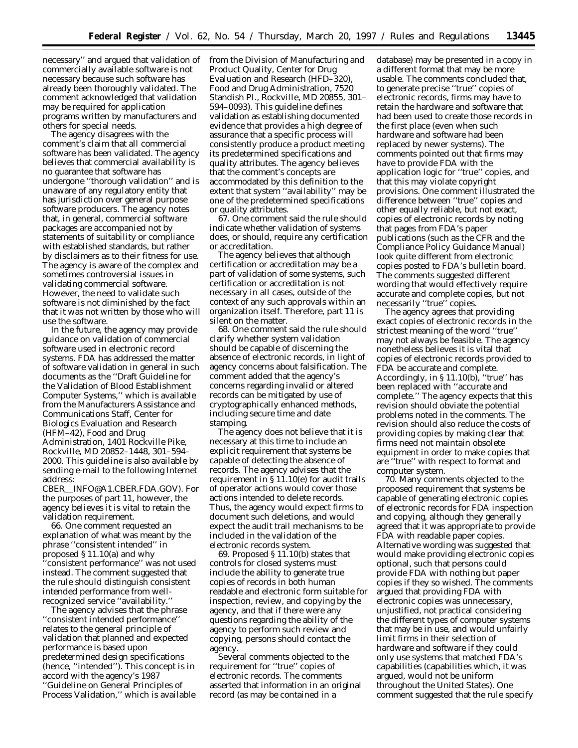necessary'' and argued that validation of commercially available software is not necessary because such software has already been thoroughly validated. The comment acknowledged that validation may be required for application programs written by manufacturers and others for special needs.

The agency disagrees with the comment's claim that all commercial software has been validated. The agency believes that commercial availability is no guarantee that software has undergone ''thorough validation'' and is unaware of any regulatory entity that has jurisdiction over general purpose software producers. The agency notes that, in general, commercial software packages are accompanied not by statements of suitability or compliance with established standards, but rather by disclaimers as to their fitness for use. The agency is aware of the complex and sometimes controversial issues in validating commercial software. However, the need to validate such software is not diminished by the fact that it was not written by those who will use the software.

In the future, the agency may provide guidance on validation of commercial software used in electronic record systems. FDA has addressed the matter of software validation in general in such documents as the ''Draft Guideline for the Validation of Blood Establishment Computer Systems,'' which is available from the Manufacturers Assistance and Communications Staff, Center for Biologics Evaluation and Research (HFM–42), Food and Drug Administration, 1401 Rockville Pike, Rockville, MD 20852–1448, 301–594– 2000. This guideline is also available by sending e-mail to the following Internet address:

CBER\_INFO@A1.CBER.FDA.GOV). For the purposes of part 11, however, the agency believes it is vital to retain the validation requirement.

66. One comment requested an explanation of what was meant by the phrase ''consistent intended'' in proposed § 11.10(a) and why 'consistent performance'' was not used instead. The comment suggested that the rule should distinguish consistent intended performance from wellrecognized service ''availability.''

The agency advises that the phrase ''consistent intended performance'' relates to the general principle of validation that planned and expected performance is based upon predetermined design specifications (hence, ''intended''). This concept is in accord with the agency's 1987 ''Guideline on General Principles of Process Validation,'' which is available from the Division of Manufacturing and Product Quality, Center for Drug Evaluation and Research (HFD–320), Food and Drug Administration, 7520 Standish Pl., Rockville, MD 20855, 301– 594–0093). This guideline defines validation as establishing documented evidence that provides a high degree of assurance that a specific process will consistently produce a product meeting its predetermined specifications and quality attributes. The agency believes that the comment's concepts are accommodated by this definition to the extent that system ''availability'' may be one of the predetermined specifications or quality attributes.

67. One comment said the rule should indicate whether validation of systems does, or should, require any certification or accreditation.

The agency believes that although certification or accreditation may be a part of validation of some systems, such certification or accreditation is not necessary in all cases, outside of the context of any such approvals within an organization itself. Therefore, part 11 is silent on the matter.

68. One comment said the rule should clarify whether system validation should be capable of discerning the absence of electronic records, in light of agency concerns about falsification. The comment added that the agency's concerns regarding invalid or altered records can be mitigated by use of cryptographically enhanced methods, including secure time and date stamping.

The agency does not believe that it is necessary at this time to include an explicit requirement that systems be capable of detecting the absence of records. The agency advises that the requirement in § 11.10(e) for audit trails of operator actions would cover those actions intended to delete records. Thus, the agency would expect firms to document such deletions, and would expect the audit trail mechanisms to be included in the validation of the electronic records system.

69. Proposed § 11.10(b) states that controls for closed systems must include the ability to generate true copies of records in both human readable and electronic form suitable for inspection, review, and copying by the agency, and that if there were any questions regarding the ability of the agency to perform such review and copying, persons should contact the agency.

Several comments objected to the requirement for ''true'' copies of electronic records. The comments asserted that information in an original record (as may be contained in a

database) may be presented in a copy in a different format that may be more usable. The comments concluded that, to generate precise ''true'' copies of electronic records, firms may have to retain the hardware and software that had been used to create those records in the first place (even when such hardware and software had been replaced by newer systems). The comments pointed out that firms may have to provide FDA with the application logic for ''true'' copies, and that this may violate copyright provisions. One comment illustrated the difference between ''true'' copies and other equally reliable, but not exact, copies of electronic records by noting that pages from FDA's paper publications (such as the CFR and the Compliance Policy Guidance Manual) look quite different from electronic copies posted to FDA's bulletin board. The comments suggested different wording that would effectively require accurate and complete copies, but not necessarily ''true'' copies.

The agency agrees that providing exact copies of electronic records in the strictest meaning of the word ''true'' may not always be feasible. The agency nonetheless believes it is vital that copies of electronic records provided to FDA be accurate and complete. Accordingly, in § 11.10(b), ''true'' has been replaced with ''accurate and complete.'' The agency expects that this revision should obviate the potential problems noted in the comments. The revision should also reduce the costs of providing copies by making clear that firms need not maintain obsolete equipment in order to make copies that are ''true'' with respect to format and computer system.

70. Many comments objected to the proposed requirement that systems be capable of generating electronic copies of electronic records for FDA inspection and copying, although they generally agreed that it was appropriate to provide FDA with readable paper copies. Alternative wording was suggested that would make providing electronic copies optional, such that persons could provide FDA with nothing but paper copies if they so wished. The comments argued that providing FDA with electronic copies was unnecessary, unjustified, not practical considering the different types of computer systems that may be in use, and would unfairly limit firms in their selection of hardware and software if they could only use systems that matched FDA's capabilities (capabilities which, it was argued, would not be uniform throughout the United States). One comment suggested that the rule specify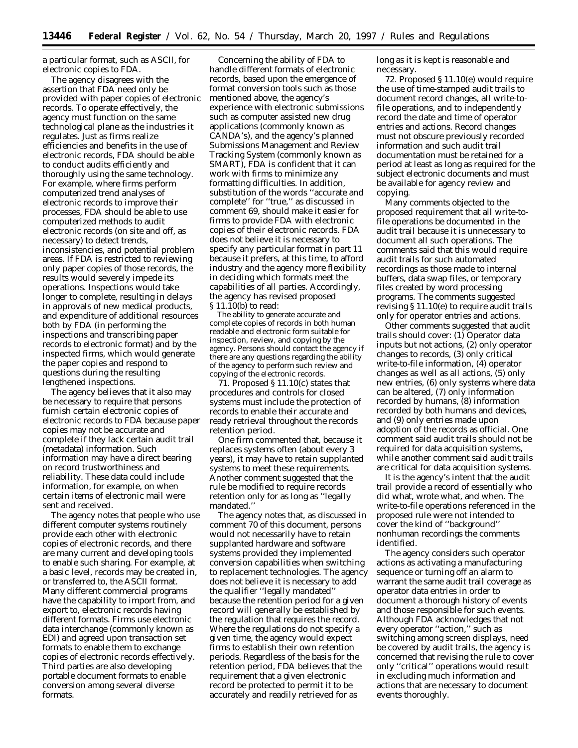a particular format, such as ASCII, for electronic copies to FDA.

The agency disagrees with the assertion that FDA need only be provided with paper copies of electronic records. To operate effectively, the agency must function on the same technological plane as the industries it regulates. Just as firms realize efficiencies and benefits in the use of electronic records, FDA should be able to conduct audits efficiently and thoroughly using the same technology. For example, where firms perform computerized trend analyses of electronic records to improve their processes, FDA should be able to use computerized methods to audit electronic records (on site and off, as necessary) to detect trends, inconsistencies, and potential problem areas. If FDA is restricted to reviewing only paper copies of those records, the results would severely impede its operations. Inspections would take longer to complete, resulting in delays in approvals of new medical products, and expenditure of additional resources both by FDA (in performing the inspections and transcribing paper records to electronic format) and by the inspected firms, which would generate the paper copies and respond to questions during the resulting lengthened inspections.

The agency believes that it also may be necessary to require that persons furnish certain electronic copies of electronic records to FDA because paper copies may not be accurate and complete if they lack certain audit trail (metadata) information. Such information may have a direct bearing on record trustworthiness and reliability. These data could include information, for example, on when certain items of electronic mail were sent and received.

The agency notes that people who use different computer systems routinely provide each other with electronic copies of electronic records, and there are many current and developing tools to enable such sharing. For example, at a basic level, records may be created in, or transferred to, the ASCII format. Many different commercial programs have the capability to import from, and export to, electronic records having different formats. Firms use electronic data interchange (commonly known as EDI) and agreed upon transaction set formats to enable them to exchange copies of electronic records effectively. Third parties are also developing portable document formats to enable conversion among several diverse formats.

Concerning the ability of FDA to handle different formats of electronic records, based upon the emergence of format conversion tools such as those mentioned above, the agency's experience with electronic submissions such as computer assisted new drug applications (commonly known as CANDA's), and the agency's planned Submissions Management and Review Tracking System (commonly known as SMART), FDA is confident that it can work with firms to minimize any formatting difficulties. In addition, substitution of the words ''accurate and complete'' for ''true,'' as discussed in comment 69, should make it easier for firms to provide FDA with electronic copies of their electronic records. FDA does not believe it is necessary to specify any particular format in part 11 because it prefers, at this time, to afford industry and the agency more flexibility in deciding which formats meet the capabilities of all parties. Accordingly, the agency has revised proposed § 11.10(b) to read:

The ability to generate accurate and complete copies of records in both human readable and electronic form suitable for inspection, review, and copying by the agency. Persons should contact the agency if there are any questions regarding the ability of the agency to perform such review and copying of the electronic records.

71. Proposed § 11.10(c) states that procedures and controls for closed systems must include the protection of records to enable their accurate and ready retrieval throughout the records retention period.

One firm commented that, because it replaces systems often (about every 3 years), it may have to retain supplanted systems to meet these requirements. Another comment suggested that the rule be modified to require records retention only for as long as ''legally mandated.''

The agency notes that, as discussed in comment 70 of this document, persons would not necessarily have to retain supplanted hardware and software systems provided they implemented conversion capabilities when switching to replacement technologies. The agency does not believe it is necessary to add the qualifier ''legally mandated'' because the retention period for a given record will generally be established by the regulation that requires the record. Where the regulations do not specify a given time, the agency would expect firms to establish their own retention periods. Regardless of the basis for the retention period, FDA believes that the requirement that a given electronic record be protected to permit it to be accurately and readily retrieved for as

long as it is kept is reasonable and necessary.

72. Proposed § 11.10(e) would require the use of time-stamped audit trails to document record changes, all write-tofile operations, and to independently record the date and time of operator entries and actions. Record changes must not obscure previously recorded information and such audit trail documentation must be retained for a period at least as long as required for the subject electronic documents and must be available for agency review and copying.

Many comments objected to the proposed requirement that all write-tofile operations be documented in the audit trail because it is unnecessary to document all such operations. The comments said that this would require audit trails for such automated recordings as those made to internal buffers, data swap files, or temporary files created by word processing programs. The comments suggested revising § 11.10(e) to require audit trails only for operator entries and actions.

Other comments suggested that audit trails should cover: (1) Operator data inputs but not actions, (2) only operator changes to records, (3) only critical write-to-file information, (4) operator changes as well as all actions, (5) only new entries, (6) only systems where data can be altered, (7) only information recorded by humans, (8) information recorded by both humans and devices, and (9) only entries made upon adoption of the records as official. One comment said audit trails should not be required for data acquisition systems, while another comment said audit trails are critical for data acquisition systems.

It is the agency's intent that the audit trail provide a record of essentially who did what, wrote what, and when. The write-to-file operations referenced in the proposed rule were not intended to cover the kind of ''background'' nonhuman recordings the comments identified.

The agency considers such operator actions as activating a manufacturing sequence or turning off an alarm to warrant the same audit trail coverage as operator data entries in order to document a thorough history of events and those responsible for such events. Although FDA acknowledges that not every operator ''action,'' such as switching among screen displays, need be covered by audit trails, the agency is concerned that revising the rule to cover only ''critical'' operations would result in excluding much information and actions that are necessary to document events thoroughly.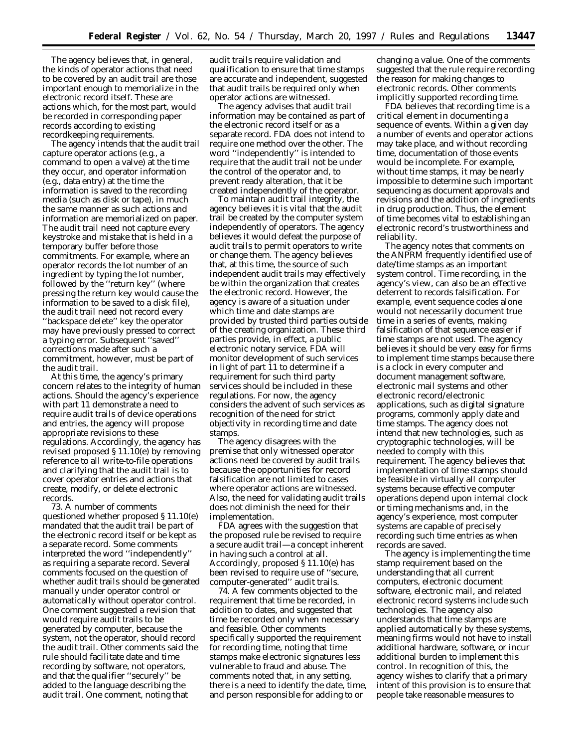The agency believes that, in general, the kinds of operator actions that need to be covered by an audit trail are those important enough to memorialize in the electronic record itself. These are actions which, for the most part, would be recorded in corresponding paper records according to existing recordkeeping requirements.

The agency intends that the audit trail capture operator actions (e.g., a command to open a valve) at the time they occur, and operator information (e.g., data entry) at the time the information is saved to the recording media (such as disk or tape), in much the same manner as such actions and information are memorialized on paper. The audit trail need not capture every keystroke and mistake that is held in a temporary buffer before those commitments. For example, where an operator records the lot number of an ingredient by typing the lot number, followed by the ''return key'' (where pressing the return key would cause the information to be saved to a disk file), the audit trail need not record every ''backspace delete'' key the operator may have previously pressed to correct a typing error. Subsequent ''saved'' corrections made after such a commitment, however, must be part of the audit trail.

At this time, the agency's primary concern relates to the integrity of human actions. Should the agency's experience with part 11 demonstrate a need to require audit trails of device operations and entries, the agency will propose appropriate revisions to these regulations. Accordingly, the agency has revised proposed § 11.10(e) by removing reference to all write-to-file operations and clarifying that the audit trail is to cover operator entries and actions that create, modify, or delete electronic records.

73. A number of comments questioned whether proposed § 11.10(e) mandated that the audit trail be part of the electronic record itself or be kept as a separate record. Some comments interpreted the word ''independently'' as requiring a separate record. Several comments focused on the question of whether audit trails should be generated manually under operator control or automatically without operator control. One comment suggested a revision that would require audit trails to be generated by computer, because the system, not the operator, should record the audit trail. Other comments said the rule should facilitate date and time recording by software, not operators, and that the qualifier ''securely'' be added to the language describing the audit trail. One comment, noting that

audit trails require validation and qualification to ensure that time stamps are accurate and independent, suggested that audit trails be required only when operator actions are witnessed.

The agency advises that audit trail information may be contained as part of the electronic record itself or as a separate record. FDA does not intend to require one method over the other. The word ''independently'' is intended to require that the audit trail not be under the control of the operator and, to prevent ready alteration, that it be created independently of the operator.

To maintain audit trail integrity, the agency believes it is vital that the audit trail be created by the computer system independently of operators. The agency believes it would defeat the purpose of audit trails to permit operators to write or change them. The agency believes that, at this time, the source of such independent audit trails may effectively be within the organization that creates the electronic record. However, the agency is aware of a situation under which time and date stamps are provided by trusted third parties outside of the creating organization. These third parties provide, in effect, a public electronic notary service. FDA will monitor development of such services in light of part 11 to determine if a requirement for such third party services should be included in these regulations. For now, the agency considers the advent of such services as recognition of the need for strict objectivity in recording time and date stamps.

The agency disagrees with the premise that only witnessed operator actions need be covered by audit trails because the opportunities for record falsification are not limited to cases where operator actions are witnessed. Also, the need for validating audit trails does not diminish the need for their implementation.

FDA agrees with the suggestion that the proposed rule be revised to require a secure audit trail—a concept inherent in having such a control at all. Accordingly, proposed § 11.10(e) has been revised to require use of ''secure, computer-generated'' audit trails.

74. A few comments objected to the requirement that time be recorded, in addition to dates, and suggested that time be recorded only when necessary and feasible. Other comments specifically supported the requirement for recording time, noting that time stamps make electronic signatures less vulnerable to fraud and abuse. The comments noted that, in any setting, there is a need to identify the date, time, and person responsible for adding to or

changing a value. One of the comments suggested that the rule require recording the reason for making changes to electronic records. Other comments implicitly supported recording time.

FDA believes that recording time is a critical element in documenting a sequence of events. Within a given day a number of events and operator actions may take place, and without recording time, documentation of those events would be incomplete. For example, without time stamps, it may be nearly impossible to determine such important sequencing as document approvals and revisions and the addition of ingredients in drug production. Thus, the element of time becomes vital to establishing an electronic record's trustworthiness and reliability.

The agency notes that comments on the ANPRM frequently identified use of date/time stamps as an important system control. Time recording, in the agency's view, can also be an effective deterrent to records falsification. For example, event sequence codes alone would not necessarily document true time in a series of events, making falsification of that sequence easier if time stamps are not used. The agency believes it should be very easy for firms to implement time stamps because there is a clock in every computer and document management software, electronic mail systems and other electronic record/electronic applications, such as digital signature programs, commonly apply date and time stamps. The agency does not intend that new technologies, such as cryptographic technologies, will be needed to comply with this requirement. The agency believes that implementation of time stamps should be feasible in virtually all computer systems because effective computer operations depend upon internal clock or timing mechanisms and, in the agency's experience, most computer systems are capable of precisely recording such time entries as when records are saved.

The agency is implementing the time stamp requirement based on the understanding that all current computers, electronic document software, electronic mail, and related electronic record systems include such technologies. The agency also understands that time stamps are applied automatically by these systems, meaning firms would not have to install additional hardware, software, or incur additional burden to implement this control. In recognition of this, the agency wishes to clarify that a primary intent of this provision is to ensure that people take reasonable measures to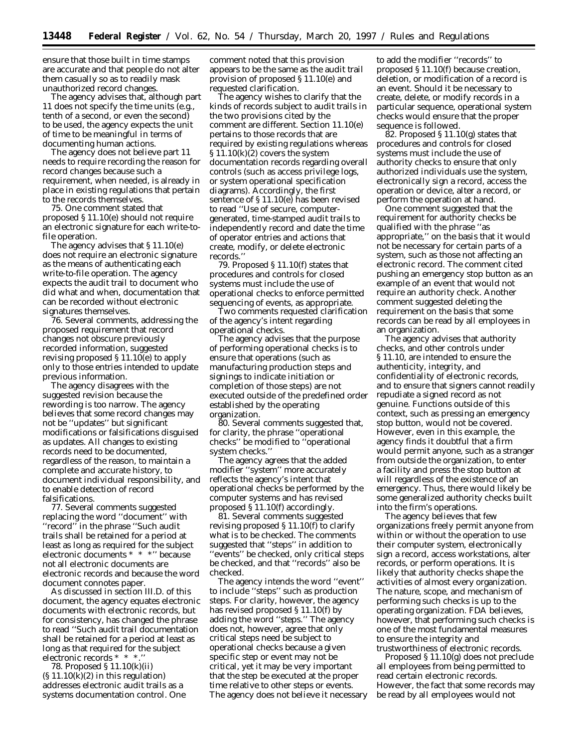ensure that those built in time stamps are accurate and that people do not alter them casually so as to readily mask unauthorized record changes.

The agency advises that, although part 11 does not specify the time units (e.g., tenth of a second, or even the second) to be used, the agency expects the unit of time to be meaningful in terms of documenting human actions.

The agency does not believe part 11 needs to require recording the reason for record changes because such a requirement, when needed, is already in place in existing regulations that pertain to the records themselves.

75. One comment stated that proposed § 11.10(e) should not require an electronic signature for each write-tofile operation.

The agency advises that § 11.10(e) does not require an electronic signature as the means of authenticating each write-to-file operation. The agency expects the audit trail to document who did what and when, documentation that can be recorded without electronic signatures themselves.

76. Several comments, addressing the proposed requirement that record changes not obscure previously recorded information, suggested revising proposed § 11.10(e) to apply only to those entries intended to update previous information.

The agency disagrees with the suggested revision because the rewording is too narrow. The agency believes that some record changes may not be ''updates'' but significant modifications or falsifications disguised as updates. All changes to existing records need to be documented, regardless of the reason, to maintain a complete and accurate history, to document individual responsibility, and to enable detection of record falsifications.

77. Several comments suggested replacing the word ''document'' with "record" in the phrase "Such audit trails shall be retained for a period at least as long as required for the subject electronic documents \* \* \*'' because not all electronic documents are electronic records and because the word document connotes paper.

As discussed in section III.D. of this document, the agency equates electronic documents with electronic records, but for consistency, has changed the phrase to read ''Such audit trail documentation shall be retained for a period at least as long as that required for the subject electronic records \* \* \*.

78. Proposed § 11.10(k)(ii)  $(S 11.10(k)(2)$  in this regulation) addresses electronic audit trails as a systems documentation control. One

comment noted that this provision appears to be the same as the audit trail provision of proposed § 11.10(e) and requested clarification.

The agency wishes to clarify that the kinds of records subject to audit trails in the two provisions cited by the comment are different. Section 11.10(e) pertains to those records that are required by existing regulations whereas § 11.10(k)(2) covers the system documentation records regarding overall controls (such as access privilege logs, or system operational specification diagrams). Accordingly, the first sentence of § 11.10(e) has been revised to read ''Use of secure, computergenerated, time-stamped audit trails to independently record and date the time of operator entries and actions that create, modify, or delete electronic records.''

79. Proposed § 11.10(f) states that procedures and controls for closed systems must include the use of operational checks to enforce permitted sequencing of events, as appropriate.

Two comments requested clarification of the agency's intent regarding operational checks.

The agency advises that the purpose of performing operational checks is to ensure that operations (such as manufacturing production steps and signings to indicate initiation or completion of those steps) are not executed outside of the predefined order established by the operating organization.

80. Several comments suggested that, for clarity, the phrase ''operational checks'' be modified to ''operational system checks.''

The agency agrees that the added modifier ''system'' more accurately reflects the agency's intent that operational checks be performed by the computer systems and has revised proposed § 11.10(f) accordingly.

81. Several comments suggested revising proposed § 11.10(f) to clarify what is to be checked. The comments suggested that ''steps'' in addition to ''events'' be checked, only critical steps be checked, and that ''records'' also be checked.

The agency intends the word ''event'' to include ''steps'' such as production steps. For clarity, however, the agency has revised proposed § 11.10(f) by adding the word ''steps.'' The agency does not, however, agree that only critical steps need be subject to operational checks because a given specific step or event may not be critical, yet it may be very important that the step be executed at the proper time relative to other steps or events. The agency does not believe it necessary to add the modifier ''records'' to proposed § 11.10(f) because creation, deletion, or modification of a record is an event. Should it be necessary to create, delete, or modify records in a particular sequence, operational system checks would ensure that the proper sequence is followed.

82. Proposed  $\S 11.10(g)$  states that procedures and controls for closed systems must include the use of authority checks to ensure that only authorized individuals use the system, electronically sign a record, access the operation or device, alter a record, or perform the operation at hand.

One comment suggested that the requirement for authority checks be qualified with the phrase ''as appropriate,'' on the basis that it would not be necessary for certain parts of a system, such as those not affecting an electronic record. The comment cited pushing an emergency stop button as an example of an event that would not require an authority check. Another comment suggested deleting the requirement on the basis that some records can be read by all employees in an organization.

The agency advises that authority checks, and other controls under § 11.10, are intended to ensure the authenticity, integrity, and confidentiality of electronic records, and to ensure that signers cannot readily repudiate a signed record as not genuine. Functions outside of this context, such as pressing an emergency stop button, would not be covered. However, even in this example, the agency finds it doubtful that a firm would permit anyone, such as a stranger from outside the organization, to enter a facility and press the stop button at will regardless of the existence of an emergency. Thus, there would likely be some generalized authority checks built into the firm's operations.

The agency believes that few organizations freely permit anyone from within or without the operation to use their computer system, electronically sign a record, access workstations, alter records, or perform operations. It is likely that authority checks shape the activities of almost every organization. The nature, scope, and mechanism of performing such checks is up to the operating organization. FDA believes, however, that performing such checks is one of the most fundamental measures to ensure the integrity and trustworthiness of electronic records.

Proposed § 11.10(g) does not preclude all employees from being permitted to read certain electronic records. However, the fact that some records may be read by all employees would not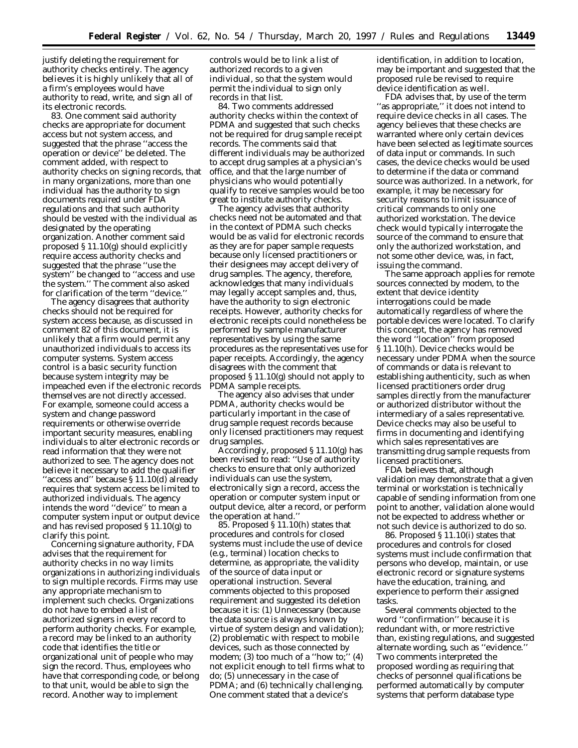justify deleting the requirement for authority checks entirely. The agency believes it is highly unlikely that all of a firm's employees would have authority to read, write, and sign all of its electronic records.

83. One comment said authority checks are appropriate for document access but not system access, and suggested that the phrase ''access the operation or device'' be deleted. The comment added, with respect to authority checks on signing records, that in many organizations, more than one individual has the authority to sign documents required under FDA regulations and that such authority should be vested with the individual as designated by the operating organization. Another comment said proposed § 11.10(g) should explicitly require access authority checks and suggested that the phrase ''use the system'' be changed to ''access and use the system.'' The comment also asked for clarification of the term ''device.''

The agency disagrees that authority checks should not be required for system access because, as discussed in comment 82 of this document, it is unlikely that a firm would permit any unauthorized individuals to access its computer systems. System access control is a basic security function because system integrity may be impeached even if the electronic records themselves are not directly accessed. For example, someone could access a system and change password requirements or otherwise override important security measures, enabling individuals to alter electronic records or read information that they were not authorized to see. The agency does not believe it necessary to add the qualifier ''access and'' because § 11.10(d) already requires that system access be limited to authorized individuals. The agency intends the word ''device'' to mean a computer system input or output device and has revised proposed § 11.10(g) to clarify this point.

Concerning signature authority, FDA advises that the requirement for authority checks in no way limits organizations in authorizing individuals to sign multiple records. Firms may use any appropriate mechanism to implement such checks. Organizations do not have to embed a list of authorized signers in every record to perform authority checks. For example, a record may be linked to an authority code that identifies the title or organizational unit of people who may sign the record. Thus, employees who have that corresponding code, or belong to that unit, would be able to sign the record. Another way to implement

controls would be to link a list of authorized records to a given individual, so that the system would permit the individual to sign only records in that list.

84. Two comments addressed authority checks within the context of PDMA and suggested that such checks not be required for drug sample receipt records. The comments said that different individuals may be authorized to accept drug samples at a physician's office, and that the large number of physicians who would potentially qualify to receive samples would be too great to institute authority checks.

The agency advises that authority checks need not be automated and that in the context of PDMA such checks would be as valid for electronic records as they are for paper sample requests because only licensed practitioners or their designees may accept delivery of drug samples. The agency, therefore, acknowledges that many individuals may legally accept samples and, thus, have the authority to sign electronic receipts. However, authority checks for electronic receipts could nonetheless be performed by sample manufacturer representatives by using the same procedures as the representatives use for paper receipts. Accordingly, the agency disagrees with the comment that proposed § 11.10(g) should not apply to PDMA sample receipts.

The agency also advises that under PDMA, authority checks would be particularly important in the case of drug sample request records because only licensed practitioners may request drug samples.

Accordingly, proposed § 11.10(g) has been revised to read: ''Use of authority checks to ensure that only authorized individuals can use the system, electronically sign a record, access the operation or computer system input or output device, alter a record, or perform the operation at hand.''

85. Proposed § 11.10(h) states that procedures and controls for closed systems must include the use of device (e.g., terminal) location checks to determine, as appropriate, the validity of the source of data input or operational instruction. Several comments objected to this proposed requirement and suggested its deletion because it is: (1) Unnecessary (because the data source is always known by virtue of system design and validation); (2) problematic with respect to mobile devices, such as those connected by modem;  $(3)$  too much of a "how to;" not explicit enough to tell firms what to do; (5) unnecessary in the case of PDMA; and (6) technically challenging. One comment stated that a device's

identification, in addition to location, may be important and suggested that the proposed rule be revised to require device identification as well.

FDA advises that, by use of the term ''as appropriate,'' it does not intend to require device checks in all cases. The agency believes that these checks are warranted where only certain devices have been selected as legitimate sources of data input or commands. In such cases, the device checks would be used to determine if the data or command source was authorized. In a network, for example, it may be necessary for security reasons to limit issuance of critical commands to only one authorized workstation. The device check would typically interrogate the source of the command to ensure that only the authorized workstation, and not some other device, was, in fact, issuing the command.

The same approach applies for remote sources connected by modem, to the extent that device identity interrogations could be made automatically regardless of where the portable devices were located. To clarify this concept, the agency has removed the word ''location'' from proposed § 11.10(h). Device checks would be necessary under PDMA when the source of commands or data is relevant to establishing authenticity, such as when licensed practitioners order drug samples directly from the manufacturer or authorized distributor without the intermediary of a sales representative. Device checks may also be useful to firms in documenting and identifying which sales representatives are transmitting drug sample requests from licensed practitioners.

FDA believes that, although validation may demonstrate that a given terminal or workstation is technically capable of sending information from one point to another, validation alone would not be expected to address whether or not such device is authorized to do so.

86. Proposed § 11.10(i) states that procedures and controls for closed systems must include confirmation that persons who develop, maintain, or use electronic record or signature systems have the education, training, and experience to perform their assigned tasks.

Several comments objected to the word ''confirmation'' because it is redundant with, or more restrictive than, existing regulations, and suggested alternate wording, such as ''evidence.'' Two comments interpreted the proposed wording as requiring that checks of personnel qualifications be performed automatically by computer systems that perform database type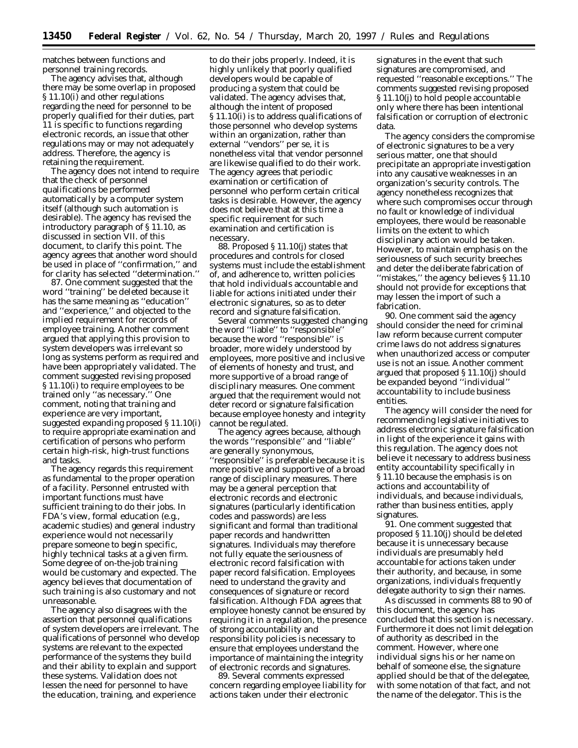matches between functions and personnel training records.

The agency advises that, although there may be some overlap in proposed § 11.10(i) and other regulations regarding the need for personnel to be properly qualified for their duties, part 11 is specific to functions regarding electronic records, an issue that other regulations may or may not adequately address. Therefore, the agency is retaining the requirement.

The agency does not intend to require that the check of personnel qualifications be performed automatically by a computer system itself (although such automation is desirable). The agency has revised the introductory paragraph of § 11.10, as discussed in section VII. of this document, to clarify this point. The agency agrees that another word should be used in place of ''confirmation,'' and for clarity has selected ''determination.''

87. One comment suggested that the word ''training'' be deleted because it has the same meaning as ''education'' and ''experience,'' and objected to the implied requirement for records of employee training. Another comment argued that applying this provision to system developers was irrelevant so long as systems perform as required and have been appropriately validated. The comment suggested revising proposed § 11.10(i) to require employees to be trained only ''as necessary.'' One comment, noting that training and experience are very important, suggested expanding proposed § 11.10(i) to require appropriate examination and certification of persons who perform certain high-risk, high-trust functions and tasks.

The agency regards this requirement as fundamental to the proper operation of a facility. Personnel entrusted with important functions must have sufficient training to do their jobs. In FDA's view, formal education (e.g., academic studies) and general industry experience would not necessarily prepare someone to begin specific, highly technical tasks at a given firm. Some degree of on-the-job training would be customary and expected. The agency believes that documentation of such training is also customary and not unreasonable.

The agency also disagrees with the assertion that personnel qualifications of system developers are irrelevant. The qualifications of personnel who develop systems are relevant to the expected performance of the systems they build and their ability to explain and support these systems. Validation does not lessen the need for personnel to have the education, training, and experience

to do their jobs properly. Indeed, it is highly unlikely that poorly qualified developers would be capable of producing a system that could be validated. The agency advises that, although the intent of proposed § 11.10(i) is to address qualifications of those personnel who develop systems within an organization, rather than external ''vendors'' per se, it is nonetheless vital that vendor personnel are likewise qualified to do their work. The agency agrees that periodic examination or certification of personnel who perform certain critical tasks is desirable. However, the agency does not believe that at this time a specific requirement for such examination and certification is necessary.

88. Proposed § 11.10(j) states that procedures and controls for closed systems must include the establishment of, and adherence to, written policies that hold individuals accountable and liable for actions initiated under their electronic signatures, so as to deter record and signature falsification.

Several comments suggested changing the word ''liable'' to ''responsible'' because the word ''responsible'' is broader, more widely understood by employees, more positive and inclusive of elements of honesty and trust, and more supportive of a broad range of disciplinary measures. One comment argued that the requirement would not deter record or signature falsification because employee honesty and integrity cannot be regulated.

The agency agrees because, although the words ''responsible'' and ''liable'' are generally synonymous, ''responsible'' is preferable because it is more positive and supportive of a broad range of disciplinary measures. There may be a general perception that electronic records and electronic signatures (particularly identification codes and passwords) are less significant and formal than traditional paper records and handwritten signatures. Individuals may therefore not fully equate the seriousness of electronic record falsification with paper record falsification. Employees need to understand the gravity and consequences of signature or record falsification. Although FDA agrees that employee honesty cannot be ensured by requiring it in a regulation, the presence of strong accountability and responsibility policies is necessary to ensure that employees understand the importance of maintaining the integrity of electronic records and signatures.

89. Several comments expressed concern regarding employee liability for actions taken under their electronic

signatures in the event that such signatures are compromised, and requested ''reasonable exceptions.'' The comments suggested revising proposed § 11.10(j) to hold people accountable only where there has been intentional falsification or corruption of electronic data.

The agency considers the compromise of electronic signatures to be a very serious matter, one that should precipitate an appropriate investigation into any causative weaknesses in an organization's security controls. The agency nonetheless recognizes that where such compromises occur through no fault or knowledge of individual employees, there would be reasonable limits on the extent to which disciplinary action would be taken. However, to maintain emphasis on the seriousness of such security breeches and deter the deliberate fabrication of ''mistakes,'' the agency believes § 11.10 should not provide for exceptions that may lessen the import of such a fabrication.

90. One comment said the agency should consider the need for criminal law reform because current computer crime laws do not address signatures when unauthorized access or computer use is not an issue. Another comment argued that proposed § 11.10(j) should be expanded beyond ''individual'' accountability to include business entities.

The agency will consider the need for recommending legislative initiatives to address electronic signature falsification in light of the experience it gains with this regulation. The agency does not believe it necessary to address business entity accountability specifically in § 11.10 because the emphasis is on actions and accountability of individuals, and because individuals, rather than business entities, apply signatures.

91. One comment suggested that proposed § 11.10(j) should be deleted because it is unnecessary because individuals are presumably held accountable for actions taken under their authority, and because, in some organizations, individuals frequently delegate authority to sign their names.

As discussed in comments 88 to 90 of this document, the agency has concluded that this section is necessary. Furthermore it does not limit delegation of authority as described in the comment. However, where one individual signs his or her name on behalf of someone else, the signature applied should be that of the delegatee, with some notation of that fact, and not the name of the delegator. This is the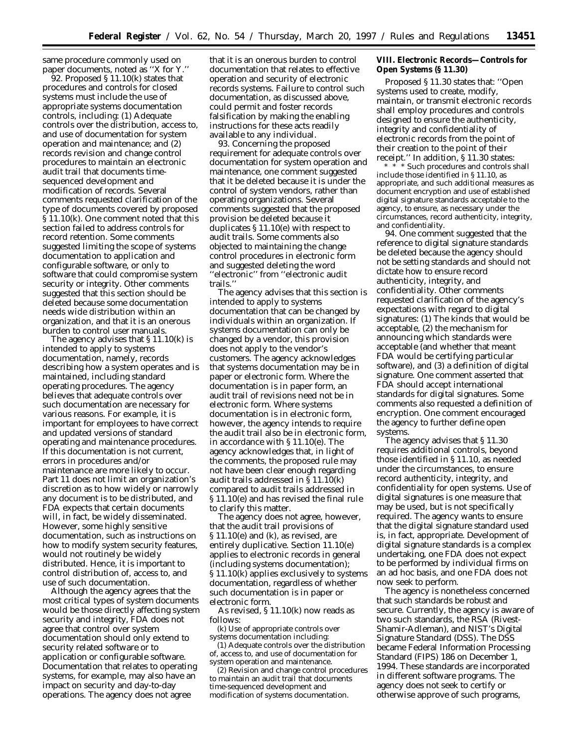same procedure commonly used on paper documents, noted as "X for Y.'

92. Proposed § 11.10(k) states that procedures and controls for closed systems must include the use of appropriate systems documentation controls, including: (1) Adequate controls over the distribution, access to, and use of documentation for system operation and maintenance; and (2) records revision and change control procedures to maintain an electronic audit trail that documents timesequenced development and modification of records. Several comments requested clarification of the type of documents covered by proposed § 11.10(k). One comment noted that this section failed to address controls for record retention. Some comments suggested limiting the scope of systems documentation to application and configurable software, or only to software that could compromise system security or integrity. Other comments suggested that this section should be deleted because some documentation needs wide distribution within an organization, and that it is an onerous burden to control user manuals.

The agency advises that § 11.10(k) is intended to apply to systems documentation, namely, records describing how a system operates and is maintained, including standard operating procedures. The agency believes that adequate controls over such documentation are necessary for various reasons. For example, it is important for employees to have correct and updated versions of standard operating and maintenance procedures. If this documentation is not current, errors in procedures and/or maintenance are more likely to occur. Part 11 does not limit an organization's discretion as to how widely or narrowly any document is to be distributed, and FDA expects that certain documents will, in fact, be widely disseminated. However, some highly sensitive documentation, such as instructions on how to modify system security features, would not routinely be widely distributed. Hence, it is important to control distribution of, access to, and use of such documentation.

Although the agency agrees that the most critical types of system documents would be those directly affecting system security and integrity, FDA does not agree that control over system documentation should only extend to security related software or to application or configurable software. Documentation that relates to operating systems, for example, may also have an impact on security and day-to-day operations. The agency does not agree

that it is an onerous burden to control documentation that relates to effective operation and security of electronic records systems. Failure to control such documentation, as discussed above, could permit and foster records falsification by making the enabling instructions for these acts readily available to any individual.

93. Concerning the proposed requirement for adequate controls over documentation for system operation and maintenance, one comment suggested that it be deleted because it is under the control of system vendors, rather than operating organizations. Several comments suggested that the proposed provision be deleted because it duplicates § 11.10(e) with respect to audit trails. Some comments also objected to maintaining the change control procedures in electronic form and suggested deleting the word ''electronic'' from ''electronic audit trails.''

The agency advises that this section is intended to apply to systems documentation that can be changed by individuals within an organization. If systems documentation can only be changed by a vendor, this provision does not apply to the vendor's customers. The agency acknowledges that systems documentation may be in paper or electronic form. Where the documentation is in paper form, an audit trail of revisions need not be in electronic form. Where systems documentation is in electronic form, however, the agency intends to require the audit trail also be in electronic form, in accordance with § 11.10(e). The agency acknowledges that, in light of the comments, the proposed rule may not have been clear enough regarding audit trails addressed in § 11.10(k) compared to audit trails addressed in § 11.10(e) and has revised the final rule to clarify this matter.

The agency does not agree, however, that the audit trail provisions of § 11.10(e) and (k), as revised, are entirely duplicative. Section 11.10(e) applies to electronic records in general (including systems documentation); § 11.10(k) applies exclusively to systems documentation, regardless of whether such documentation is in paper or electronic form.

As revised, § 11.10(k) now reads as follows:

(k) Use of appropriate controls over systems documentation including:

(1) Adequate controls over the distribution of, access to, and use of documentation for system operation and maintenance.

(2) Revision and change control procedures to maintain an audit trail that documents time-sequenced development and modification of systems documentation.

**VIII. Electronic Records—Controls for Open Systems (§ 11.30)**

Proposed § 11.30 states that: ''Open systems used to create, modify, maintain, or transmit electronic records shall employ procedures and controls designed to ensure the authenticity, integrity and confidentiality of electronic records from the point of their creation to the point of their receipt.'' In addition, § 11.30 states:

\* \* \* \* Such procedures and controls shall include those identified in § 11.10, as appropriate, and such additional measures as document encryption and use of established digital signature standards acceptable to the agency, to ensure, as necessary under the circumstances, record authenticity, integrity, and confidentiality.

94. One comment suggested that the reference to digital signature standards be deleted because the agency should not be setting standards and should not dictate how to ensure record authenticity, integrity, and confidentiality. Other comments requested clarification of the agency's expectations with regard to digital signatures: (1) The kinds that would be acceptable, (2) the mechanism for announcing which standards were acceptable (and whether that meant FDA would be certifying particular software), and (3) a definition of digital signature. One comment asserted that FDA should accept international standards for digital signatures. Some comments also requested a definition of encryption. One comment encouraged the agency to further define open systems.

The agency advises that § 11.30 requires additional controls, beyond those identified in § 11.10, as needed under the circumstances, to ensure record authenticity, integrity, and confidentiality for open systems. Use of digital signatures is one measure that may be used, but is not specifically required. The agency wants to ensure that the digital signature standard used is, in fact, appropriate. Development of digital signature standards is a complex undertaking, one FDA does not expect to be performed by individual firms on an ad hoc basis, and one FDA does not now seek to perform.

The agency is nonetheless concerned that such standards be robust and secure. Currently, the agency is aware of two such standards, the RSA (Rivest-Shamir-Adleman), and NIST's Digital Signature Standard (DSS). The DSS became Federal Information Processing Standard (FIPS) 186 on December 1, 1994. These standards are incorporated in different software programs. The agency does not seek to certify or otherwise approve of such programs,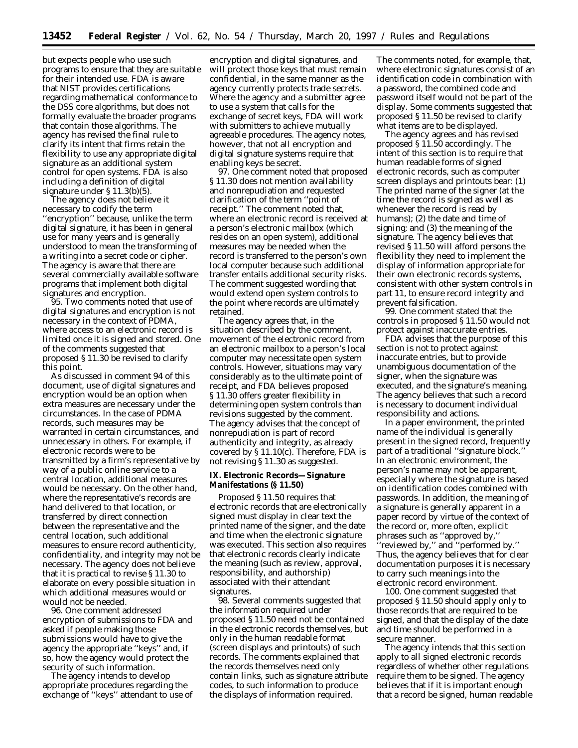but expects people who use such programs to ensure that they are suitable for their intended use. FDA is aware that NIST provides certifications regarding mathematical conformance to the DSS core algorithms, but does not formally evaluate the broader programs that contain those algorithms. The agency has revised the final rule to clarify its intent that firms retain the flexibility to use any appropriate digital signature as an additional system control for open systems. FDA is also including a definition of digital signature under § 11.3(b)(5).

The agency does not believe it necessary to codify the term 'encryption'' because, unlike the term digital signature, it has been in general use for many years and is generally understood to mean the transforming of a writing into a secret code or cipher. The agency is aware that there are several commercially available software programs that implement both digital signatures and encryption.

95. Two comments noted that use of digital signatures and encryption is not necessary in the context of PDMA, where access to an electronic record is limited once it is signed and stored. One of the comments suggested that proposed § 11.30 be revised to clarify this point.

As discussed in comment 94 of this document, use of digital signatures and encryption would be an option when extra measures are necessary under the circumstances. In the case of PDMA records, such measures may be warranted in certain circumstances, and unnecessary in others. For example, if electronic records were to be transmitted by a firm's representative by way of a public online service to a central location, additional measures would be necessary. On the other hand, where the representative's records are hand delivered to that location, or transferred by direct connection between the representative and the central location, such additional measures to ensure record authenticity, confidentiality, and integrity may not be necessary. The agency does not believe that it is practical to revise § 11.30 to elaborate on every possible situation in which additional measures would or would not be needed.

96. One comment addressed encryption of submissions to FDA and asked if people making those submissions would have to give the agency the appropriate ''keys'' and, if so, how the agency would protect the security of such information.

The agency intends to develop appropriate procedures regarding the exchange of ''keys'' attendant to use of encryption and digital signatures, and will protect those keys that must remain confidential, in the same manner as the agency currently protects trade secrets. Where the agency and a submitter agree to use a system that calls for the exchange of secret keys, FDA will work with submitters to achieve mutually agreeable procedures. The agency notes, however, that not all encryption and digital signature systems require that enabling keys be secret.

97. One comment noted that proposed § 11.30 does not mention availability and nonrepudiation and requested clarification of the term ''point of receipt.'' The comment noted that, where an electronic record is received at a person's electronic mailbox (which resides on an open system), additional measures may be needed when the record is transferred to the person's own local computer because such additional transfer entails additional security risks. The comment suggested wording that would extend open system controls to the point where records are ultimately retained.

The agency agrees that, in the situation described by the comment, movement of the electronic record from an electronic mailbox to a person's local computer may necessitate open system controls. However, situations may vary considerably as to the ultimate point of receipt, and FDA believes proposed § 11.30 offers greater flexibility in determining open system controls than revisions suggested by the comment. The agency advises that the concept of nonrepudiation is part of record authenticity and integrity, as already covered by § 11.10(c). Therefore, FDA is not revising § 11.30 as suggested.

**IX. Electronic Records—Signature Manifestations (§ 11.50)**

Proposed § 11.50 requires that electronic records that are electronically signed must display in clear text the printed name of the signer, and the date and time when the electronic signature was executed. This section also requires that electronic records clearly indicate the meaning (such as review, approval, responsibility, and authorship) associated with their attendant signatures.

98. Several comments suggested that the information required under proposed § 11.50 need not be contained in the electronic records themselves, but only in the human readable format (screen displays and printouts) of such records. The comments explained that the records themselves need only contain links, such as signature attribute codes, to such information to produce the displays of information required.

The comments noted, for example, that, where electronic signatures consist of an identification code in combination with a password, the combined code and password itself would not be part of the display. Some comments suggested that proposed § 11.50 be revised to clarify what items are to be displayed.

The agency agrees and has revised proposed § 11.50 accordingly. The intent of this section is to require that human readable forms of signed electronic records, such as computer screen displays and printouts bear: (1) The printed name of the signer (at the time the record is signed as well as whenever the record is read by humans); (2) the date and time of signing; and (3) the meaning of the signature. The agency believes that revised § 11.50 will afford persons the flexibility they need to implement the display of information appropriate for their own electronic records systems, consistent with other system controls in part 11, to ensure record integrity and prevent falsification.

99. One comment stated that the controls in proposed § 11.50 would not protect against inaccurate entries.

FDA advises that the purpose of this section is not to protect against inaccurate entries, but to provide unambiguous documentation of the signer, when the signature was executed, and the signature's meaning. The agency believes that such a record is necessary to document individual responsibility and actions.

In a paper environment, the printed name of the individual is generally present in the signed record, frequently part of a traditional ''signature block.'' In an electronic environment, the person's name may not be apparent, especially where the signature is based on identification codes combined with passwords. In addition, the meaning of a signature is generally apparent in a paper record by virtue of the context of the record or, more often, explicit phrases such as ''approved by,'' ''reviewed by,'' and ''performed by.'' Thus, the agency believes that for clear documentation purposes it is necessary to carry such meanings into the electronic record environment.

100. One comment suggested that proposed § 11.50 should apply only to those records that are required to be signed, and that the display of the date and time should be performed in a secure manner.

The agency intends that this section apply to all signed electronic records regardless of whether other regulations require them to be signed. The agency believes that if it is important enough that a record be signed, human readable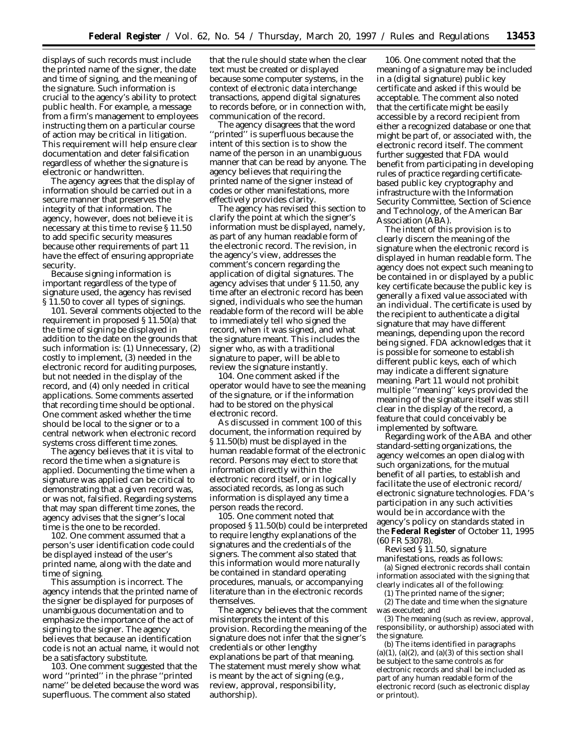displays of such records must include the printed name of the signer, the date and time of signing, and the meaning of the signature. Such information is crucial to the agency's ability to protect public health. For example, a message from a firm's management to employees instructing them on a particular course of action may be critical in litigation. This requirement will help ensure clear documentation and deter falsification regardless of whether the signature is electronic or handwritten.

The agency agrees that the display of information should be carried out in a secure manner that preserves the integrity of that information. The agency, however, does not believe it is necessary at this time to revise § 11.50 to add specific security measures because other requirements of part 11 have the effect of ensuring appropriate security.

Because signing information is important regardless of the type of signature used, the agency has revised § 11.50 to cover all types of signings.

101. Several comments objected to the requirement in proposed § 11.50(a) that the time of signing be displayed in addition to the date on the grounds that such information is: (1) Unnecessary, (2) costly to implement, (3) needed in the electronic record for auditing purposes, but not needed in the display of the record, and (4) only needed in critical applications. Some comments asserted that recording time should be optional. One comment asked whether the time should be local to the signer or to a central network when electronic record systems cross different time zones.

The agency believes that it is vital to record the time when a signature is applied. Documenting the time when a signature was applied can be critical to demonstrating that a given record was, or was not, falsified. Regarding systems that may span different time zones, the agency advises that the signer's local time is the one to be recorded.

102. One comment assumed that a person's user identification code could be displayed instead of the user's printed name, along with the date and time of signing.

This assumption is incorrect. The agency intends that the printed name of the signer be displayed for purposes of unambiguous documentation and to emphasize the importance of the act of signing to the signer. The agency believes that because an identification code is not an actual name, it would not be a satisfactory substitute.

103. One comment suggested that the word ''printed'' in the phrase ''printed name'' be deleted because the word was superfluous. The comment also stated

that the rule should state when the clear text must be created or displayed because some computer systems, in the context of electronic data interchange transactions, append digital signatures to records before, or in connection with, communication of the record.

The agency disagrees that the word ''printed'' is superfluous because the intent of this section is to show the name of the person in an unambiguous manner that can be read by anyone. The agency believes that requiring the printed name of the signer instead of codes or other manifestations, more effectively provides clarity.

The agency has revised this section to clarify the point at which the signer's information must be displayed, namely, as part of any human readable form of the electronic record. The revision, in the agency's view, addresses the comment's concern regarding the application of digital signatures. The agency advises that under § 11.50, any time after an electronic record has been signed, individuals who see the human readable form of the record will be able to immediately tell who signed the record, when it was signed, and what the signature meant. This includes the signer who, as with a traditional signature to paper, will be able to review the signature instantly.

104. One comment asked if the operator would have to see the meaning of the signature, or if the information had to be stored on the physical electronic record.

As discussed in comment 100 of this document, the information required by § 11.50(b) must be displayed in the human readable format of the electronic record. Persons may elect to store that information directly within the electronic record itself, or in logically associated records, as long as such information is displayed any time a person reads the record.

105. One comment noted that proposed § 11.50(b) could be interpreted to require lengthy explanations of the signatures and the credentials of the signers. The comment also stated that this information would more naturally be contained in standard operating procedures, manuals, or accompanying literature than in the electronic records themselves.

The agency believes that the comment misinterprets the intent of this provision. Recording the meaning of the signature does not infer that the signer's credentials or other lengthy explanations be part of that meaning. The statement must merely show what is meant by the act of signing (e.g., review, approval, responsibility, authorship).

106. One comment noted that the meaning of a signature may be included in a (digital signature) public key certificate and asked if this would be acceptable. The comment also noted that the certificate might be easily accessible by a record recipient from either a recognized database or one that might be part of, or associated with, the electronic record itself. The comment further suggested that FDA would benefit from participating in developing rules of practice regarding certificatebased public key cryptography and infrastructure with the Information Security Committee, Section of Science and Technology, of the American Bar Association (ABA).

The intent of this provision is to clearly discern the meaning of the signature when the electronic record is displayed in human readable form. The agency does not expect such meaning to be contained in or displayed by a public key certificate because the public key is generally a fixed value associated with an individual. The certificate is used by the recipient to authenticate a digital signature that may have different meanings, depending upon the record being signed. FDA acknowledges that it is possible for someone to establish different public keys, each of which may indicate a different signature meaning. Part 11 would not prohibit multiple ''meaning'' keys provided the meaning of the signature itself was still clear in the display of the record, a feature that could conceivably be implemented by software.

Regarding work of the ABA and other standard-setting organizations, the agency welcomes an open dialog with such organizations, for the mutual benefit of all parties, to establish and facilitate the use of electronic record/ electronic signature technologies. FDA's participation in any such activities would be in accordance with the agency's policy on standards stated in the **Federal Register** of October 11, 1995 (60 FR 53078).

Revised § 11.50, signature manifestations, reads as follows:

(a) Signed electronic records shall contain information associated with the signing that clearly indicates all of the following:

(1) The printed name of the signer;

(2) The date and time when the signature was executed; and

(3) The meaning (such as review, approval, responsibility, or authorship) associated with the signature.

(b) The items identified in paragraphs  $(a)(1)$ ,  $(a)(2)$ , and  $(a)(3)$  of this section shall be subject to the same controls as for electronic records and shall be included as part of any human readable form of the electronic record (such as electronic display or printout).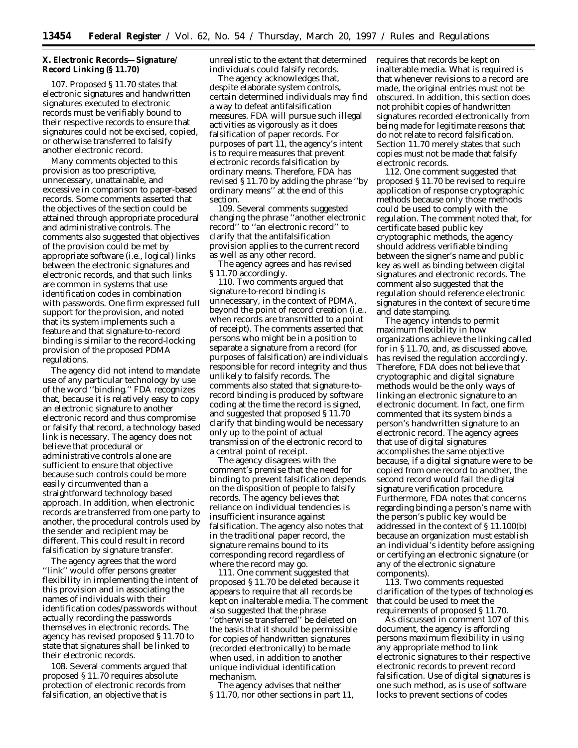**X. Electronic Records—Signature/ Record Linking (§ 11.70)**

107. Proposed § 11.70 states that electronic signatures and handwritten signatures executed to electronic records must be verifiably bound to their respective records to ensure that signatures could not be excised, copied, or otherwise transferred to falsify another electronic record.

Many comments objected to this provision as too prescriptive, unnecessary, unattainable, and excessive in comparison to paper-based records. Some comments asserted that the objectives of the section could be attained through appropriate procedural and administrative controls. The comments also suggested that objectives of the provision could be met by appropriate software (i.e., logical) links between the electronic signatures and electronic records, and that such links are common in systems that use identification codes in combination with passwords. One firm expressed full support for the provision, and noted that its system implements such a feature and that signature-to-record binding is similar to the record-locking provision of the proposed PDMA regulations.

The agency did not intend to mandate use of any particular technology by use of the word ''binding.'' FDA recognizes that, because it is relatively easy to copy an electronic signature to another electronic record and thus compromise or falsify that record, a technology based link is necessary. The agency does not believe that procedural or administrative controls alone are sufficient to ensure that objective because such controls could be more easily circumvented than a straightforward technology based approach. In addition, when electronic records are transferred from one party to another, the procedural controls used by the sender and recipient may be different. This could result in record falsification by signature transfer.

The agency agrees that the word ''link'' would offer persons greater flexibility in implementing the intent of this provision and in associating the names of individuals with their identification codes/passwords without actually recording the passwords themselves in electronic records. The agency has revised proposed § 11.70 to state that signatures shall be linked to their electronic records.

108. Several comments argued that proposed § 11.70 requires absolute protection of electronic records from falsification, an objective that is

unrealistic to the extent that determined individuals could falsify records.

The agency acknowledges that, despite elaborate system controls, certain determined individuals may find a way to defeat antifalsification measures. FDA will pursue such illegal activities as vigorously as it does falsification of paper records. For purposes of part 11, the agency's intent is to require measures that prevent electronic records falsification by ordinary means. Therefore, FDA has revised § 11.70 by adding the phrase ''by ordinary means'' at the end of this section.

109. Several comments suggested changing the phrase ''another electronic record'' to ''an electronic record'' to clarify that the antifalsification provision applies to the current record as well as any other record.

The agency agrees and has revised § 11.70 accordingly.

110. Two comments argued that signature-to-record binding is unnecessary, in the context of PDMA, beyond the point of record creation (i.e., when records are transmitted to a point of receipt). The comments asserted that persons who might be in a position to separate a signature from a record (for purposes of falsification) are individuals responsible for record integrity and thus unlikely to falsify records. The comments also stated that signature-torecord binding is produced by software coding at the time the record is signed, and suggested that proposed § 11.70 clarify that binding would be necessary only up to the point of actual transmission of the electronic record to a central point of receipt.

The agency disagrees with the comment's premise that the need for binding to prevent falsification depends on the disposition of people to falsify records. The agency believes that reliance on individual tendencies is insufficient insurance against falsification. The agency also notes that in the traditional paper record, the signature remains bound to its corresponding record regardless of where the record may go.

111. One comment suggested that proposed § 11.70 be deleted because it appears to require that all records be kept on inalterable media. The comment also suggested that the phrase ''otherwise transferred'' be deleted on the basis that it should be permissible for copies of handwritten signatures (recorded electronically) to be made when used, in addition to another unique individual identification mechanism.

The agency advises that neither § 11.70, nor other sections in part 11, requires that records be kept on inalterable media. What is required is that whenever revisions to a record are made, the original entries must not be obscured. In addition, this section does not prohibit copies of handwritten signatures recorded electronically from being made for legitimate reasons that do not relate to record falsification. Section 11.70 merely states that such copies must not be made that falsify electronic records.

112. One comment suggested that proposed § 11.70 be revised to require application of response cryptographic methods because only those methods could be used to comply with the regulation. The comment noted that, for certificate based public key cryptographic methods, the agency should address verifiable binding between the signer's name and public key as well as binding between digital signatures and electronic records. The comment also suggested that the regulation should reference electronic signatures in the context of secure time and date stamping.

The agency intends to permit maximum flexibility in how organizations achieve the linking called for in § 11.70, and, as discussed above, has revised the regulation accordingly. Therefore, FDA does not believe that cryptographic and digital signature methods would be the only ways of linking an electronic signature to an electronic document. In fact, one firm commented that its system binds a person's handwritten signature to an electronic record. The agency agrees that use of digital signatures accomplishes the same objective because, if a digital signature were to be copied from one record to another, the second record would fail the digital signature verification procedure. Furthermore, FDA notes that concerns regarding binding a person's name with the person's public key would be addressed in the context of § 11.100(b) because an organization must establish an individual's identity before assigning or certifying an electronic signature (or any of the electronic signature components).

113. Two comments requested clarification of the types of technologies that could be used to meet the requirements of proposed § 11.70.

As discussed in comment 107 of this document, the agency is affording persons maximum flexibility in using any appropriate method to link electronic signatures to their respective electronic records to prevent record falsification. Use of digital signatures is one such method, as is use of software locks to prevent sections of codes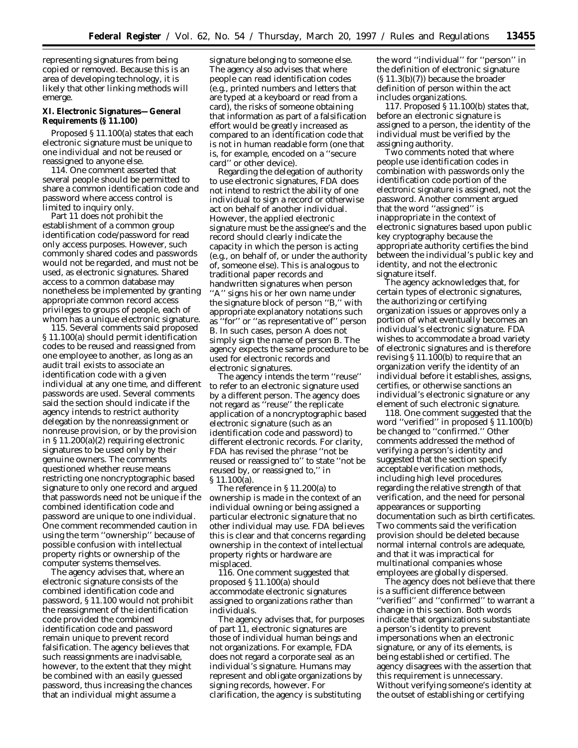representing signatures from being copied or removed. Because this is an area of developing technology, it is likely that other linking methods will emerge.

# **XI. Electronic Signatures—General Requirements (§ 11.100)**

Proposed § 11.100(a) states that each electronic signature must be unique to one individual and not be reused or reassigned to anyone else.

114. One comment asserted that several people should be permitted to share a common identification code and password where access control is limited to inquiry only.

Part 11 does not prohibit the establishment of a common group identification code/password for read only access purposes. However, such commonly shared codes and passwords would not be regarded, and must not be used, as electronic signatures. Shared access to a common database may nonetheless be implemented by granting appropriate common record access privileges to groups of people, each of whom has a unique electronic signature.

115. Several comments said proposed § 11.100(a) should permit identification codes to be reused and reassigned from one employee to another, as long as an audit trail exists to associate an identification code with a given individual at any one time, and different passwords are used. Several comments said the section should indicate if the agency intends to restrict authority delegation by the nonreassignment or nonreuse provision, or by the provision in § 11.200(a)(2) requiring electronic signatures to be used only by their genuine owners. The comments questioned whether reuse means restricting one noncryptographic based signature to only one record and argued that passwords need not be unique if the combined identification code and password are unique to one individual. One comment recommended caution in using the term ''ownership'' because of possible confusion with intellectual property rights or ownership of the computer systems themselves.

The agency advises that, where an electronic signature consists of the combined identification code and password, § 11.100 would not prohibit the reassignment of the identification code provided the combined identification code and password remain unique to prevent record falsification. The agency believes that such reassignments are inadvisable, however, to the extent that they might be combined with an easily guessed password, thus increasing the chances that an individual might assume a

signature belonging to someone else. The agency also advises that where people can read identification codes (e.g., printed numbers and letters that are typed at a keyboard or read from a card), the risks of someone obtaining that information as part of a falsification effort would be greatly increased as compared to an identification code that is not in human readable form (one that is, for example, encoded on a ''secure card'' or other device).

Regarding the delegation of authority to use electronic signatures, FDA does not intend to restrict the ability of one individual to sign a record or otherwise act on behalf of another individual. However, the applied electronic signature must be the assignee's and the record should clearly indicate the capacity in which the person is acting (e.g., on behalf of, or under the authority of, someone else). This is analogous to traditional paper records and handwritten signatures when person ''A'' signs his or her own name under the signature block of person ''B,'' with appropriate explanatory notations such as ''for'' or ''as representative of'' person B. In such cases, person A does not simply sign the name of person B. The agency expects the same procedure to be used for electronic records and electronic signatures.

The agency intends the term ''reuse'' to refer to an electronic signature used by a different person. The agency does not regard as ''reuse'' the replicate application of a noncryptographic based electronic signature (such as an identification code and password) to different electronic records. For clarity, FDA has revised the phrase ''not be reused or reassigned to'' to state ''not be reused by, or reassigned to,'' in § 11.100(a).

The reference in § 11.200(a) to ownership is made in the context of an individual owning or being assigned a particular electronic signature that no other individual may use. FDA believes this is clear and that concerns regarding ownership in the context of intellectual property rights or hardware are misplaced.

116. One comment suggested that proposed § 11.100(a) should accommodate electronic signatures assigned to organizations rather than individuals.

The agency advises that, for purposes of part 11, electronic signatures are those of individual human beings and not organizations. For example, FDA does not regard a corporate seal as an individual's signature. Humans may represent and obligate organizations by signing records, however. For clarification, the agency is substituting

the word ''individual'' for ''person'' in the definition of electronic signature (§ 11.3(b)(7)) because the broader definition of person within the act includes organizations.

117. Proposed § 11.100(b) states that, before an electronic signature is assigned to a person, the identity of the individual must be verified by the assigning authority.

Two comments noted that where people use identification codes in combination with passwords only the identification code portion of the electronic signature is assigned, not the password. Another comment argued that the word ''assigned'' is inappropriate in the context of electronic signatures based upon public key cryptography because the appropriate authority certifies the bind between the individual's public key and identity, and not the electronic signature itself.

The agency acknowledges that, for certain types of electronic signatures, the authorizing or certifying organization issues or approves only a portion of what eventually becomes an individual's electronic signature. FDA wishes to accommodate a broad variety of electronic signatures and is therefore revising § 11.100(b) to require that an organization verify the identity of an individual before it establishes, assigns, certifies, or otherwise sanctions an individual's electronic signature or any element of such electronic signature.

118. One comment suggested that the word ''verified'' in proposed § 11.100(b) be changed to ''confirmed.'' Other comments addressed the method of verifying a person's identity and suggested that the section specify acceptable verification methods, including high level procedures regarding the relative strength of that verification, and the need for personal appearances or supporting documentation such as birth certificates. Two comments said the verification provision should be deleted because normal internal controls are adequate, and that it was impractical for multinational companies whose employees are globally dispersed.

The agency does not believe that there is a sufficient difference between ''verified'' and ''confirmed'' to warrant a change in this section. Both words indicate that organizations substantiate a person's identity to prevent impersonations when an electronic signature, or any of its elements, is being established or certified. The agency disagrees with the assertion that this requirement is unnecessary. Without verifying someone's identity at the outset of establishing or certifying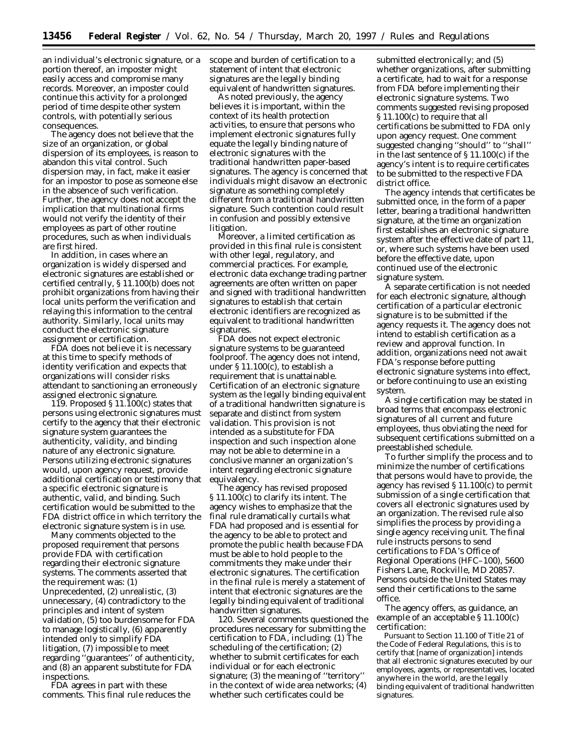an individual's electronic signature, or a portion thereof, an imposter might easily access and compromise many records. Moreover, an imposter could continue this activity for a prolonged period of time despite other system controls, with potentially serious consequences.

The agency does not believe that the size of an organization, or global dispersion of its employees, is reason to abandon this vital control. Such dispersion may, in fact, make it easier for an impostor to pose as someone else in the absence of such verification. Further, the agency does not accept the implication that multinational firms would not verify the identity of their employees as part of other routine procedures, such as when individuals are first hired.

In addition, in cases where an organization is widely dispersed and electronic signatures are established or certified centrally, § 11.100(b) does not prohibit organizations from having their local units perform the verification and relaying this information to the central authority. Similarly, local units may conduct the electronic signature assignment or certification.

FDA does not believe it is necessary at this time to specify methods of identity verification and expects that organizations will consider risks attendant to sanctioning an erroneously assigned electronic signature.

119. Proposed  $\S 11.100(c)$  states that persons using electronic signatures must certify to the agency that their electronic signature system guarantees the authenticity, validity, and binding nature of any electronic signature. Persons utilizing electronic signatures would, upon agency request, provide additional certification or testimony that a specific electronic signature is authentic, valid, and binding. Such certification would be submitted to the FDA district office in which territory the electronic signature system is in use.

Many comments objected to the proposed requirement that persons provide FDA with certification regarding their electronic signature systems. The comments asserted that the requirement was: (1) Unprecedented, (2) unrealistic, (3) unnecessary, (4) contradictory to the principles and intent of system validation, (5) too burdensome for FDA to manage logistically, (6) apparently intended only to simplify FDA litigation, (7) impossible to meet regarding ''guarantees'' of authenticity, and (8) an apparent substitute for FDA inspections.

FDA agrees in part with these comments. This final rule reduces the scope and burden of certification to a statement of intent that electronic signatures are the legally binding equivalent of handwritten signatures.

As noted previously, the agency believes it is important, within the context of its health protection activities, to ensure that persons who implement electronic signatures fully equate the legally binding nature of electronic signatures with the traditional handwritten paper-based signatures. The agency is concerned that individuals might disavow an electronic signature as something completely different from a traditional handwritten signature. Such contention could result in confusion and possibly extensive litigation.

Moreover, a limited certification as provided in this final rule is consistent with other legal, regulatory, and commercial practices. For example, electronic data exchange trading partner agreements are often written on paper and signed with traditional handwritten signatures to establish that certain electronic identifiers are recognized as equivalent to traditional handwritten signatures.

FDA does not expect electronic signature systems to be guaranteed foolproof. The agency does not intend, under § 11.100(c), to establish a requirement that is unattainable. Certification of an electronic signature system as the legally binding equivalent of a traditional handwritten signature is separate and distinct from system validation. This provision is not intended as a substitute for FDA inspection and such inspection alone may not be able to determine in a conclusive manner an organization's intent regarding electronic signature equivalency.

The agency has revised proposed § 11.100(c) to clarify its intent. The agency wishes to emphasize that the final rule dramatically curtails what FDA had proposed and is essential for the agency to be able to protect and promote the public health because FDA must be able to hold people to the commitments they make under their electronic signatures. The certification in the final rule is merely a statement of intent that electronic signatures are the legally binding equivalent of traditional handwritten signatures.

120. Several comments questioned the procedures necessary for submitting the certification to FDA, including: (1) The scheduling of the certification; (2) whether to submit certificates for each individual or for each electronic signature; (3) the meaning of ''territory'' in the context of wide area networks; (4) whether such certificates could be

submitted electronically; and (5) whether organizations, after submitting a certificate, had to wait for a response from FDA before implementing their electronic signature systems. Two comments suggested revising proposed § 11.100(c) to require that all certifications be submitted to FDA only upon agency request. One comment suggested changing ''should'' to ''shall'' in the last sentence of § 11.100(c) if the agency's intent is to require certificates to be submitted to the respective FDA district office.

The agency intends that certificates be submitted once, in the form of a paper letter, bearing a traditional handwritten signature, at the time an organization first establishes an electronic signature system after the effective date of part 11, or, where such systems have been used before the effective date, upon continued use of the electronic signature system.

A separate certification is not needed for each electronic signature, although certification of a particular electronic signature is to be submitted if the agency requests it. The agency does not intend to establish certification as a review and approval function. In addition, organizations need not await FDA's response before putting electronic signature systems into effect, or before continuing to use an existing system.

A single certification may be stated in broad terms that encompass electronic signatures of all current and future employees, thus obviating the need for subsequent certifications submitted on a preestablished schedule.

To further simplify the process and to minimize the number of certifications that persons would have to provide, the agency has revised § 11.100(c) to permit submission of a single certification that covers all electronic signatures used by an organization. The revised rule also simplifies the process by providing a single agency receiving unit. The final rule instructs persons to send certifications to FDA's Office of Regional Operations (HFC–100), 5600 Fishers Lane, Rockville, MD 20857. Persons outside the United States may send their certifications to the same office.

The agency offers, as guidance, an example of an acceptable § 11.100(c) certification:

Pursuant to Section 11.100 of Title 21 of the Code of Federal Regulations, this is to certify that [name of organization] intends that all electronic signatures executed by our employees, agents, or representatives, located anywhere in the world, are the legally binding equivalent of traditional handwritten signatures.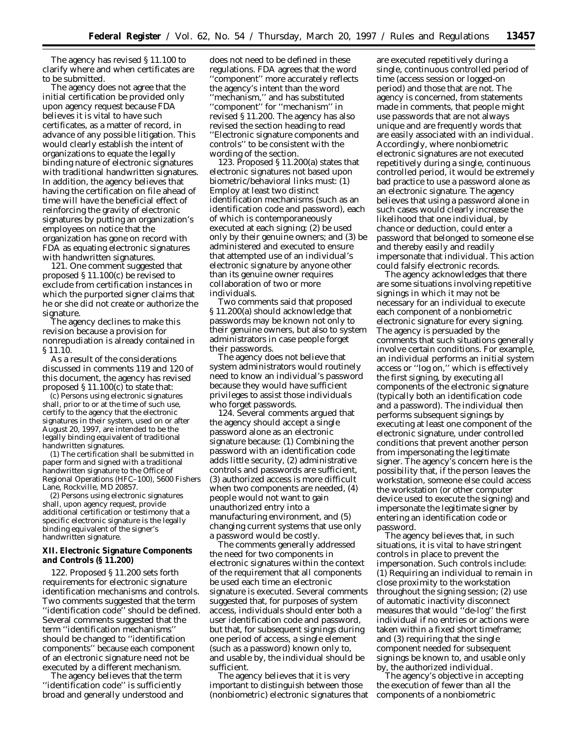The agency has revised § 11.100 to clarify where and when certificates are to be submitted.

The agency does not agree that the initial certification be provided only upon agency request because FDA believes it is vital to have such certificates, as a matter of record, in advance of any possible litigation. This would clearly establish the intent of organizations to equate the legally binding nature of electronic signatures with traditional handwritten signatures. In addition, the agency believes that having the certification on file ahead of time will have the beneficial effect of reinforcing the gravity of electronic signatures by putting an organization's employees on notice that the organization has gone on record with FDA as equating electronic signatures with handwritten signatures.

121. One comment suggested that proposed § 11.100(c) be revised to exclude from certification instances in which the purported signer claims that he or she did not create or authorize the signature.

The agency declines to make this revision because a provision for nonrepudiation is already contained in § 11.10.

As a result of the considerations discussed in comments 119 and 120 of this document, the agency has revised proposed § 11.100(c) to state that:

(c) Persons using electronic signatures shall, prior to or at the time of such use, certify to the agency that the electronic signatures in their system, used on or after August 20, 1997, are intended to be the legally binding equivalent of traditional handwritten signatures.

(1) The certification shall be submitted in paper form and signed with a traditional handwritten signature to the Office of Regional Operations (HFC–100), 5600 Fishers Lane, Rockville, MD 20857.

(2) Persons using electronic signatures shall, upon agency request, provide additional certification or testimony that a specific electronic signature is the legally binding equivalent of the signer's handwritten signature.

**XII. Electronic Signature Components and Controls (§ 11.200)**

122. Proposed § 11.200 sets forth requirements for electronic signature identification mechanisms and controls. Two comments suggested that the term ''identification code'' should be defined. Several comments suggested that the term ''identification mechanisms'' should be changed to ''identification components'' because each component of an electronic signature need not be executed by a different mechanism.

The agency believes that the term ''identification code'' is sufficiently broad and generally understood and does not need to be defined in these regulations. FDA agrees that the word 'component'' more accurately reflects the agency's intent than the word ''mechanism,'' and has substituted ''component'' for ''mechanism'' in revised § 11.200. The agency has also revised the section heading to read ''Electronic signature components and controls'' to be consistent with the wording of the section.

123. Proposed § 11.200(a) states that electronic signatures not based upon biometric/behavioral links must: (1) Employ at least two distinct identification mechanisms (such as an identification code and password), each of which is contemporaneously executed at each signing; (2) be used only by their genuine owners; and (3) be administered and executed to ensure that attempted use of an individual's electronic signature by anyone other than its genuine owner requires collaboration of two or more individuals.

Two comments said that proposed § 11.200(a) should acknowledge that passwords may be known not only to their genuine owners, but also to system administrators in case people forget their passwords.

The agency does not believe that system administrators would routinely need to know an individual's password because they would have sufficient privileges to assist those individuals who forget passwords.

124. Several comments argued that the agency should accept a single password alone as an electronic signature because: (1) Combining the password with an identification code adds little security, (2) administrative controls and passwords are sufficient, (3) authorized access is more difficult when two components are needed, (4) people would not want to gain unauthorized entry into a manufacturing environment, and (5) changing current systems that use only a password would be costly.

The comments generally addressed the need for two components in electronic signatures within the context of the requirement that all components be used each time an electronic signature is executed. Several comments suggested that, for purposes of system access, individuals should enter both a user identification code and password, but that, for subsequent signings during one period of access, a single element (such as a password) known only to, and usable by, the individual should be sufficient.

The agency believes that it is very important to distinguish between those (nonbiometric) electronic signatures that

are executed repetitively during a single, continuous controlled period of time (access session or logged-on period) and those that are not. The agency is concerned, from statements made in comments, that people might use passwords that are not always unique and are frequently words that are easily associated with an individual. Accordingly, where nonbiometric electronic signatures are not executed repetitively during a single, continuous controlled period, it would be extremely bad practice to use a password alone as an electronic signature. The agency believes that using a password alone in such cases would clearly increase the likelihood that one individual, by chance or deduction, could enter a password that belonged to someone else and thereby easily and readily impersonate that individual. This action could falsify electronic records.

The agency acknowledges that there are some situations involving repetitive signings in which it may not be necessary for an individual to execute each component of a nonbiometric electronic signature for every signing. The agency is persuaded by the comments that such situations generally involve certain conditions. For example, an individual performs an initial system access or ''log on,'' which is effectively the first signing, by executing all components of the electronic signature (typically both an identification code and a password). The individual then performs subsequent signings by executing at least one component of the electronic signature, under controlled conditions that prevent another person from impersonating the legitimate signer. The agency's concern here is the possibility that, if the person leaves the workstation, someone else could access the workstation (or other computer device used to execute the signing) and impersonate the legitimate signer by entering an identification code or password.

The agency believes that, in such situations, it is vital to have stringent controls in place to prevent the impersonation. Such controls include: (1) Requiring an individual to remain in close proximity to the workstation throughout the signing session; (2) use of automatic inactivity disconnect measures that would ''de-log'' the first individual if no entries or actions were taken within a fixed short timeframe; and (3) requiring that the single component needed for subsequent signings be known to, and usable only by, the authorized individual.

The agency's objective in accepting the execution of fewer than all the components of a nonbiometric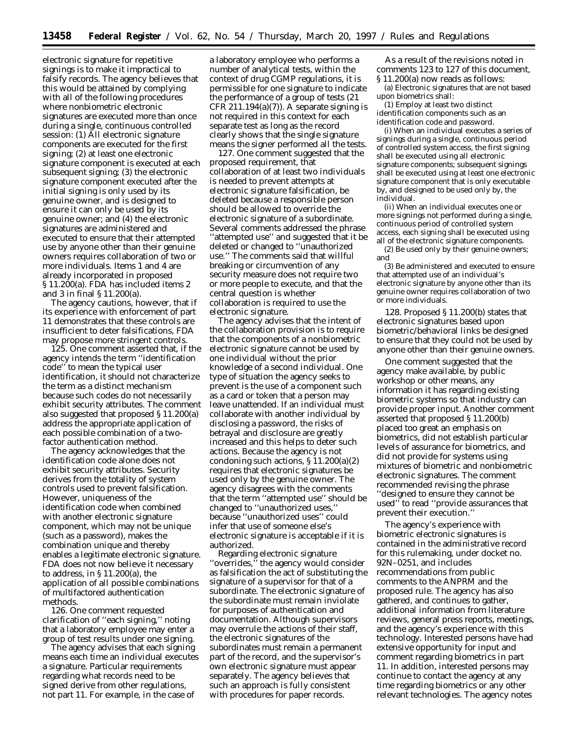electronic signature for repetitive signings is to make it impractical to falsify records. The agency believes that this would be attained by complying with all of the following procedures where nonbiometric electronic signatures are executed more than once during a single, continuous controlled session: (1) All electronic signature components are executed for the first signing; (2) at least one electronic signature component is executed at each subsequent signing; (3) the electronic signature component executed after the initial signing is only used by its genuine owner, and is designed to ensure it can only be used by its genuine owner; and (4) the electronic signatures are administered and executed to ensure that their attempted use by anyone other than their genuine owners requires collaboration of two or more individuals. Items 1 and 4 are already incorporated in proposed § 11.200(a). FDA has included items 2 and 3 in final § 11.200(a).

The agency cautions, however, that if its experience with enforcement of part 11 demonstrates that these controls are insufficient to deter falsifications, FDA may propose more stringent controls.

125. One comment asserted that, if the agency intends the term ''identification code'' to mean the typical user identification, it should not characterize the term as a distinct mechanism because such codes do not necessarily exhibit security attributes. The comment also suggested that proposed § 11.200(a) address the appropriate application of each possible combination of a twofactor authentication method.

The agency acknowledges that the identification code alone does not exhibit security attributes. Security derives from the totality of system controls used to prevent falsification. However, uniqueness of the identification code when combined with another electronic signature component, which may not be unique (such as a password), makes the combination unique and thereby enables a legitimate electronic signature. FDA does not now believe it necessary to address, in § 11.200(a), the application of all possible combinations of multifactored authentication methods.

126. One comment requested clarification of ''each signing,'' noting that a laboratory employee may enter a group of test results under one signing.

The agency advises that each signing means each time an individual executes a signature. Particular requirements regarding what records need to be signed derive from other regulations, not part 11. For example, in the case of

a laboratory employee who performs a number of analytical tests, within the context of drug CGMP regulations, it is permissible for one signature to indicate the performance of a group of tests (21 CFR 211.194(a)(7)). A separate signing is not required in this context for each separate test as long as the record clearly shows that the single signature means the signer performed all the tests.

127. One comment suggested that the proposed requirement, that collaboration of at least two individuals is needed to prevent attempts at electronic signature falsification, be deleted because a responsible person should be allowed to override the electronic signature of a subordinate. Several comments addressed the phrase ''attempted use'' and suggested that it be deleted or changed to ''unauthorized use.'' The comments said that willful breaking or circumvention of any security measure does not require two or more people to execute, and that the central question is whether collaboration is required to use the electronic signature.

The agency advises that the intent of the collaboration provision is to require that the components of a nonbiometric electronic signature cannot be used by one individual without the prior knowledge of a second individual. One type of situation the agency seeks to prevent is the use of a component such as a card or token that a person may leave unattended. If an individual must collaborate with another individual by disclosing a password, the risks of betrayal and disclosure are greatly increased and this helps to deter such actions. Because the agency is not condoning such actions,  $\S 11.200(a)(2)$ requires that electronic signatures be used only by the genuine owner. The agency disagrees with the comments that the term ''attempted use'' should be changed to ''unauthorized uses,'' because ''unauthorized uses'' could infer that use of someone else's electronic signature is acceptable if it is authorized.

Regarding electronic signature ''overrides,'' the agency would consider as falsification the act of substituting the signature of a supervisor for that of a subordinate. The electronic signature of the subordinate must remain inviolate for purposes of authentication and documentation. Although supervisors may overrule the actions of their staff, the electronic signatures of the subordinates must remain a permanent part of the record, and the supervisor's own electronic signature must appear separately. The agency believes that such an approach is fully consistent with procedures for paper records.

As a result of the revisions noted in comments 123 to 127 of this document, § 11.200(a) now reads as follows:

(a) Electronic signatures that are not based upon biometrics shall:

(1) Employ at least two distinct identification components such as an identification code and password.

(i) When an individual executes a series of signings during a single, continuous period of controlled system access, the first signing shall be executed using all electronic signature components; subsequent signings shall be executed using at least one electronic signature component that is only executable by, and designed to be used only by, the individual.

(ii) When an individual executes one or more signings not performed during a single, continuous period of controlled system access, each signing shall be executed using all of the electronic signature components.

(2) Be used only by their genuine owners; and

(3) Be administered and executed to ensure that attempted use of an individual's electronic signature by anyone other than its genuine owner requires collaboration of two or more individuals.

128. Proposed § 11.200(b) states that electronic signatures based upon biometric/behavioral links be designed to ensure that they could not be used by anyone other than their genuine owners.

One comment suggested that the agency make available, by public workshop or other means, any information it has regarding existing biometric systems so that industry can provide proper input. Another comment asserted that proposed § 11.200(b) placed too great an emphasis on biometrics, did not establish particular levels of assurance for biometrics, and did not provide for systems using mixtures of biometric and nonbiometric electronic signatures. The comment recommended revising the phrase ''designed to ensure they cannot be used'' to read ''provide assurances that prevent their execution.''

The agency's experience with biometric electronic signatures is contained in the administrative record for this rulemaking, under docket no. 92N–0251, and includes recommendations from public comments to the ANPRM and the proposed rule. The agency has also gathered, and continues to gather, additional information from literature reviews, general press reports, meetings, and the agency's experience with this technology. Interested persons have had extensive opportunity for input and comment regarding biometrics in part 11. In addition, interested persons may continue to contact the agency at any time regarding biometrics or any other relevant technologies. The agency notes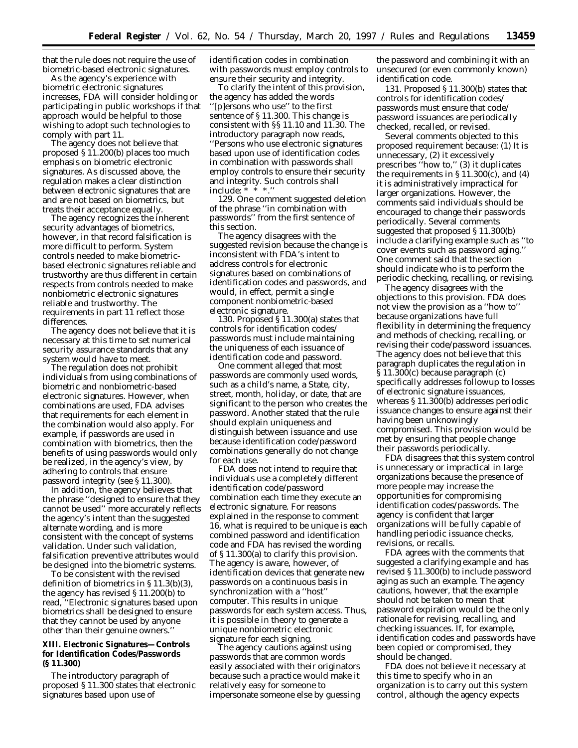that the rule does not require the use of biometric-based electronic signatures.

As the agency's experience with biometric electronic signatures increases, FDA will consider holding or participating in public workshops if that approach would be helpful to those wishing to adopt such technologies to comply with part 11.

The agency does not believe that proposed § 11.200(b) places too much emphasis on biometric electronic signatures. As discussed above, the regulation makes a clear distinction between electronic signatures that are and are not based on biometrics, but treats their acceptance equally.

The agency recognizes the inherent security advantages of biometrics, however, in that record falsification is more difficult to perform. System controls needed to make biometricbased electronic signatures reliable and trustworthy are thus different in certain respects from controls needed to make nonbiometric electronic signatures reliable and trustworthy. The requirements in part 11 reflect those differences.

The agency does not believe that it is necessary at this time to set numerical security assurance standards that any system would have to meet.

The regulation does not prohibit individuals from using combinations of biometric and nonbiometric-based electronic signatures. However, when combinations are used, FDA advises that requirements for each element in the combination would also apply. For example, if passwords are used in combination with biometrics, then the benefits of using passwords would only be realized, in the agency's view, by adhering to controls that ensure password integrity (see § 11.300).

In addition, the agency believes that the phrase ''designed to ensure that they cannot be used'' more accurately reflects the agency's intent than the suggested alternate wording, and is more consistent with the concept of systems validation. Under such validation, falsification preventive attributes would be designed into the biometric systems.

To be consistent with the revised definition of biometrics in § 11.3(b)(3), the agency has revised § 11.200(b) to read, ''Electronic signatures based upon biometrics shall be designed to ensure that they cannot be used by anyone other than their genuine owners.''

**XIII. Electronic Signatures—Controls for Identification Codes/Passwords (§ 11.300)**

The introductory paragraph of proposed § 11.300 states that electronic signatures based upon use of

identification codes in combination with passwords must employ controls to ensure their security and integrity.

To clarify the intent of this provision, the agency has added the words ''[p]ersons who use'' to the first sentence of § 11.300. This change is consistent with §§ 11.10 and 11.30. The introductory paragraph now reads, ''Persons who use electronic signatures based upon use of identification codes in combination with passwords shall employ controls to ensure their security and integrity. Such controls shall include: \* \* \*.''

129. One comment suggested deletion of the phrase ''in combination with passwords'' from the first sentence of this section.

The agency disagrees with the suggested revision because the change is inconsistent with FDA's intent to address controls for electronic signatures based on combinations of identification codes and passwords, and would, in effect, permit a single component nonbiometric-based electronic signature.

130. Proposed § 11.300(a) states that controls for identification codes/ passwords must include maintaining the uniqueness of each issuance of identification code and password.

One comment alleged that most passwords are commonly used words, such as a child's name, a State, city, street, month, holiday, or date, that are significant to the person who creates the password. Another stated that the rule should explain uniqueness and distinguish between issuance and use because identification code/password combinations generally do not change for each use.

FDA does not intend to require that individuals use a completely different identification code/password combination each time they execute an electronic signature. For reasons explained in the response to comment 16, what is required to be unique is each combined password and identification code and FDA has revised the wording of § 11.300(a) to clarify this provision. The agency is aware, however, of identification devices that generate new passwords on a continuous basis in synchronization with a ''host'' computer. This results in unique passwords for each system access. Thus, it is possible in theory to generate a unique nonbiometric electronic signature for each signing.

The agency cautions against using passwords that are common words easily associated with their originators because such a practice would make it relatively easy for someone to impersonate someone else by guessing

the password and combining it with an unsecured (or even commonly known) identification code.

131. Proposed § 11.300(b) states that controls for identification codes/ passwords must ensure that code/ password issuances are periodically checked, recalled, or revised.

Several comments objected to this proposed requirement because: (1) It is unnecessary, (2) it excessively prescribes ''how to,'' (3) it duplicates the requirements in  $\S 11.300(c)$ , and (4) it is administratively impractical for larger organizations. However, the comments said individuals should be encouraged to change their passwords periodically. Several comments suggested that proposed § 11.300(b) include a clarifying example such as ''to cover events such as password aging.'' One comment said that the section should indicate who is to perform the periodic checking, recalling, or revising.

The agency disagrees with the objections to this provision. FDA does not view the provision as a ''how to'' because organizations have full flexibility in determining the frequency and methods of checking, recalling, or revising their code/password issuances. The agency does not believe that this paragraph duplicates the regulation in § 11.300(c) because paragraph (c) specifically addresses followup to losses of electronic signature issuances, whereas § 11.300(b) addresses periodic issuance changes to ensure against their having been unknowingly compromised. This provision would be met by ensuring that people change their passwords periodically.

FDA disagrees that this system control is unnecessary or impractical in large organizations because the presence of more people may increase the opportunities for compromising identification codes/passwords. The agency is confident that larger organizations will be fully capable of handling periodic issuance checks, revisions, or recalls.

FDA agrees with the comments that suggested a clarifying example and has revised § 11.300(b) to include password aging as such an example. The agency cautions, however, that the example should not be taken to mean that password expiration would be the only rationale for revising, recalling, and checking issuances. If, for example, identification codes and passwords have been copied or compromised, they should be changed.

FDA does not believe it necessary at this time to specify who in an organization is to carry out this system control, although the agency expects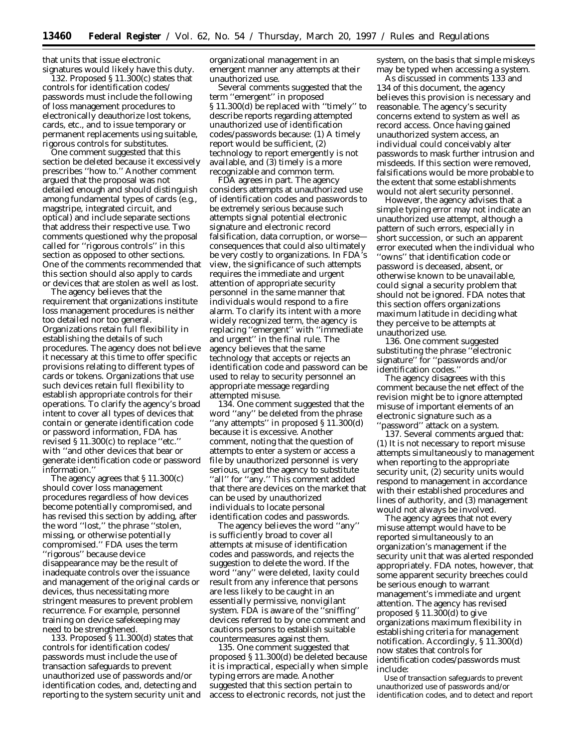that units that issue electronic signatures would likely have this duty.

132. Proposed § 11.300(c) states that controls for identification codes/ passwords must include the following of loss management procedures to electronically deauthorize lost tokens, cards, etc., and to issue temporary or permanent replacements using suitable, rigorous controls for substitutes.

One comment suggested that this section be deleted because it excessively prescribes ''how to.'' Another comment argued that the proposal was not detailed enough and should distinguish among fundamental types of cards (e.g., magstripe, integrated circuit, and optical) and include separate sections that address their respective use. Two comments questioned why the proposal called for ''rigorous controls'' in this section as opposed to other sections. One of the comments recommended that this section should also apply to cards or devices that are stolen as well as lost.

The agency believes that the requirement that organizations institute loss management procedures is neither too detailed nor too general. Organizations retain full flexibility in establishing the details of such procedures. The agency does not believe it necessary at this time to offer specific provisions relating to different types of cards or tokens. Organizations that use such devices retain full flexibility to establish appropriate controls for their operations. To clarify the agency's broad intent to cover all types of devices that contain or generate identification code or password information, FDA has revised § 11.300(c) to replace ''etc.'' with ''and other devices that bear or generate identification code or password information.''

The agency agrees that § 11.300(c) should cover loss management procedures regardless of how devices become potentially compromised, and has revised this section by adding, after the word ''lost,'' the phrase ''stolen, missing, or otherwise potentially compromised.'' FDA uses the term ''rigorous'' because device disappearance may be the result of inadequate controls over the issuance and management of the original cards or devices, thus necessitating more stringent measures to prevent problem recurrence. For example, personnel training on device safekeeping may need to be strengthened.

133. Proposed § 11.300(d) states that controls for identification codes/ passwords must include the use of transaction safeguards to prevent unauthorized use of passwords and/or identification codes, and, detecting and reporting to the system security unit and organizational management in an emergent manner any attempts at their unauthorized use.

Several comments suggested that the term ''emergent'' in proposed § 11.300(d) be replaced with ''timely'' to describe reports regarding attempted unauthorized use of identification codes/passwords because: (1) A timely report would be sufficient, (2) technology to report emergently is not available, and (3) timely is a more recognizable and common term.

FDA agrees in part. The agency considers attempts at unauthorized use of identification codes and passwords to be extremely serious because such attempts signal potential electronic signature and electronic record falsification, data corruption, or worse consequences that could also ultimately be very costly to organizations. In FDA's view, the significance of such attempts requires the immediate and urgent attention of appropriate security personnel in the same manner that individuals would respond to a fire alarm. To clarify its intent with a more widely recognized term, the agency is replacing ''emergent'' with ''immediate and urgent'' in the final rule. The agency believes that the same technology that accepts or rejects an identification code and password can be used to relay to security personnel an appropriate message regarding attempted misuse.

134. One comment suggested that the word ''any'' be deleted from the phrase ''any attempts'' in proposed § 11.300(d) because it is excessive. Another comment, noting that the question of attempts to enter a system or access a file by unauthorized personnel is very serious, urged the agency to substitute ''all'' for ''any.'' This comment added that there are devices on the market that can be used by unauthorized individuals to locate personal identification codes and passwords.

The agency believes the word ''any'' is sufficiently broad to cover all attempts at misuse of identification codes and passwords, and rejects the suggestion to delete the word. If the word ''any'' were deleted, laxity could result from any inference that persons are less likely to be caught in an essentially permissive, nonvigilant system. FDA is aware of the ''sniffing'' devices referred to by one comment and cautions persons to establish suitable countermeasures against them.

135. One comment suggested that proposed § 11.300(d) be deleted because it is impractical, especially when simple typing errors are made. Another suggested that this section pertain to access to electronic records, not just the

system, on the basis that simple miskeys may be typed when accessing a system.

As discussed in comments 133 and 134 of this document, the agency believes this provision is necessary and reasonable. The agency's security concerns extend to system as well as record access. Once having gained unauthorized system access, an individual could conceivably alter passwords to mask further intrusion and misdeeds. If this section were removed, falsifications would be more probable to the extent that some establishments would not alert security personnel.

However, the agency advises that a simple typing error may not indicate an unauthorized use attempt, although a pattern of such errors, especially in short succession, or such an apparent error executed when the individual who ''owns'' that identification code or password is deceased, absent, or otherwise known to be unavailable, could signal a security problem that should not be ignored. FDA notes that this section offers organizations maximum latitude in deciding what they perceive to be attempts at unauthorized use.

136. One comment suggested substituting the phrase ''electronic signature'' for ''passwords and/or identification codes.''

The agency disagrees with this comment because the net effect of the revision might be to ignore attempted misuse of important elements of an electronic signature such as a 'password'' attack on a system.

137. Several comments argued that: (1) It is not necessary to report misuse attempts simultaneously to management when reporting to the appropriate security unit, (2) security units would respond to management in accordance with their established procedures and lines of authority, and (3) management would not always be involved.

The agency agrees that not every misuse attempt would have to be reported simultaneously to an organization's management if the security unit that was alerted responded appropriately. FDA notes, however, that some apparent security breeches could be serious enough to warrant management's immediate and urgent attention. The agency has revised proposed § 11.300(d) to give organizations maximum flexibility in establishing criteria for management notification. Accordingly, § 11.300(d) now states that controls for identification codes/passwords must include:

Use of transaction safeguards to prevent unauthorized use of passwords and/or identification codes, and to detect and report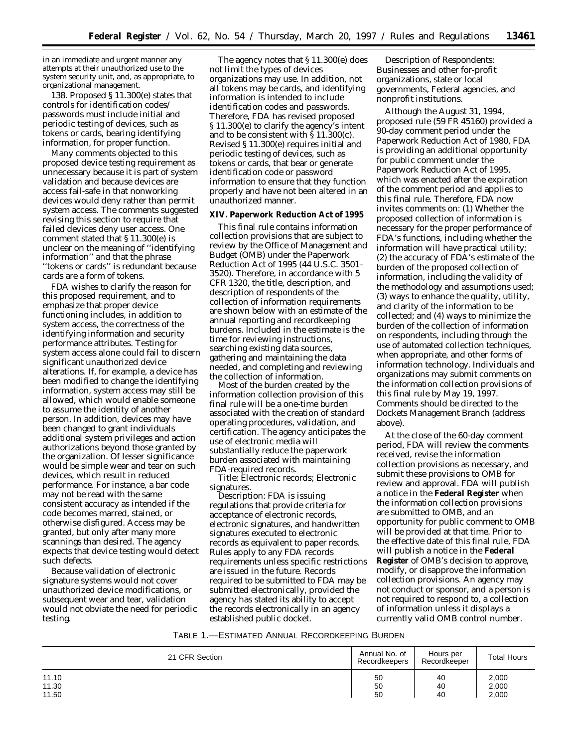in an immediate and urgent manner any attempts at their unauthorized use to the system security unit, and, as appropriate, to organizational management.

138. Proposed § 11.300(e) states that controls for identification codes/ passwords must include initial and periodic testing of devices, such as tokens or cards, bearing identifying information, for proper function.

Many comments objected to this proposed device testing requirement as unnecessary because it is part of system validation and because devices are access fail-safe in that nonworking devices would deny rather than permit system access. The comments suggested revising this section to require that failed devices deny user access. One comment stated that § 11.300(e) is unclear on the meaning of ''identifying information'' and that the phrase ''tokens or cards'' is redundant because cards are a form of tokens.

FDA wishes to clarify the reason for this proposed requirement, and to emphasize that proper device functioning includes, in addition to system access, the correctness of the identifying information and security performance attributes. Testing for system access alone could fail to discern significant unauthorized device alterations. If, for example, a device has been modified to change the identifying information, system access may still be allowed, which would enable someone to assume the identity of another person. In addition, devices may have been changed to grant individuals additional system privileges and action authorizations beyond those granted by the organization. Of lesser significance would be simple wear and tear on such devices, which result in reduced performance. For instance, a bar code may not be read with the same consistent accuracy as intended if the code becomes marred, stained, or otherwise disfigured. Access may be granted, but only after many more scannings than desired. The agency expects that device testing would detect such defects.

Because validation of electronic signature systems would not cover unauthorized device modifications, or subsequent wear and tear, validation would not obviate the need for periodic testing.

The agency notes that § 11.300(e) does not limit the types of devices organizations may use. In addition, not all tokens may be cards, and identifying information is intended to include identification codes and passwords. Therefore, FDA has revised proposed § 11.300(e) to clarify the agency's intent and to be consistent with § 11.300(c). Revised § 11.300(e) requires initial and periodic testing of devices, such as tokens or cards, that bear or generate identification code or password information to ensure that they function properly and have not been altered in an unauthorized manner.

## **XIV. Paperwork Reduction Act of 1995**

This final rule contains information collection provisions that are subject to review by the Office of Management and Budget (OMB) under the Paperwork Reduction Act of 1995 (44 U.S.C. 3501– 3520). Therefore, in accordance with 5 CFR 1320, the title, description, and description of respondents of the collection of information requirements are shown below with an estimate of the annual reporting and recordkeeping burdens. Included in the estimate is the time for reviewing instructions, searching existing data sources, gathering and maintaining the data needed, and completing and reviewing the collection of information.

Most of the burden created by the information collection provision of this final rule will be a one-time burden associated with the creation of standard operating procedures, validation, and certification. The agency anticipates the use of electronic media will substantially reduce the paperwork burden associated with maintaining FDA-required records.

*Title:* Electronic records; Electronic signatures.

*Description:* FDA is issuing regulations that provide criteria for acceptance of electronic records, electronic signatures, and handwritten signatures executed to electronic records as equivalent to paper records. Rules apply to any FDA records requirements unless specific restrictions are issued in the future. Records required to be submitted to FDA may be submitted electronically, provided the agency has stated its ability to accept the records electronically in an agency established public docket.

*Description of Respondents:* Businesses and other for-profit organizations, state or local governments, Federal agencies, and nonprofit institutions.

Although the August 31, 1994, proposed rule (59 FR 45160) provided a 90-day comment period under the Paperwork Reduction Act of 1980, FDA is providing an additional opportunity for public comment under the Paperwork Reduction Act of 1995, which was enacted after the expiration of the comment period and applies to this final rule. Therefore, FDA now invites comments on: (1) Whether the proposed collection of information is necessary for the proper performance of FDA's functions, including whether the information will have practical utility; (2) the accuracy of FDA's estimate of the burden of the proposed collection of information, including the validity of the methodology and assumptions used; (3) ways to enhance the quality, utility, and clarity of the information to be collected; and (4) ways to minimize the burden of the collection of information on respondents, including through the use of automated collection techniques, when appropriate, and other forms of information technology. Individuals and organizations may submit comments on the information collection provisions of this final rule by May 19, 1997. Comments should be directed to the Dockets Management Branch (address above).

At the close of the 60-day comment period, FDA will review the comments received, revise the information collection provisions as necessary, and submit these provisions to OMB for review and approval. FDA will publish a notice in the **Federal Register** when the information collection provisions are submitted to OMB, and an opportunity for public comment to OMB will be provided at that time. Prior to the effective date of this final rule, FDA will publish a notice in the **Federal Register** of OMB's decision to approve, modify, or disapprove the information collection provisions. An agency may not conduct or sponsor, and a person is not required to respond to, a collection of information unless it displays a currently valid OMB control number.

TABLE 1.—ESTIMATED ANNUAL RECORDKEEPING BURDEN

| 21 CFR Section | Annual No. of<br>Recordkeepers | Hours per<br>Recordkeeper | <b>Total Hours</b> |
|----------------|--------------------------------|---------------------------|--------------------|
| 11.10          | 50                             | 40                        | 2,000              |
| 11.30          | 50                             | 40                        | 2,000              |
| 11.50          | 50                             | 40                        | 2,000              |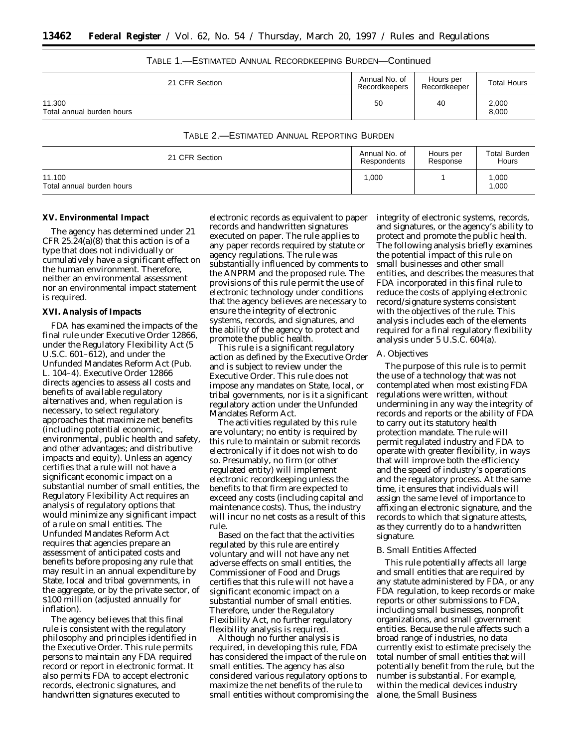| 21 CFR Section                      | Annual No. of<br>Recordkeepers | Hours per<br>Recordkeeper | <b>Total Hours</b> |
|-------------------------------------|--------------------------------|---------------------------|--------------------|
| 11.300<br>Total annual burden hours | 50                             | 40                        | 2,000<br>8,000     |

# TABLE 1.—ESTIMATED ANNUAL RECORDKEEPING BURDEN—Continued

# TABLE 2.—ESTIMATED ANNUAL REPORTING BURDEN

| 21 CFR Section                      | Annual No. of | Hours per | <b>Total Burden</b> |
|-------------------------------------|---------------|-----------|---------------------|
|                                     | Respondents   | Response  | Hours               |
| 11.100<br>Total annual burden hours | 1,000         |           | ,000<br>,000        |

# **XV. Environmental Impact**

The agency has determined under 21 CFR 25.24(a)(8) that this action is of a type that does not individually or cumulatively have a significant effect on the human environment. Therefore, neither an environmental assessment nor an environmental impact statement is required.

# **XVI. Analysis of Impacts**

FDA has examined the impacts of the final rule under Executive Order 12866, under the Regulatory Flexibility Act (5 U.S.C. 601–612), and under the Unfunded Mandates Reform Act (Pub. L. 104–4). Executive Order 12866 directs agencies to assess all costs and benefits of available regulatory alternatives and, when regulation is necessary, to select regulatory approaches that maximize net benefits (including potential economic, environmental, public health and safety, and other advantages; and distributive impacts and equity). Unless an agency certifies that a rule will not have a significant economic impact on a substantial number of small entities, the Regulatory Flexibility Act requires an analysis of regulatory options that would minimize any significant impact of a rule on small entities. The Unfunded Mandates Reform Act requires that agencies prepare an assessment of anticipated costs and benefits before proposing any rule that may result in an annual expenditure by State, local and tribal governments, in the aggregate, or by the private sector, of \$100 million (adjusted annually for inflation).

The agency believes that this final rule is consistent with the regulatory philosophy and principles identified in the Executive Order. This rule permits persons to maintain any FDA required record or report in electronic format. It also permits FDA to accept electronic records, electronic signatures, and handwritten signatures executed to

electronic records as equivalent to paper records and handwritten signatures executed on paper. The rule applies to any paper records required by statute or agency regulations. The rule was substantially influenced by comments to the ANPRM and the proposed rule. The provisions of this rule permit the use of electronic technology under conditions that the agency believes are necessary to ensure the integrity of electronic systems, records, and signatures, and the ability of the agency to protect and promote the public health.

This rule is a significant regulatory action as defined by the Executive Order and is subject to review under the Executive Order. This rule does not impose any mandates on State, local, or tribal governments, nor is it a significant regulatory action under the Unfunded Mandates Reform Act.

The activities regulated by this rule are voluntary; no entity is required by this rule to maintain or submit records electronically if it does not wish to do so. Presumably, no firm (or other regulated entity) will implement electronic recordkeeping unless the benefits to that firm are expected to exceed any costs (including capital and maintenance costs). Thus, the industry will incur no net costs as a result of this rule.

Based on the fact that the activities regulated by this rule are entirely voluntary and will not have any net adverse effects on small entities, the Commissioner of Food and Drugs certifies that this rule will not have a significant economic impact on a substantial number of small entities. Therefore, under the Regulatory Flexibility Act, no further regulatory flexibility analysis is required.

Although no further analysis is required, in developing this rule, FDA has considered the impact of the rule on small entities. The agency has also considered various regulatory options to maximize the net benefits of the rule to small entities without compromising the integrity of electronic systems, records, and signatures, or the agency's ability to protect and promote the public health. The following analysis briefly examines the potential impact of this rule on small businesses and other small entities, and describes the measures that FDA incorporated in this final rule to reduce the costs of applying electronic record/signature systems consistent with the objectives of the rule. This analysis includes each of the elements required for a final regulatory flexibility analysis under 5 U.S.C. 604(a).

# *A. Objectives*

The purpose of this rule is to permit the use of a technology that was not contemplated when most existing FDA regulations were written, without undermining in any way the integrity of records and reports or the ability of FDA to carry out its statutory health protection mandate. The rule will permit regulated industry and FDA to operate with greater flexibility, in ways that will improve both the efficiency and the speed of industry's operations and the regulatory process. At the same time, it ensures that individuals will assign the same level of importance to affixing an electronic signature, and the records to which that signature attests, as they currently do to a handwritten signature.

# *B. Small Entities Affected*

This rule potentially affects all large and small entities that are required by any statute administered by FDA, or any FDA regulation, to keep records or make reports or other submissions to FDA, including small businesses, nonprofit organizations, and small government entities. Because the rule affects such a broad range of industries, no data currently exist to estimate precisely the total number of small entities that will potentially benefit from the rule, but the number is substantial. For example, within the medical devices industry alone, the Small Business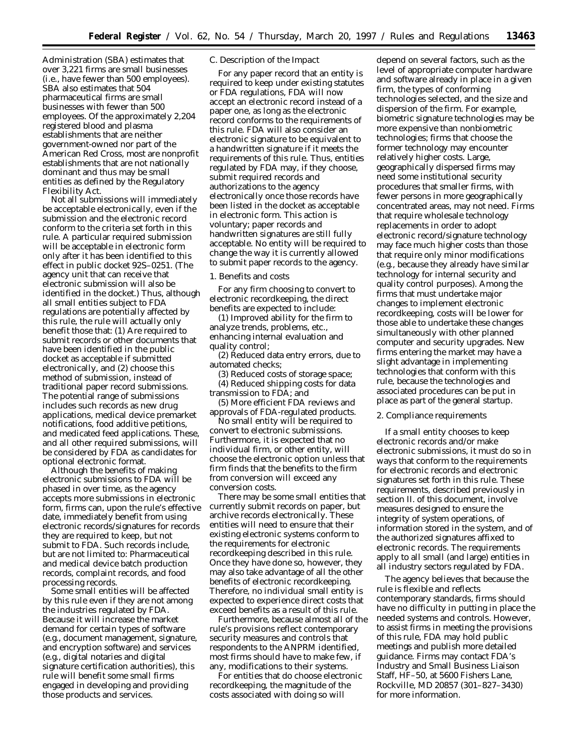Administration (SBA) estimates that over 3,221 firms are small businesses (i.e., have fewer than 500 employees). SBA also estimates that 504 pharmaceutical firms are small businesses with fewer than 500 employees. Of the approximately 2,204 registered blood and plasma establishments that are neither government-owned nor part of the American Red Cross, most are nonprofit establishments that are not nationally dominant and thus may be small entities as defined by the Regulatory Flexibility Act.

Not all submissions will immediately be acceptable electronically, even if the submission and the electronic record conform to the criteria set forth in this rule. A particular required submission will be acceptable in electronic form only after it has been identified to this effect in public docket 92S–0251. (The agency unit that can receive that electronic submission will also be identified in the docket.) Thus, although all small entities subject to FDA regulations are potentially affected by this rule, the rule will actually only benefit those that: (1) Are required to submit records or other documents that have been identified in the public docket as acceptable if submitted electronically, and (2) choose this method of submission, instead of traditional paper record submissions. The potential range of submissions includes such records as new drug applications, medical device premarket notifications, food additive petitions, and medicated feed applications. These, and all other required submissions, will be considered by FDA as candidates for optional electronic format.

Although the benefits of making electronic submissions to FDA will be phased in over time, as the agency accepts more submissions in electronic form, firms can, upon the rule's effective date, immediately benefit from using electronic records/signatures for records they are required to keep, but not submit to FDA. Such records include, but are not limited to: Pharmaceutical and medical device batch production records, complaint records, and food processing records.

Some small entities will be affected by this rule even if they are not among the industries regulated by FDA. Because it will increase the market demand for certain types of software (e.g., document management, signature, and encryption software) and services (e.g., digital notaries and digital signature certification authorities), this rule will benefit some small firms engaged in developing and providing those products and services.

# *C. Description of the Impact*

For any paper record that an entity is required to keep under existing statutes or FDA regulations, FDA will now accept an electronic record instead of a paper one, as long as the electronic record conforms to the requirements of this rule. FDA will also consider an electronic signature to be equivalent to a handwritten signature if it meets the requirements of this rule. Thus, entities regulated by FDA may, if they choose, submit required records and authorizations to the agency electronically once those records have been listed in the docket as acceptable in electronic form. This action is voluntary; paper records and handwritten signatures are still fully acceptable. No entity will be required to change the way it is currently allowed to submit paper records to the agency.

1. Benefits and costs

For any firm choosing to convert to electronic recordkeeping, the direct benefits are expected to include:

(1) Improved ability for the firm to analyze trends, problems, etc., enhancing internal evaluation and quality control;

(2) Reduced data entry errors, due to automated checks;

(3) Reduced costs of storage space;

(4) Reduced shipping costs for data transmission to FDA; and (5) More efficient FDA reviews and

approvals of FDA-regulated products.

No small entity will be required to convert to electronic submissions. Furthermore, it is expected that no individual firm, or other entity, will choose the electronic option unless that firm finds that the benefits to the firm from conversion will exceed any conversion costs.

There may be some small entities that currently submit records on paper, but archive records electronically. These entities will need to ensure that their existing electronic systems conform to the requirements for electronic recordkeeping described in this rule. Once they have done so, however, they may also take advantage of all the other benefits of electronic recordkeeping. Therefore, no individual small entity is expected to experience direct costs that exceed benefits as a result of this rule.

Furthermore, because almost all of the rule's provisions reflect contemporary security measures and controls that respondents to the ANPRM identified, most firms should have to make few, if any, modifications to their systems.

For entities that do choose electronic recordkeeping, the magnitude of the costs associated with doing so will

depend on several factors, such as the level of appropriate computer hardware and software already in place in a given firm, the types of conforming technologies selected, and the size and dispersion of the firm. For example, biometric signature technologies may be more expensive than nonbiometric technologies; firms that choose the former technology may encounter relatively higher costs. Large, geographically dispersed firms may need some institutional security procedures that smaller firms, with fewer persons in more geographically concentrated areas, may not need. Firms that require wholesale technology replacements in order to adopt electronic record/signature technology may face much higher costs than those that require only minor modifications (e.g., because they already have similar technology for internal security and quality control purposes). Among the firms that must undertake major changes to implement electronic recordkeeping, costs will be lower for those able to undertake these changes simultaneously with other planned computer and security upgrades. New firms entering the market may have a slight advantage in implementing technologies that conform with this rule, because the technologies and associated procedures can be put in place as part of the general startup.

# 2. Compliance requirements

If a small entity chooses to keep electronic records and/or make electronic submissions, it must do so in ways that conform to the requirements for electronic records and electronic signatures set forth in this rule. These requirements, described previously in section II. of this document, involve measures designed to ensure the integrity of system operations, of information stored in the system, and of the authorized signatures affixed to electronic records. The requirements apply to all small (and large) entities in all industry sectors regulated by FDA.

The agency believes that because the rule is flexible and reflects contemporary standards, firms should have no difficulty in putting in place the needed systems and controls. However, to assist firms in meeting the provisions of this rule, FDA may hold public meetings and publish more detailed guidance. Firms may contact FDA's Industry and Small Business Liaison Staff, HF–50, at 5600 Fishers Lane, Rockville, MD 20857 (301–827–3430) for more information.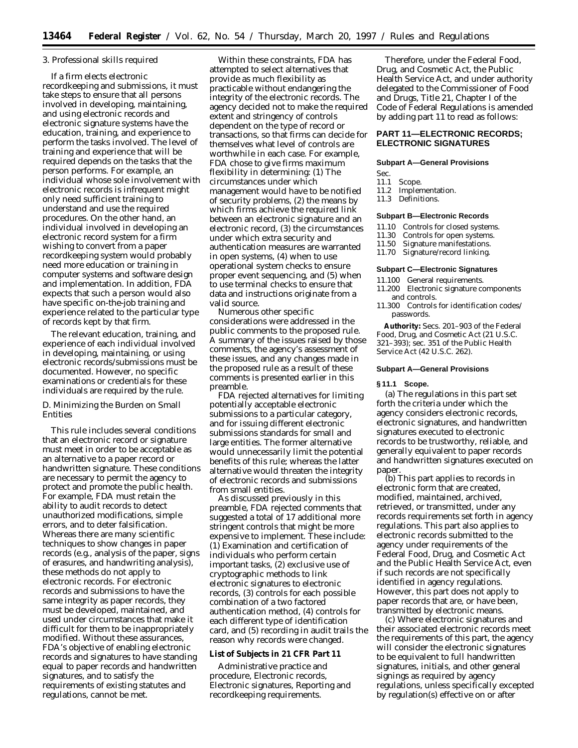## 3. Professional skills required

If a firm elects electronic recordkeeping and submissions, it must take steps to ensure that all persons involved in developing, maintaining, and using electronic records and electronic signature systems have the education, training, and experience to perform the tasks involved. The level of training and experience that will be required depends on the tasks that the person performs. For example, an individual whose sole involvement with electronic records is infrequent might only need sufficient training to understand and use the required procedures. On the other hand, an individual involved in developing an electronic record system for a firm wishing to convert from a paper recordkeeping system would probably need more education or training in computer systems and software design and implementation. In addition, FDA expects that such a person would also have specific on-the-job training and experience related to the particular type of records kept by that firm.

The relevant education, training, and experience of each individual involved in developing, maintaining, or using electronic records/submissions must be documented. However, no specific examinations or credentials for these individuals are required by the rule.

# *D. Minimizing the Burden on Small Entities*

This rule includes several conditions that an electronic record or signature must meet in order to be acceptable as an alternative to a paper record or handwritten signature. These conditions are necessary to permit the agency to protect and promote the public health. For example, FDA must retain the ability to audit records to detect unauthorized modifications, simple errors, and to deter falsification. Whereas there are many scientific techniques to show changes in paper records (e.g., analysis of the paper, signs of erasures, and handwriting analysis), these methods do not apply to electronic records. For electronic records and submissions to have the same integrity as paper records, they must be developed, maintained, and used under circumstances that make it difficult for them to be inappropriately modified. Without these assurances, FDA's objective of enabling electronic records and signatures to have standing equal to paper records and handwritten signatures, and to satisfy the requirements of existing statutes and regulations, cannot be met.

Within these constraints, FDA has attempted to select alternatives that provide as much flexibility as practicable without endangering the integrity of the electronic records. The agency decided not to make the required extent and stringency of controls dependent on the type of record or transactions, so that firms can decide for themselves what level of controls are worthwhile in each case. For example, FDA chose to give firms maximum flexibility in determining: (1) The circumstances under which management would have to be notified of security problems, (2) the means by which firms achieve the required link between an electronic signature and an electronic record, (3) the circumstances under which extra security and authentication measures are warranted in open systems, (4) when to use operational system checks to ensure proper event sequencing, and (5) when to use terminal checks to ensure that data and instructions originate from a valid source.

Numerous other specific considerations were addressed in the public comments to the proposed rule. A summary of the issues raised by those comments, the agency's assessment of these issues, and any changes made in the proposed rule as a result of these comments is presented earlier in this preamble.

FDA rejected alternatives for limiting potentially acceptable electronic submissions to a particular category, and for issuing different electronic submissions standards for small and large entities. The former alternative would unnecessarily limit the potential benefits of this rule; whereas the latter alternative would threaten the integrity of electronic records and submissions from small entities.

As discussed previously in this preamble, FDA rejected comments that suggested a total of 17 additional more stringent controls that might be more expensive to implement. These include: (1) Examination and certification of individuals who perform certain important tasks, (2) exclusive use of cryptographic methods to link electronic signatures to electronic records, (3) controls for each possible combination of a two factored authentication method, (4) controls for each different type of identification card, and (5) recording in audit trails the reason why records were changed.

### **List of Subjects in 21 CFR Part 11**

Administrative practice and procedure, Electronic records, Electronic signatures, Reporting and recordkeeping requirements.

Therefore, under the Federal Food, Drug, and Cosmetic Act, the Public Health Service Act, and under authority delegated to the Commissioner of Food and Drugs, Title 21, Chapter I of the Code of Federal Regulations is amended by adding part 11 to read as follows:

# **PART 11—ELECTRONIC RECORDS; ELECTRONIC SIGNATURES**

## **Subpart A—General Provisions**

- Sec.
- 11.1 Scope.
- 11.2 Implementation.
- 11.3 Definitions.

#### **Subpart B—Electronic Records**

- 11.10 Controls for closed systems.
- 11.30 Controls for open systems.
- 11.50 Signature manifestations.
- 11.70 Signature/record linking.

#### **Subpart C—Electronic Signatures**

- 11.100 General requirements.
- 11.200 Electronic signature components and controls.
- 11.300 Controls for identification codes/ passwords.

**Authority:** Secs. 201–903 of the Federal Food, Drug, and Cosmetic Act (21 U.S.C. 321–393); sec. 351 of the Public Health Service Act (42 U.S.C. 262).

### **Subpart A—General Provisions**

## **§ 11.1 Scope.**

(a) The regulations in this part set forth the criteria under which the agency considers electronic records, electronic signatures, and handwritten signatures executed to electronic records to be trustworthy, reliable, and generally equivalent to paper records and handwritten signatures executed on paper.

(b) This part applies to records in electronic form that are created, modified, maintained, archived, retrieved, or transmitted, under any records requirements set forth in agency regulations. This part also applies to electronic records submitted to the agency under requirements of the Federal Food, Drug, and Cosmetic Act and the Public Health Service Act, even if such records are not specifically identified in agency regulations. However, this part does not apply to paper records that are, or have been, transmitted by electronic means.

(c) Where electronic signatures and their associated electronic records meet the requirements of this part, the agency will consider the electronic signatures to be equivalent to full handwritten signatures, initials, and other general signings as required by agency regulations, unless specifically excepted by regulation(s) effective on or after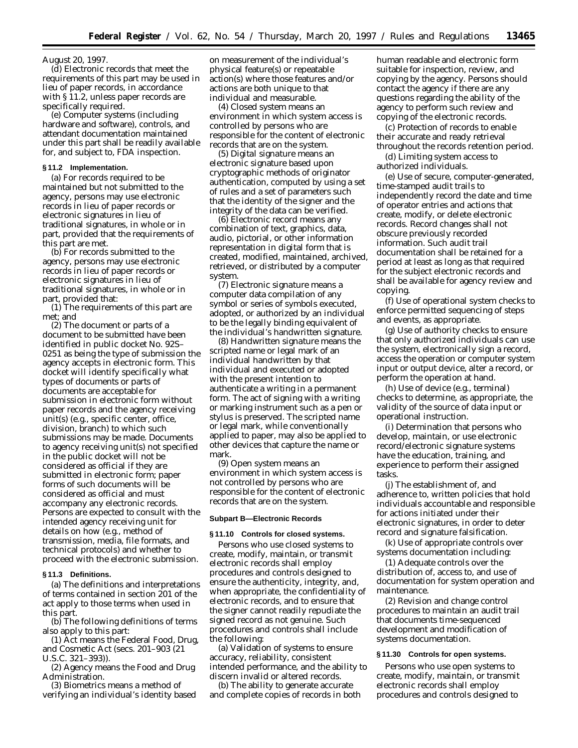# August 20, 1997.

(d) Electronic records that meet the requirements of this part may be used in lieu of paper records, in accordance with § 11.2, unless paper records are specifically required.

(e) Computer systems (including hardware and software), controls, and attendant documentation maintained under this part shall be readily available for, and subject to, FDA inspection.

# **§ 11.2 Implementation.**

(a) For records required to be maintained but not submitted to the agency, persons may use electronic records in lieu of paper records or electronic signatures in lieu of traditional signatures, in whole or in part, provided that the requirements of this part are met.

(b) For records submitted to the agency, persons may use electronic records in lieu of paper records or electronic signatures in lieu of traditional signatures, in whole or in part, provided that:

(1) The requirements of this part are met; and

(2) The document or parts of a document to be submitted have been identified in public docket No. 92S– 0251 as being the type of submission the agency accepts in electronic form. This docket will identify specifically what types of documents or parts of documents are acceptable for submission in electronic form without paper records and the agency receiving unit(s) (e.g., specific center, office, division, branch) to which such submissions may be made. Documents to agency receiving unit(s) not specified in the public docket will not be considered as official if they are submitted in electronic form; paper forms of such documents will be considered as official and must accompany any electronic records. Persons are expected to consult with the intended agency receiving unit for details on how (e.g., method of transmission, media, file formats, and technical protocols) and whether to proceed with the electronic submission.

# **§ 11.3 Definitions.**

(a) The definitions and interpretations of terms contained in section 201 of the act apply to those terms when used in this part.

(b) The following definitions of terms also apply to this part:

(1) *Act* means the Federal Food, Drug, and Cosmetic Act (secs. 201–903 (21 U.S.C. 321–393)).

(2) *Agency* means the Food and Drug Administration.

(3) *Biometrics* means a method of verifying an individual's identity based

on measurement of the individual's physical feature(s) or repeatable action(s) where those features and/or actions are both unique to that individual and measurable.

(4) *Closed system* means an environment in which system access is controlled by persons who are responsible for the content of electronic records that are on the system.

(5) *Digital signature* means an electronic signature based upon cryptographic methods of originator authentication, computed by using a set of rules and a set of parameters such that the identity of the signer and the integrity of the data can be verified.

(6) *Electronic record* means any combination of text, graphics, data, audio, pictorial, or other information representation in digital form that is created, modified, maintained, archived, retrieved, or distributed by a computer system.

(7) *Electronic signature* means a computer data compilation of any symbol or series of symbols executed, adopted, or authorized by an individual to be the legally binding equivalent of the individual's handwritten signature.

(8) *Handwritten signature* means the scripted name or legal mark of an individual handwritten by that individual and executed or adopted with the present intention to authenticate a writing in a permanent form. The act of signing with a writing or marking instrument such as a pen or stylus is preserved. The scripted name or legal mark, while conventionally applied to paper, may also be applied to other devices that capture the name or mark.

(9) *Open system* means an environment in which system access is not controlled by persons who are responsible for the content of electronic records that are on the system.

# **Subpart B—Electronic Records**

#### **§ 11.10 Controls for closed systems.**

Persons who use closed systems to create, modify, maintain, or transmit electronic records shall employ procedures and controls designed to ensure the authenticity, integrity, and, when appropriate, the confidentiality of electronic records, and to ensure that the signer cannot readily repudiate the signed record as not genuine. Such procedures and controls shall include the following:

(a) Validation of systems to ensure accuracy, reliability, consistent intended performance, and the ability to discern invalid or altered records.

(b) The ability to generate accurate and complete copies of records in both human readable and electronic form suitable for inspection, review, and copying by the agency. Persons should contact the agency if there are any questions regarding the ability of the agency to perform such review and copying of the electronic records.

(c) Protection of records to enable their accurate and ready retrieval throughout the records retention period.

(d) Limiting system access to authorized individuals.

(e) Use of secure, computer-generated, time-stamped audit trails to independently record the date and time of operator entries and actions that create, modify, or delete electronic records. Record changes shall not obscure previously recorded information. Such audit trail documentation shall be retained for a period at least as long as that required for the subject electronic records and shall be available for agency review and copying.

(f) Use of operational system checks to enforce permitted sequencing of steps and events, as appropriate.

(g) Use of authority checks to ensure that only authorized individuals can use the system, electronically sign a record, access the operation or computer system input or output device, alter a record, or perform the operation at hand.

(h) Use of device (e.g., terminal) checks to determine, as appropriate, the validity of the source of data input or operational instruction.

(i) Determination that persons who develop, maintain, or use electronic record/electronic signature systems have the education, training, and experience to perform their assigned tasks.

(j) The establishment of, and adherence to, written policies that hold individuals accountable and responsible for actions initiated under their electronic signatures, in order to deter record and signature falsification.

(k) Use of appropriate controls over systems documentation including:

(1) Adequate controls over the distribution of, access to, and use of documentation for system operation and maintenance.

(2) Revision and change control procedures to maintain an audit trail that documents time-sequenced development and modification of systems documentation.

# **§ 11.30 Controls for open systems.**

Persons who use open systems to create, modify, maintain, or transmit electronic records shall employ procedures and controls designed to